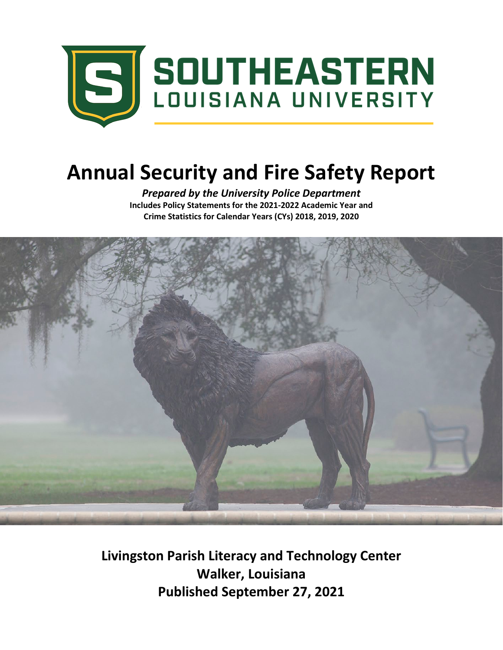

# **Annual Security and Fire Safety Report**

*Prepared by the University Police Department* **Includes Policy Statements for the 2021-2022 Academic Year and Crime Statistics for Calendar Years (CYs) 2018, 2019, 2020**



**Livingston Parish Literacy and Technology Center Walker, Louisiana Published September 27, 2021**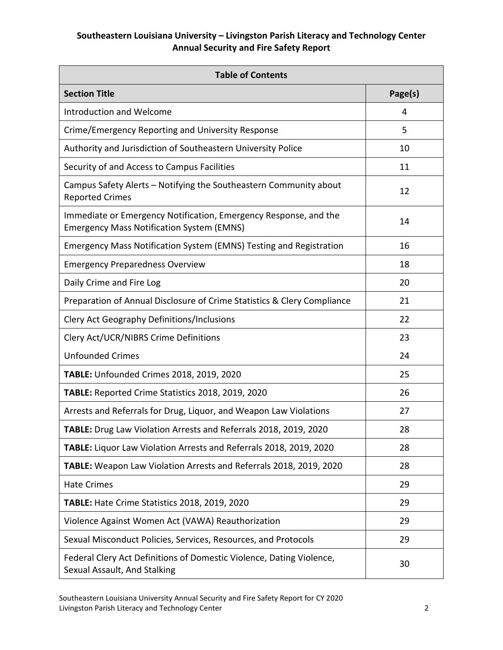# **Southeastern Louisiana University – Livingston Parish Literacy and Technology Center Annual Security and Fire Safety Report**

| <b>Table of Contents</b>                                                                                             |         |
|----------------------------------------------------------------------------------------------------------------------|---------|
| <b>Section Title</b>                                                                                                 | Page(s) |
| Introduction and Welcome                                                                                             | 4       |
| Crime/Emergency Reporting and University Response                                                                    | 5       |
| Authority and Jurisdiction of Southeastern University Police                                                         | 10      |
| Security of and Access to Campus Facilities                                                                          | 11      |
| Campus Safety Alerts - Notifying the Southeastern Community about<br><b>Reported Crimes</b>                          | 12      |
| Immediate or Emergency Notification, Emergency Response, and the<br><b>Emergency Mass Notification System (EMNS)</b> | 14      |
| Emergency Mass Notification System (EMNS) Testing and Registration                                                   | 16      |
| <b>Emergency Preparedness Overview</b>                                                                               | 18      |
| Daily Crime and Fire Log                                                                                             | 20      |
| Preparation of Annual Disclosure of Crime Statistics & Clery Compliance                                              | 21      |
| Clery Act Geography Definitions/Inclusions                                                                           | 22      |
| Clery Act/UCR/NIBRS Crime Definitions                                                                                | 23      |
| <b>Unfounded Crimes</b>                                                                                              | 24      |
| TABLE: Unfounded Crimes 2018, 2019, 2020                                                                             | 25      |
| TABLE: Reported Crime Statistics 2018, 2019, 2020                                                                    | 26      |
| Arrests and Referrals for Drug, Liquor, and Weapon Law Violations                                                    | 27      |
| TABLE: Drug Law Violation Arrests and Referrals 2018, 2019, 2020                                                     | 28      |
| TABLE: Liquor Law Violation Arrests and Referrals 2018, 2019, 2020                                                   | 28      |
| TABLE: Weapon Law Violation Arrests and Referrals 2018, 2019, 2020                                                   | 28      |
| <b>Hate Crimes</b>                                                                                                   | 29      |
| TABLE: Hate Crime Statistics 2018, 2019, 2020                                                                        | 29      |
| Violence Against Women Act (VAWA) Reauthorization                                                                    | 29      |
| Sexual Misconduct Policies, Services, Resources, and Protocols                                                       | 29      |
| Federal Clery Act Definitions of Domestic Violence, Dating Violence,<br>Sexual Assault, And Stalking                 | 30      |

Southeastern Louisiana University Annual Security and Fire Safety Report for CY 2020 Livingston Parish Literacy and Technology Center 2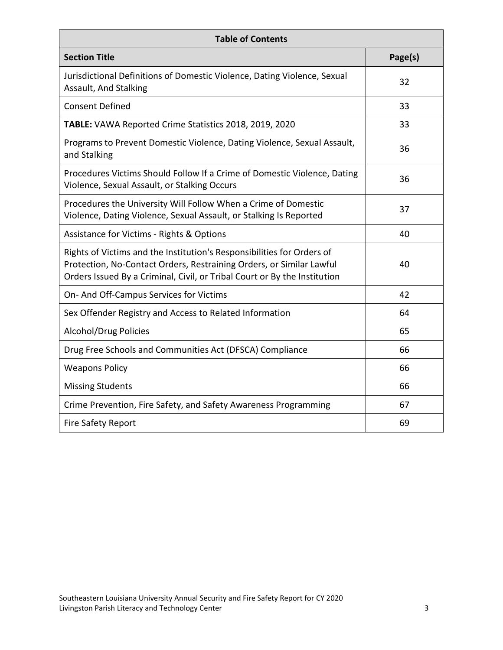| <b>Table of Contents</b>                                                                                                                                                                                                    |         |
|-----------------------------------------------------------------------------------------------------------------------------------------------------------------------------------------------------------------------------|---------|
| <b>Section Title</b>                                                                                                                                                                                                        | Page(s) |
| Jurisdictional Definitions of Domestic Violence, Dating Violence, Sexual<br>Assault, And Stalking                                                                                                                           | 32      |
| <b>Consent Defined</b>                                                                                                                                                                                                      | 33      |
| TABLE: VAWA Reported Crime Statistics 2018, 2019, 2020                                                                                                                                                                      | 33      |
| Programs to Prevent Domestic Violence, Dating Violence, Sexual Assault,<br>and Stalking                                                                                                                                     | 36      |
| Procedures Victims Should Follow If a Crime of Domestic Violence, Dating<br>Violence, Sexual Assault, or Stalking Occurs                                                                                                    | 36      |
| Procedures the University Will Follow When a Crime of Domestic<br>Violence, Dating Violence, Sexual Assault, or Stalking Is Reported                                                                                        | 37      |
| Assistance for Victims - Rights & Options                                                                                                                                                                                   | 40      |
| Rights of Victims and the Institution's Responsibilities for Orders of<br>Protection, No-Contact Orders, Restraining Orders, or Similar Lawful<br>Orders Issued By a Criminal, Civil, or Tribal Court or By the Institution | 40      |
| On- And Off-Campus Services for Victims                                                                                                                                                                                     | 42      |
| Sex Offender Registry and Access to Related Information                                                                                                                                                                     | 64      |
| Alcohol/Drug Policies                                                                                                                                                                                                       | 65      |
| Drug Free Schools and Communities Act (DFSCA) Compliance                                                                                                                                                                    | 66      |
| <b>Weapons Policy</b>                                                                                                                                                                                                       | 66      |
| <b>Missing Students</b>                                                                                                                                                                                                     | 66      |
| Crime Prevention, Fire Safety, and Safety Awareness Programming                                                                                                                                                             | 67      |
| <b>Fire Safety Report</b>                                                                                                                                                                                                   | 69      |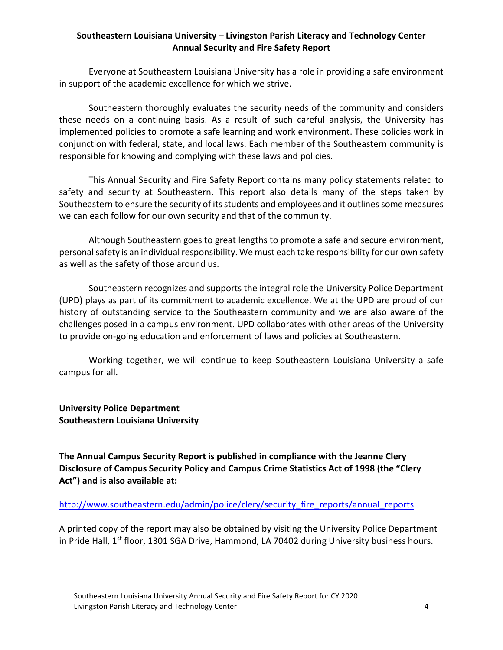# **Southeastern Louisiana University – Livingston Parish Literacy and Technology Center Annual Security and Fire Safety Report**

Everyone at Southeastern Louisiana University has a role in providing a safe environment in support of the academic excellence for which we strive.

Southeastern thoroughly evaluates the security needs of the community and considers these needs on a continuing basis. As a result of such careful analysis, the University has implemented policies to promote a safe learning and work environment. These policies work in conjunction with federal, state, and local laws. Each member of the Southeastern community is responsible for knowing and complying with these laws and policies.

This Annual Security and Fire Safety Report contains many policy statements related to safety and security at Southeastern. This report also details many of the steps taken by Southeastern to ensure the security of its students and employees and it outlines some measures we can each follow for our own security and that of the community.

Although Southeastern goes to great lengths to promote a safe and secure environment, personal safety is an individual responsibility. We must each take responsibility for our own safety as well as the safety of those around us.

Southeastern recognizes and supports the integral role the University Police Department (UPD) plays as part of its commitment to academic excellence. We at the UPD are proud of our history of outstanding service to the Southeastern community and we are also aware of the challenges posed in a campus environment. UPD collaborates with other areas of the University to provide on-going education and enforcement of laws and policies at Southeastern.

Working together, we will continue to keep Southeastern Louisiana University a safe campus for all.

**University Police Department Southeastern Louisiana University**

**The Annual Campus Security Report is published in compliance with the Jeanne Clery Disclosure of Campus Security Policy and Campus Crime Statistics Act of 1998 (the "Clery Act") and is also available at:**

# [http://www.southeastern.edu/admin/police/clery/security\\_fire\\_reports/annual\\_reports](http://www.southeastern.edu/admin/police/clery/security_fire_reports/annual_reports)

A printed copy of the report may also be obtained by visiting the University Police Department in Pride Hall, 1<sup>st</sup> floor, 1301 SGA Drive, Hammond, LA 70402 during University business hours.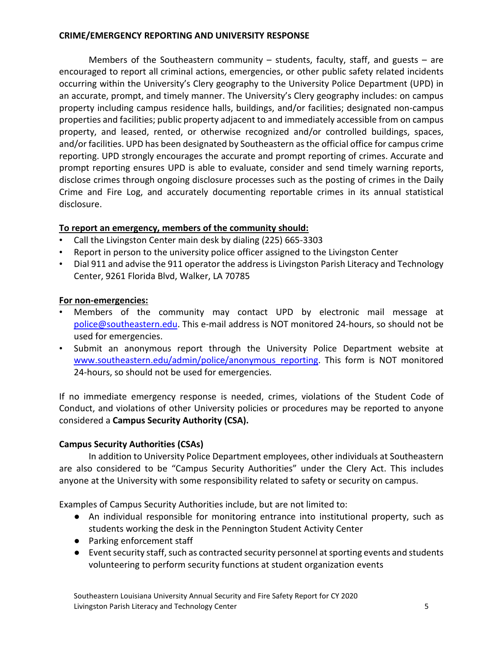# **CRIME/EMERGENCY REPORTING AND UNIVERSITY RESPONSE**

Members of the Southeastern community  $-$  students, faculty, staff, and guests  $-$  are encouraged to report all criminal actions, emergencies, or other public safety related incidents occurring within the University's Clery geography to the University Police Department (UPD) in an accurate, prompt, and timely manner. The University's Clery geography includes: on campus property including campus residence halls, buildings, and/or facilities; designated non-campus properties and facilities; public property adjacent to and immediately accessible from on campus property, and leased, rented, or otherwise recognized and/or controlled buildings, spaces, and/or facilities. UPD has been designated by Southeastern as the official office for campus crime reporting. UPD strongly encourages the accurate and prompt reporting of crimes. Accurate and prompt reporting ensures UPD is able to evaluate, consider and send timely warning reports, disclose crimes through ongoing disclosure processes such as the posting of crimes in the Daily Crime and Fire Log, and accurately documenting reportable crimes in its annual statistical disclosure.

# **To report an emergency, members of the community should:**

- Call the Livingston Center main desk by dialing (225) 665-3303
- Report in person to the university police officer assigned to the Livingston Center
- Dial 911 and advise the 911 operator the address is Livingston Parish Literacy and Technology Center, 9261 Florida Blvd, Walker, LA 70785

# **For non-emergencies:**

- Members of the community may contact UPD by electronic mail message at [police@southeastern.edu.](mailto:police@southeastern.edu) This e-mail address is NOT monitored 24-hours, so should not be used for emergencies.
- Submit an anonymous report through the University Police Department website at www.southeastern.edu/admin/police/anonymous reporting. This form is NOT monitored 24-hours, so should not be used for emergencies.

If no immediate emergency response is needed, crimes, violations of the Student Code of Conduct, and violations of other University policies or procedures may be reported to anyone considered a **Campus Security Authority (CSA).**

# **Campus Security Authorities (CSAs)**

In addition to University Police Department employees, other individuals at Southeastern are also considered to be "Campus Security Authorities" under the Clery Act. This includes anyone at the University with some responsibility related to safety or security on campus.

Examples of Campus Security Authorities include, but are not limited to:

- An individual responsible for monitoring entrance into institutional property, such as students working the desk in the Pennington Student Activity Center
- Parking enforcement staff
- Event security staff, such as contracted security personnel at sporting events and students volunteering to perform security functions at student organization events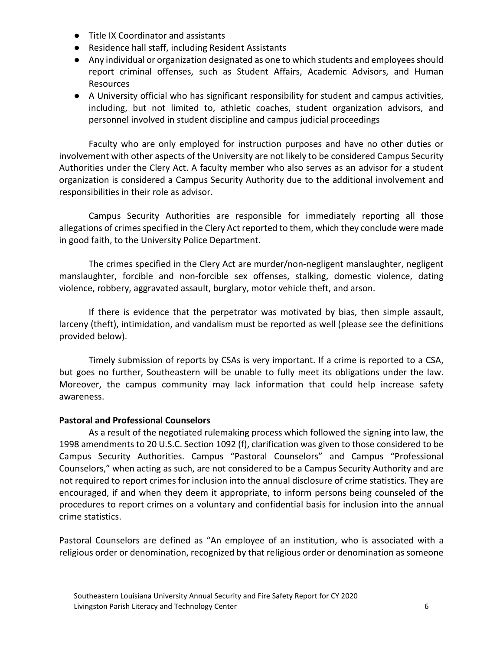- Title IX Coordinator and assistants
- Residence hall staff, including Resident Assistants
- Any individual or organization designated as one to which students and employees should report criminal offenses, such as Student Affairs, Academic Advisors, and Human Resources
- A University official who has significant responsibility for student and campus activities, including, but not limited to, athletic coaches, student organization advisors, and personnel involved in student discipline and campus judicial proceedings

Faculty who are only employed for instruction purposes and have no other duties or involvement with other aspects of the University are not likely to be considered Campus Security Authorities under the Clery Act. A faculty member who also serves as an advisor for a student organization is considered a Campus Security Authority due to the additional involvement and responsibilities in their role as advisor.

Campus Security Authorities are responsible for immediately reporting all those allegations of crimes specified in the Clery Act reported to them, which they conclude were made in good faith, to the University Police Department.

The crimes specified in the Clery Act are murder/non-negligent manslaughter, negligent manslaughter, forcible and non-forcible sex offenses, stalking, domestic violence, dating violence, robbery, aggravated assault, burglary, motor vehicle theft, and arson.

If there is evidence that the perpetrator was motivated by bias, then simple assault, larceny (theft), intimidation, and vandalism must be reported as well (please see the definitions provided below).

Timely submission of reports by CSAs is very important. If a crime is reported to a CSA, but goes no further, Southeastern will be unable to fully meet its obligations under the law. Moreover, the campus community may lack information that could help increase safety awareness.

## **Pastoral and Professional Counselors**

As a result of the negotiated rulemaking process which followed the signing into law, the 1998 amendments to 20 U.S.C. Section 1092 (f), clarification was given to those considered to be Campus Security Authorities. Campus "Pastoral Counselors" and Campus "Professional Counselors," when acting as such, are not considered to be a Campus Security Authority and are not required to report crimes for inclusion into the annual disclosure of crime statistics. They are encouraged, if and when they deem it appropriate, to inform persons being counseled of the procedures to report crimes on a voluntary and confidential basis for inclusion into the annual crime statistics.

Pastoral Counselors are defined as "An employee of an institution, who is associated with a religious order or denomination, recognized by that religious order or denomination as someone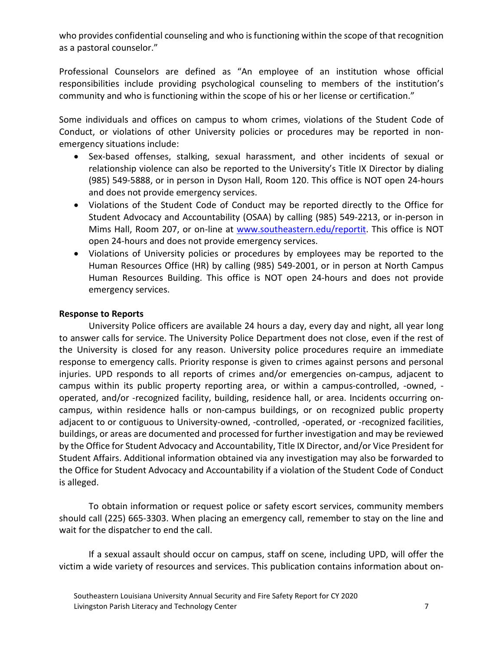who provides confidential counseling and who is functioning within the scope of that recognition as a pastoral counselor."

Professional Counselors are defined as "An employee of an institution whose official responsibilities include providing psychological counseling to members of the institution's community and who is functioning within the scope of his or her license or certification."

Some individuals and offices on campus to whom crimes, violations of the Student Code of Conduct, or violations of other University policies or procedures may be reported in nonemergency situations include:

- Sex-based offenses, stalking, sexual harassment, and other incidents of sexual or relationship violence can also be reported to the University's Title IX Director by dialing (985) 549-5888, or in person in Dyson Hall, Room 120. This office is NOT open 24-hours and does not provide emergency services.
- Violations of the Student Code of Conduct may be reported directly to the Office for Student Advocacy and Accountability (OSAA) by calling (985) 549-2213, or in-person in Mims Hall, Room 207, or on-line at [www.southeastern.edu/reportit.](http://www.southeastern.edu/reportit) This office is NOT open 24-hours and does not provide emergency services.
- Violations of University policies or procedures by employees may be reported to the Human Resources Office (HR) by calling (985) 549-2001, or in person at North Campus Human Resources Building. This office is NOT open 24-hours and does not provide emergency services.

## **Response to Reports**

University Police officers are available 24 hours a day, every day and night, all year long to answer calls for service. The University Police Department does not close, even if the rest of the University is closed for any reason. University police procedures require an immediate response to emergency calls. Priority response is given to crimes against persons and personal injuries. UPD responds to all reports of crimes and/or emergencies on-campus, adjacent to campus within its public property reporting area, or within a campus-controlled, -owned, operated, and/or -recognized facility, building, residence hall, or area. Incidents occurring oncampus, within residence halls or non-campus buildings, or on recognized public property adjacent to or contiguous to University-owned, -controlled, -operated, or -recognized facilities, buildings, or areas are documented and processed for further investigation and may be reviewed by the Office for Student Advocacy and Accountability, Title IX Director, and/or Vice President for Student Affairs. Additional information obtained via any investigation may also be forwarded to the Office for Student Advocacy and Accountability if a violation of the Student Code of Conduct is alleged.

To obtain information or request police or safety escort services, community members should call (225) 665-3303. When placing an emergency call, remember to stay on the line and wait for the dispatcher to end the call.

If a sexual assault should occur on campus, staff on scene, including UPD, will offer the victim a wide variety of resources and services. This publication contains information about on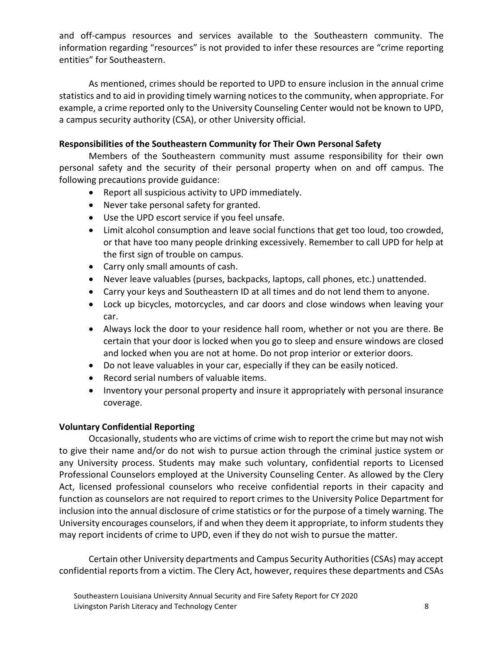and off-campus resources and services available to the Southeastern community. The information regarding "resources" is not provided to infer these resources are "crime reporting entities" for Southeastern.

As mentioned, crimes should be reported to UPD to ensure inclusion in the annual crime statistics and to aid in providing timely warning notices to the community, when appropriate. For example, a crime reported only to the University Counseling Center would not be known to UPD, a campus security authority (CSA), or other University official.

# **Responsibilities of the Southeastern Community for Their Own Personal Safety**

Members of the Southeastern community must assume responsibility for their own personal safety and the security of their personal property when on and off campus. The following precautions provide guidance:

- Report all suspicious activity to UPD immediately.
- Never take personal safety for granted.
- Use the UPD escort service if you feel unsafe.
- Limit alcohol consumption and leave social functions that get too loud, too crowded, or that have too many people drinking excessively. Remember to call UPD for help at the first sign of trouble on campus.
- Carry only small amounts of cash.
- Never leave valuables (purses, backpacks, laptops, call phones, etc.) unattended.
- Carry your keys and Southeastern ID at all times and do not lend them to anyone.
- Lock up bicycles, motorcycles, and car doors and close windows when leaving your car.
- Always lock the door to your residence hall room, whether or not you are there. Be certain that your door is locked when you go to sleep and ensure windows are closed and locked when you are not at home. Do not prop interior or exterior doors.
- Do not leave valuables in your car, especially if they can be easily noticed.
- Record serial numbers of valuable items.
- Inventory your personal property and insure it appropriately with personal insurance coverage.

# **Voluntary Confidential Reporting**

Occasionally, students who are victims of crime wish to report the crime but may not wish to give their name and/or do not wish to pursue action through the criminal justice system or any University process. Students may make such voluntary, confidential reports to Licensed Professional Counselors employed at the University Counseling Center. As allowed by the Clery Act, licensed professional counselors who receive confidential reports in their capacity and function as counselors are not required to report crimes to the University Police Department for inclusion into the annual disclosure of crime statistics or for the purpose of a timely warning. The University encourages counselors, if and when they deem it appropriate, to inform students they may report incidents of crime to UPD, even if they do not wish to pursue the matter.

Certain other University departments and Campus Security Authorities (CSAs) may accept confidential reports from a victim. The Clery Act, however, requires these departments and CSAs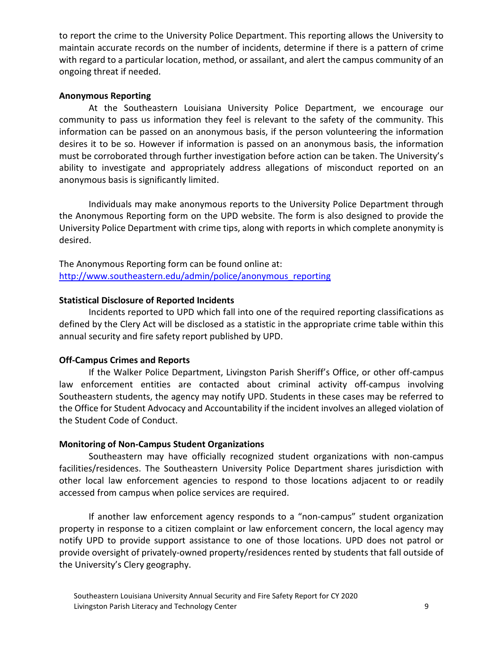to report the crime to the University Police Department. This reporting allows the University to maintain accurate records on the number of incidents, determine if there is a pattern of crime with regard to a particular location, method, or assailant, and alert the campus community of an ongoing threat if needed.

## **Anonymous Reporting**

At the Southeastern Louisiana University Police Department, we encourage our community to pass us information they feel is relevant to the safety of the community. This information can be passed on an anonymous basis, if the person volunteering the information desires it to be so. However if information is passed on an anonymous basis, the information must be corroborated through further investigation before action can be taken. The University's ability to investigate and appropriately address allegations of misconduct reported on an anonymous basis is significantly limited.

Individuals may make anonymous reports to the University Police Department through the Anonymous Reporting form on the UPD website. The form is also designed to provide the University Police Department with crime tips, along with reports in which complete anonymity is desired.

The Anonymous Reporting form can be found online at: [http://www.southeastern.edu/admin/police/anonymous\\_reporting](http://www.southeastern.edu/admin/police/anonymous_reporting)

## **Statistical Disclosure of Reported Incidents**

Incidents reported to UPD which fall into one of the required reporting classifications as defined by the Clery Act will be disclosed as a statistic in the appropriate crime table within this annual security and fire safety report published by UPD.

## **Off-Campus Crimes and Reports**

If the Walker Police Department, Livingston Parish Sheriff's Office, or other off-campus law enforcement entities are contacted about criminal activity off-campus involving Southeastern students, the agency may notify UPD. Students in these cases may be referred to the Office for Student Advocacy and Accountability if the incident involves an alleged violation of the Student Code of Conduct.

## **Monitoring of Non-Campus Student Organizations**

Southeastern may have officially recognized student organizations with non-campus facilities/residences. The Southeastern University Police Department shares jurisdiction with other local law enforcement agencies to respond to those locations adjacent to or readily accessed from campus when police services are required.

If another law enforcement agency responds to a "non-campus" student organization property in response to a citizen complaint or law enforcement concern, the local agency may notify UPD to provide support assistance to one of those locations. UPD does not patrol or provide oversight of privately-owned property/residences rented by students that fall outside of the University's Clery geography.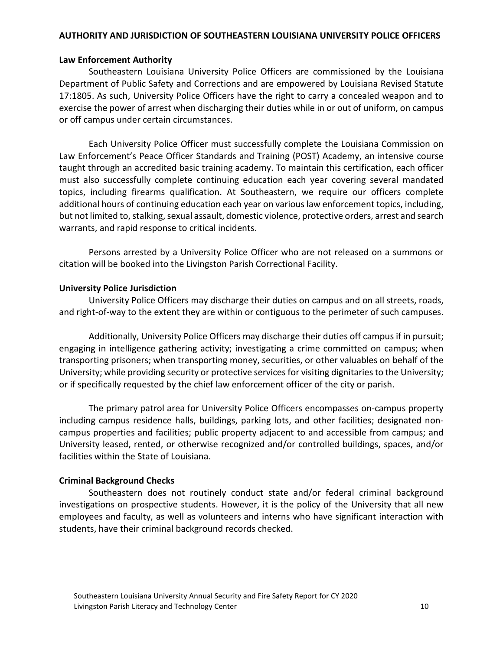## **AUTHORITY AND JURISDICTION OF SOUTHEASTERN LOUISIANA UNIVERSITY POLICE OFFICERS**

#### **Law Enforcement Authority**

Southeastern Louisiana University Police Officers are commissioned by the Louisiana Department of Public Safety and Corrections and are empowered by Louisiana Revised Statute 17:1805. As such, University Police Officers have the right to carry a concealed weapon and to exercise the power of arrest when discharging their duties while in or out of uniform, on campus or off campus under certain circumstances.

Each University Police Officer must successfully complete the Louisiana Commission on Law Enforcement's Peace Officer Standards and Training (POST) Academy, an intensive course taught through an accredited basic training academy. To maintain this certification, each officer must also successfully complete continuing education each year covering several mandated topics, including firearms qualification. At Southeastern, we require our officers complete additional hours of continuing education each year on various law enforcement topics, including, but not limited to, stalking, sexual assault, domestic violence, protective orders, arrest and search warrants, and rapid response to critical incidents.

Persons arrested by a University Police Officer who are not released on a summons or citation will be booked into the Livingston Parish Correctional Facility.

#### **University Police Jurisdiction**

University Police Officers may discharge their duties on campus and on all streets, roads, and right-of-way to the extent they are within or contiguous to the perimeter of such campuses.

Additionally, University Police Officers may discharge their duties off campus if in pursuit; engaging in intelligence gathering activity; investigating a crime committed on campus; when transporting prisoners; when transporting money, securities, or other valuables on behalf of the University; while providing security or protective services for visiting dignitaries to the University; or if specifically requested by the chief law enforcement officer of the city or parish.

The primary patrol area for University Police Officers encompasses on-campus property including campus residence halls, buildings, parking lots, and other facilities; designated noncampus properties and facilities; public property adjacent to and accessible from campus; and University leased, rented, or otherwise recognized and/or controlled buildings, spaces, and/or facilities within the State of Louisiana.

## **Criminal Background Checks**

Southeastern does not routinely conduct state and/or federal criminal background investigations on prospective students. However, it is the policy of the University that all new employees and faculty, as well as volunteers and interns who have significant interaction with students, have their criminal background records checked.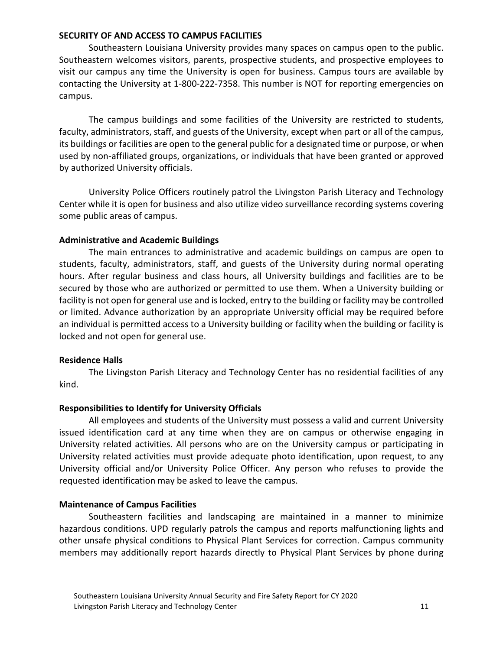## **SECURITY OF AND ACCESS TO CAMPUS FACILITIES**

Southeastern Louisiana University provides many spaces on campus open to the public. Southeastern welcomes visitors, parents, prospective students, and prospective employees to visit our campus any time the University is open for business. Campus tours are available by contacting the University at 1-800-222-7358. This number is NOT for reporting emergencies on campus.

The campus buildings and some facilities of the University are restricted to students, faculty, administrators, staff, and guests of the University, except when part or all of the campus, its buildings or facilities are open to the general public for a designated time or purpose, or when used by non-affiliated groups, organizations, or individuals that have been granted or approved by authorized University officials.

University Police Officers routinely patrol the Livingston Parish Literacy and Technology Center while it is open for business and also utilize video surveillance recording systems covering some public areas of campus.

#### **Administrative and Academic Buildings**

The main entrances to administrative and academic buildings on campus are open to students, faculty, administrators, staff, and guests of the University during normal operating hours. After regular business and class hours, all University buildings and facilities are to be secured by those who are authorized or permitted to use them. When a University building or facility is not open for general use and is locked, entry to the building or facility may be controlled or limited. Advance authorization by an appropriate University official may be required before an individual is permitted access to a University building or facility when the building or facility is locked and not open for general use.

## **Residence Halls**

The Livingston Parish Literacy and Technology Center has no residential facilities of any kind.

## **Responsibilities to Identify for University Officials**

All employees and students of the University must possess a valid and current University issued identification card at any time when they are on campus or otherwise engaging in University related activities. All persons who are on the University campus or participating in University related activities must provide adequate photo identification, upon request, to any University official and/or University Police Officer. Any person who refuses to provide the requested identification may be asked to leave the campus.

## **Maintenance of Campus Facilities**

Southeastern facilities and landscaping are maintained in a manner to minimize hazardous conditions. UPD regularly patrols the campus and reports malfunctioning lights and other unsafe physical conditions to Physical Plant Services for correction. Campus community members may additionally report hazards directly to Physical Plant Services by phone during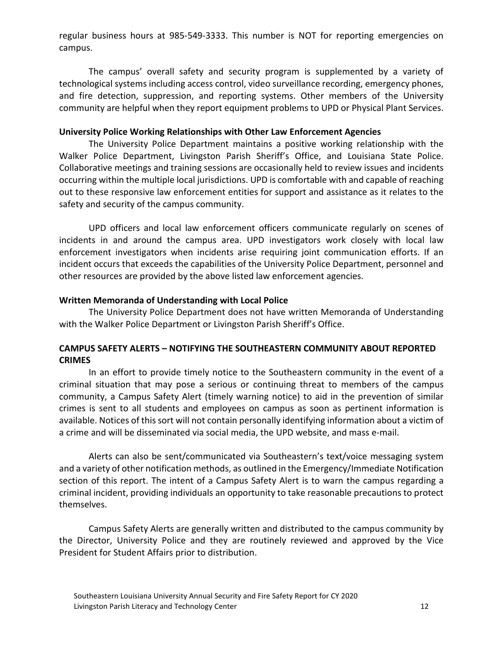regular business hours at 985-549-3333. This number is NOT for reporting emergencies on campus.

The campus' overall safety and security program is supplemented by a variety of technological systems including access control, video surveillance recording, emergency phones, and fire detection, suppression, and reporting systems. Other members of the University community are helpful when they report equipment problems to UPD or Physical Plant Services.

## **University Police Working Relationships with Other Law Enforcement Agencies**

The University Police Department maintains a positive working relationship with the Walker Police Department, Livingston Parish Sheriff's Office, and Louisiana State Police. Collaborative meetings and training sessions are occasionally held to review issues and incidents occurring within the multiple local jurisdictions. UPD is comfortable with and capable of reaching out to these responsive law enforcement entities for support and assistance as it relates to the safety and security of the campus community.

UPD officers and local law enforcement officers communicate regularly on scenes of incidents in and around the campus area. UPD investigators work closely with local law enforcement investigators when incidents arise requiring joint communication efforts. If an incident occurs that exceeds the capabilities of the University Police Department, personnel and other resources are provided by the above listed law enforcement agencies.

## **Written Memoranda of Understanding with Local Police**

The University Police Department does not have written Memoranda of Understanding with the Walker Police Department or Livingston Parish Sheriff's Office.

# **CAMPUS SAFETY ALERTS – NOTIFYING THE SOUTHEASTERN COMMUNITY ABOUT REPORTED CRIMES**

In an effort to provide timely notice to the Southeastern community in the event of a criminal situation that may pose a serious or continuing threat to members of the campus community, a Campus Safety Alert (timely warning notice) to aid in the prevention of similar crimes is sent to all students and employees on campus as soon as pertinent information is available. Notices of this sort will not contain personally identifying information about a victim of a crime and will be disseminated via social media, the UPD website, and mass e-mail.

Alerts can also be sent/communicated via Southeastern's text/voice messaging system and a variety of other notification methods, as outlined in the Emergency/Immediate Notification section of this report. The intent of a Campus Safety Alert is to warn the campus regarding a criminal incident, providing individuals an opportunity to take reasonable precautions to protect themselves.

Campus Safety Alerts are generally written and distributed to the campus community by the Director, University Police and they are routinely reviewed and approved by the Vice President for Student Affairs prior to distribution.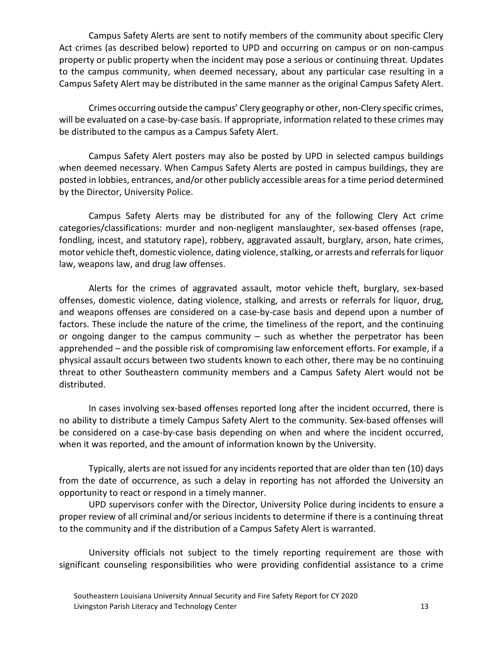Campus Safety Alerts are sent to notify members of the community about specific Clery Act crimes (as described below) reported to UPD and occurring on campus or on non-campus property or public property when the incident may pose a serious or continuing threat. Updates to the campus community, when deemed necessary, about any particular case resulting in a Campus Safety Alert may be distributed in the same manner as the original Campus Safety Alert.

Crimes occurring outside the campus' Clery geography or other, non-Clery specific crimes, will be evaluated on a case-by-case basis. If appropriate, information related to these crimes may be distributed to the campus as a Campus Safety Alert.

Campus Safety Alert posters may also be posted by UPD in selected campus buildings when deemed necessary. When Campus Safety Alerts are posted in campus buildings, they are posted in lobbies, entrances, and/or other publicly accessible areas for a time period determined by the Director, University Police.

Campus Safety Alerts may be distributed for any of the following Clery Act crime categories/classifications: murder and non-negligent manslaughter, sex-based offenses (rape, fondling, incest, and statutory rape), robbery, aggravated assault, burglary, arson, hate crimes, motor vehicle theft, domestic violence, dating violence, stalking, or arrests and referrals for liquor law, weapons law, and drug law offenses.

Alerts for the crimes of aggravated assault, motor vehicle theft, burglary, sex-based offenses, domestic violence, dating violence, stalking, and arrests or referrals for liquor, drug, and weapons offenses are considered on a case-by-case basis and depend upon a number of factors. These include the nature of the crime, the timeliness of the report, and the continuing or ongoing danger to the campus community – such as whether the perpetrator has been apprehended – and the possible risk of compromising law enforcement efforts. For example, if a physical assault occurs between two students known to each other, there may be no continuing threat to other Southeastern community members and a Campus Safety Alert would not be distributed.

In cases involving sex-based offenses reported long after the incident occurred, there is no ability to distribute a timely Campus Safety Alert to the community. Sex-based offenses will be considered on a case-by-case basis depending on when and where the incident occurred, when it was reported, and the amount of information known by the University.

Typically, alerts are not issued for any incidents reported that are older than ten (10) days from the date of occurrence, as such a delay in reporting has not afforded the University an opportunity to react or respond in a timely manner.

UPD supervisors confer with the Director, University Police during incidents to ensure a proper review of all criminal and/or serious incidents to determine if there is a continuing threat to the community and if the distribution of a Campus Safety Alert is warranted.

University officials not subject to the timely reporting requirement are those with significant counseling responsibilities who were providing confidential assistance to a crime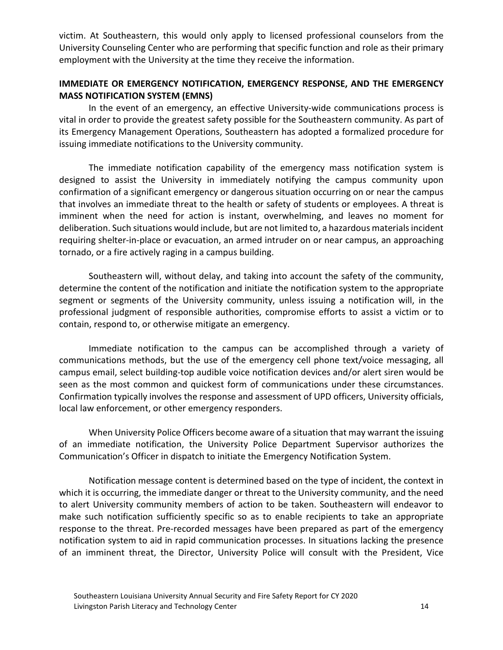victim. At Southeastern, this would only apply to licensed professional counselors from the University Counseling Center who are performing that specific function and role as their primary employment with the University at the time they receive the information.

# **IMMEDIATE OR EMERGENCY NOTIFICATION, EMERGENCY RESPONSE, AND THE EMERGENCY MASS NOTIFICATION SYSTEM (EMNS)**

In the event of an emergency, an effective University-wide communications process is vital in order to provide the greatest safety possible for the Southeastern community. As part of its Emergency Management Operations, Southeastern has adopted a formalized procedure for issuing immediate notifications to the University community.

The immediate notification capability of the emergency mass notification system is designed to assist the University in immediately notifying the campus community upon confirmation of a significant emergency or dangerous situation occurring on or near the campus that involves an immediate threat to the health or safety of students or employees. A threat is imminent when the need for action is instant, overwhelming, and leaves no moment for deliberation. Such situations would include, but are not limited to, a hazardous materials incident requiring shelter-in-place or evacuation, an armed intruder on or near campus, an approaching tornado, or a fire actively raging in a campus building.

Southeastern will, without delay, and taking into account the safety of the community, determine the content of the notification and initiate the notification system to the appropriate segment or segments of the University community, unless issuing a notification will, in the professional judgment of responsible authorities, compromise efforts to assist a victim or to contain, respond to, or otherwise mitigate an emergency.

Immediate notification to the campus can be accomplished through a variety of communications methods, but the use of the emergency cell phone text/voice messaging, all campus email, select building-top audible voice notification devices and/or alert siren would be seen as the most common and quickest form of communications under these circumstances. Confirmation typically involves the response and assessment of UPD officers, University officials, local law enforcement, or other emergency responders.

When University Police Officers become aware of a situation that may warrant the issuing of an immediate notification, the University Police Department Supervisor authorizes the Communication's Officer in dispatch to initiate the Emergency Notification System.

Notification message content is determined based on the type of incident, the context in which it is occurring, the immediate danger or threat to the University community, and the need to alert University community members of action to be taken. Southeastern will endeavor to make such notification sufficiently specific so as to enable recipients to take an appropriate response to the threat. Pre-recorded messages have been prepared as part of the emergency notification system to aid in rapid communication processes. In situations lacking the presence of an imminent threat, the Director, University Police will consult with the President, Vice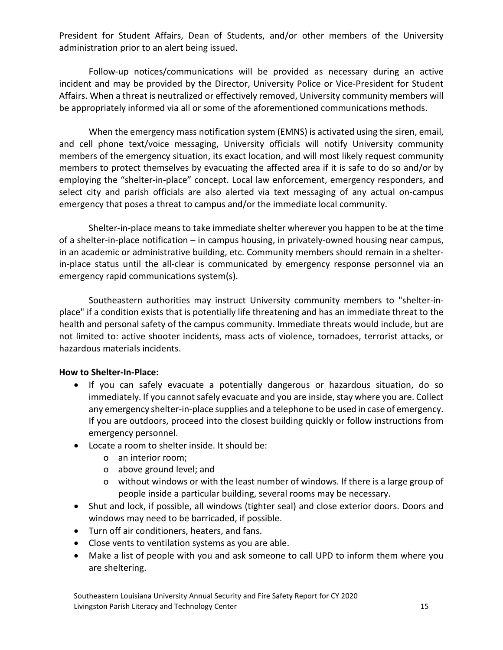President for Student Affairs, Dean of Students, and/or other members of the University administration prior to an alert being issued.

Follow-up notices/communications will be provided as necessary during an active incident and may be provided by the Director, University Police or Vice-President for Student Affairs. When a threat is neutralized or effectively removed, University community members will be appropriately informed via all or some of the aforementioned communications methods.

When the emergency mass notification system (EMNS) is activated using the siren, email, and cell phone text/voice messaging, University officials will notify University community members of the emergency situation, its exact location, and will most likely request community members to protect themselves by evacuating the affected area if it is safe to do so and/or by employing the "shelter-in-place" concept. Local law enforcement, emergency responders, and select city and parish officials are also alerted via text messaging of any actual on-campus emergency that poses a threat to campus and/or the immediate local community.

Shelter-in-place means to take immediate shelter wherever you happen to be at the time of a shelter-in-place notification – in campus housing, in privately-owned housing near campus, in an academic or administrative building, etc. Community members should remain in a shelterin-place status until the all-clear is communicated by emergency response personnel via an emergency rapid communications system(s).

Southeastern authorities may instruct University community members to "shelter-inplace" if a condition exists that is potentially life threatening and has an immediate threat to the health and personal safety of the campus community. Immediate threats would include, but are not limited to: active shooter incidents, mass acts of violence, tornadoes, terrorist attacks, or hazardous materials incidents.

## **How to Shelter-In-Place:**

- If you can safely evacuate a potentially dangerous or hazardous situation, do so immediately. If you cannot safely evacuate and you are inside, stay where you are. Collect any emergency shelter-in-place supplies and a telephone to be used in case of emergency. If you are outdoors, proceed into the closest building quickly or follow instructions from emergency personnel.
- Locate a room to shelter inside. It should be:
	- o an interior room;
	- o above ground level; and
	- o without windows or with the least number of windows. If there is a large group of people inside a particular building, several rooms may be necessary.
- Shut and lock, if possible, all windows (tighter seal) and close exterior doors. Doors and windows may need to be barricaded, if possible.
- Turn off air conditioners, heaters, and fans.
- Close vents to ventilation systems as you are able.
- Make a list of people with you and ask someone to call UPD to inform them where you are sheltering.

Southeastern Louisiana University Annual Security and Fire Safety Report for CY 2020 Livingston Parish Literacy and Technology Center 15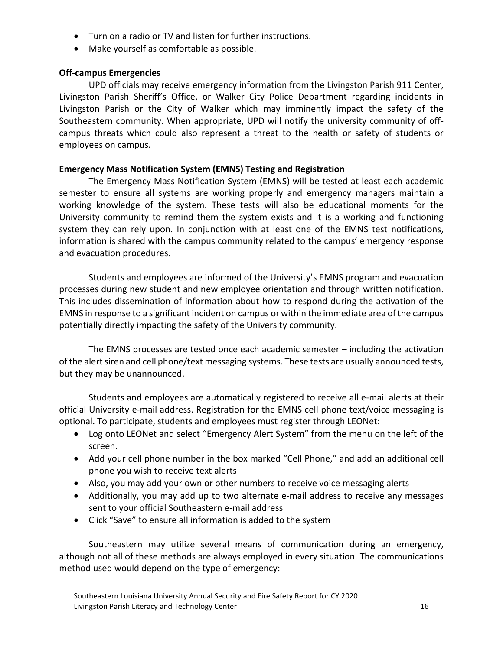- Turn on a radio or TV and listen for further instructions.
- Make yourself as comfortable as possible.

## **Off-campus Emergencies**

UPD officials may receive emergency information from the Livingston Parish 911 Center, Livingston Parish Sheriff's Office, or Walker City Police Department regarding incidents in Livingston Parish or the City of Walker which may imminently impact the safety of the Southeastern community. When appropriate, UPD will notify the university community of offcampus threats which could also represent a threat to the health or safety of students or employees on campus.

## **Emergency Mass Notification System (EMNS) Testing and Registration**

The Emergency Mass Notification System (EMNS) will be tested at least each academic semester to ensure all systems are working properly and emergency managers maintain a working knowledge of the system. These tests will also be educational moments for the University community to remind them the system exists and it is a working and functioning system they can rely upon. In conjunction with at least one of the EMNS test notifications, information is shared with the campus community related to the campus' emergency response and evacuation procedures.

Students and employees are informed of the University's EMNS program and evacuation processes during new student and new employee orientation and through written notification. This includes dissemination of information about how to respond during the activation of the EMNS in response to a significant incident on campus or within the immediate area of the campus potentially directly impacting the safety of the University community.

The EMNS processes are tested once each academic semester – including the activation of the alert siren and cell phone/text messaging systems. These tests are usually announced tests, but they may be unannounced.

Students and employees are automatically registered to receive all e-mail alerts at their official University e-mail address. Registration for the EMNS cell phone text/voice messaging is optional. To participate, students and employees must register through LEONet:

- Log onto LEONet and select "Emergency Alert System" from the menu on the left of the screen.
- Add your cell phone number in the box marked "Cell Phone," and add an additional cell phone you wish to receive text alerts
- Also, you may add your own or other numbers to receive voice messaging alerts
- Additionally, you may add up to two alternate e-mail address to receive any messages sent to your official Southeastern e-mail address
- Click "Save" to ensure all information is added to the system

Southeastern may utilize several means of communication during an emergency, although not all of these methods are always employed in every situation. The communications method used would depend on the type of emergency: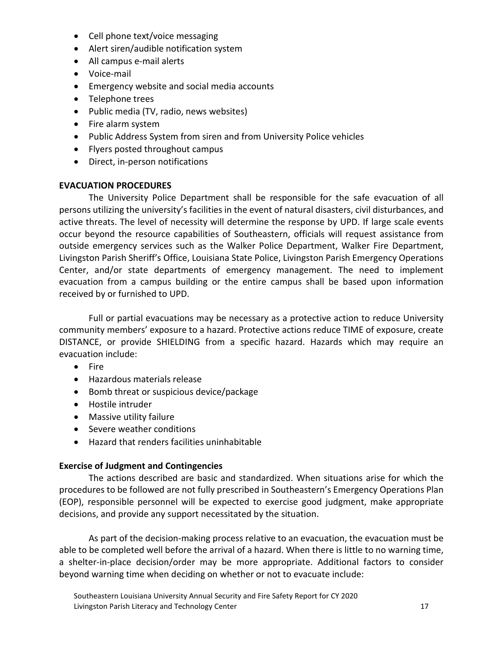- Cell phone text/voice messaging
- Alert siren/audible notification system
- All campus e-mail alerts
- Voice-mail
- Emergency website and social media accounts
- Telephone trees
- Public media (TV, radio, news websites)
- Fire alarm system
- Public Address System from siren and from University Police vehicles
- Flyers posted throughout campus
- Direct, in-person notifications

#### **EVACUATION PROCEDURES**

The University Police Department shall be responsible for the safe evacuation of all persons utilizing the university's facilities in the event of natural disasters, civil disturbances, and active threats. The level of necessity will determine the response by UPD. If large scale events occur beyond the resource capabilities of Southeastern, officials will request assistance from outside emergency services such as the Walker Police Department, Walker Fire Department, Livingston Parish Sheriff's Office, Louisiana State Police, Livingston Parish Emergency Operations Center, and/or state departments of emergency management. The need to implement evacuation from a campus building or the entire campus shall be based upon information received by or furnished to UPD.

Full or partial evacuations may be necessary as a protective action to reduce University community members' exposure to a hazard. Protective actions reduce TIME of exposure, create DISTANCE, or provide SHIELDING from a specific hazard. Hazards which may require an evacuation include:

- Fire
- Hazardous materials release
- Bomb threat or suspicious device/package
- Hostile intruder
- Massive utility failure
- Severe weather conditions
- Hazard that renders facilities uninhabitable

## **Exercise of Judgment and Contingencies**

The actions described are basic and standardized. When situations arise for which the procedures to be followed are not fully prescribed in Southeastern's Emergency Operations Plan (EOP), responsible personnel will be expected to exercise good judgment, make appropriate decisions, and provide any support necessitated by the situation.

As part of the decision-making process relative to an evacuation, the evacuation must be able to be completed well before the arrival of a hazard. When there is little to no warning time, a shelter-in-place decision/order may be more appropriate. Additional factors to consider beyond warning time when deciding on whether or not to evacuate include: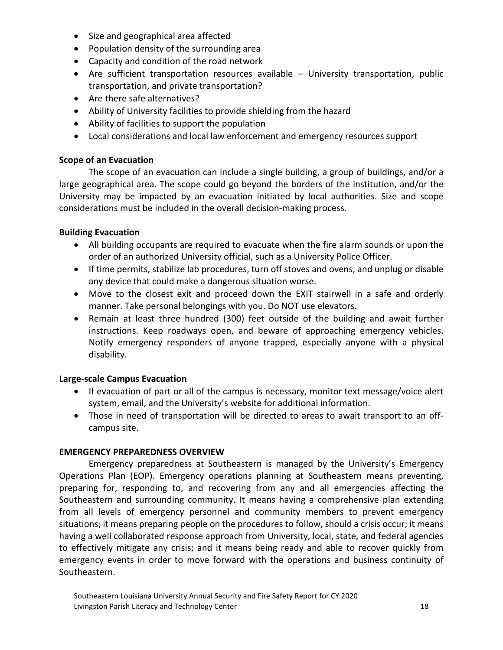- Size and geographical area affected
- Population density of the surrounding area
- Capacity and condition of the road network
- Are sufficient transportation resources available University transportation, public transportation, and private transportation?
- Are there safe alternatives?
- Ability of University facilities to provide shielding from the hazard
- Ability of facilities to support the population
- Local considerations and local law enforcement and emergency resources support

# **Scope of an Evacuation**

The scope of an evacuation can include a single building, a group of buildings, and/or a large geographical area. The scope could go beyond the borders of the institution, and/or the University may be impacted by an evacuation initiated by local authorities. Size and scope considerations must be included in the overall decision-making process.

# **Building Evacuation**

- All building occupants are required to evacuate when the fire alarm sounds or upon the order of an authorized University official, such as a University Police Officer.
- If time permits, stabilize lab procedures, turn off stoves and ovens, and unplug or disable any device that could make a dangerous situation worse.
- Move to the closest exit and proceed down the EXIT stairwell in a safe and orderly manner. Take personal belongings with you. Do NOT use elevators.
- Remain at least three hundred (300) feet outside of the building and await further instructions. Keep roadways open, and beware of approaching emergency vehicles. Notify emergency responders of anyone trapped, especially anyone with a physical disability.

# **Large-scale Campus Evacuation**

- If evacuation of part or all of the campus is necessary, monitor text message/voice alert system, email, and the University's website for additional information.
- Those in need of transportation will be directed to areas to await transport to an offcampus site.

# **EMERGENCY PREPAREDNESS OVERVIEW**

Emergency preparedness at Southeastern is managed by the University's Emergency Operations Plan (EOP). Emergency operations planning at Southeastern means preventing, preparing for, responding to, and recovering from any and all emergencies affecting the Southeastern and surrounding community. It means having a comprehensive plan extending from all levels of emergency personnel and community members to prevent emergency situations; it means preparing people on the procedures to follow, should a crisis occur; it means having a well collaborated response approach from University, local, state, and federal agencies to effectively mitigate any crisis; and it means being ready and able to recover quickly from emergency events in order to move forward with the operations and business continuity of Southeastern.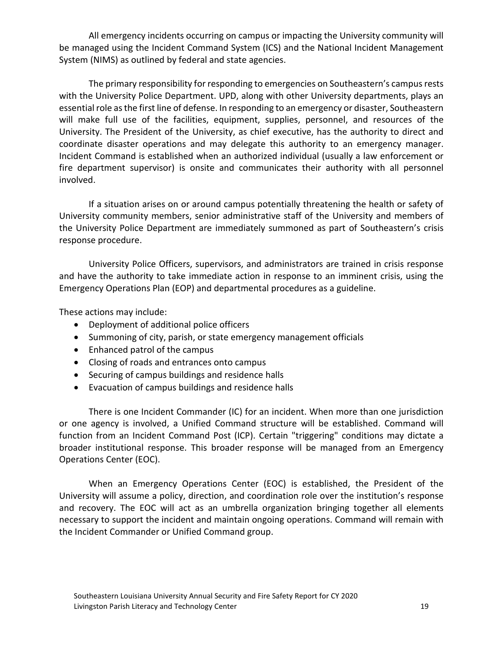All emergency incidents occurring on campus or impacting the University community will be managed using the Incident Command System (ICS) and the National Incident Management System (NIMS) as outlined by federal and state agencies.

The primary responsibility for responding to emergencies on Southeastern's campus rests with the University Police Department. UPD, along with other University departments, plays an essential role as the first line of defense. In responding to an emergency or disaster, Southeastern will make full use of the facilities, equipment, supplies, personnel, and resources of the University. The President of the University, as chief executive, has the authority to direct and coordinate disaster operations and may delegate this authority to an emergency manager. Incident Command is established when an authorized individual (usually a law enforcement or fire department supervisor) is onsite and communicates their authority with all personnel involved.

If a situation arises on or around campus potentially threatening the health or safety of University community members, senior administrative staff of the University and members of the University Police Department are immediately summoned as part of Southeastern's crisis response procedure.

University Police Officers, supervisors, and administrators are trained in crisis response and have the authority to take immediate action in response to an imminent crisis, using the Emergency Operations Plan (EOP) and departmental procedures as a guideline.

These actions may include:

- Deployment of additional police officers
- Summoning of city, parish, or state emergency management officials
- Enhanced patrol of the campus
- Closing of roads and entrances onto campus
- Securing of campus buildings and residence halls
- Evacuation of campus buildings and residence halls

There is one Incident Commander (IC) for an incident. When more than one jurisdiction or one agency is involved, a Unified Command structure will be established. Command will function from an Incident Command Post (ICP). Certain "triggering" conditions may dictate a broader institutional response. This broader response will be managed from an Emergency Operations Center (EOC).

When an Emergency Operations Center (EOC) is established, the President of the University will assume a policy, direction, and coordination role over the institution's response and recovery. The EOC will act as an umbrella organization bringing together all elements necessary to support the incident and maintain ongoing operations. Command will remain with the Incident Commander or Unified Command group.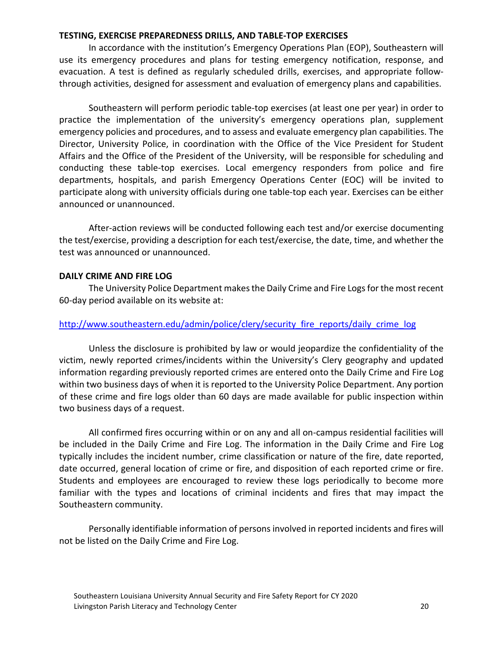## **TESTING, EXERCISE PREPAREDNESS DRILLS, AND TABLE-TOP EXERCISES**

In accordance with the institution's Emergency Operations Plan (EOP), Southeastern will use its emergency procedures and plans for testing emergency notification, response, and evacuation. A test is defined as regularly scheduled drills, exercises, and appropriate followthrough activities, designed for assessment and evaluation of emergency plans and capabilities.

Southeastern will perform periodic table-top exercises (at least one per year) in order to practice the implementation of the university's emergency operations plan, supplement emergency policies and procedures, and to assess and evaluate emergency plan capabilities. The Director, University Police, in coordination with the Office of the Vice President for Student Affairs and the Office of the President of the University, will be responsible for scheduling and conducting these table-top exercises. Local emergency responders from police and fire departments, hospitals, and parish Emergency Operations Center (EOC) will be invited to participate along with university officials during one table-top each year. Exercises can be either announced or unannounced.

After-action reviews will be conducted following each test and/or exercise documenting the test/exercise, providing a description for each test/exercise, the date, time, and whether the test was announced or unannounced.

## **DAILY CRIME AND FIRE LOG**

The University Police Department makes the Daily Crime and Fire Logs for the most recent 60-day period available on its website at:

## http://www.southeastern.edu/admin/police/clery/security fire\_reports/daily\_crime\_log

Unless the disclosure is prohibited by law or would jeopardize the confidentiality of the victim, newly reported crimes/incidents within the University's Clery geography and updated information regarding previously reported crimes are entered onto the Daily Crime and Fire Log within two business days of when it is reported to the University Police Department. Any portion of these crime and fire logs older than 60 days are made available for public inspection within two business days of a request.

All confirmed fires occurring within or on any and all on-campus residential facilities will be included in the Daily Crime and Fire Log. The information in the Daily Crime and Fire Log typically includes the incident number, crime classification or nature of the fire, date reported, date occurred, general location of crime or fire, and disposition of each reported crime or fire. Students and employees are encouraged to review these logs periodically to become more familiar with the types and locations of criminal incidents and fires that may impact the Southeastern community.

Personally identifiable information of persons involved in reported incidents and fires will not be listed on the Daily Crime and Fire Log.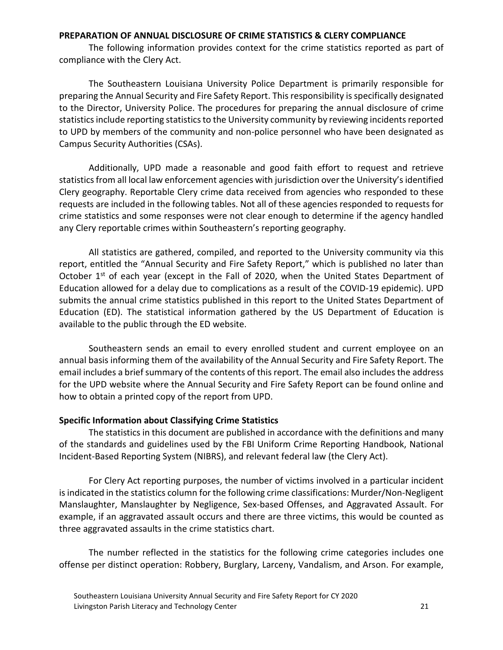## **PREPARATION OF ANNUAL DISCLOSURE OF CRIME STATISTICS & CLERY COMPLIANCE**

The following information provides context for the crime statistics reported as part of compliance with the Clery Act.

The Southeastern Louisiana University Police Department is primarily responsible for preparing the Annual Security and Fire Safety Report. This responsibility is specifically designated to the Director, University Police. The procedures for preparing the annual disclosure of crime statistics include reporting statistics to the University community by reviewing incidents reported to UPD by members of the community and non-police personnel who have been designated as Campus Security Authorities (CSAs).

Additionally, UPD made a reasonable and good faith effort to request and retrieve statistics from all local law enforcement agencies with jurisdiction over the University's identified Clery geography. Reportable Clery crime data received from agencies who responded to these requests are included in the following tables. Not all of these agencies responded to requests for crime statistics and some responses were not clear enough to determine if the agency handled any Clery reportable crimes within Southeastern's reporting geography.

All statistics are gathered, compiled, and reported to the University community via this report, entitled the "Annual Security and Fire Safety Report," which is published no later than October 1<sup>st</sup> of each year (except in the Fall of 2020, when the United States Department of Education allowed for a delay due to complications as a result of the COVID-19 epidemic). UPD submits the annual crime statistics published in this report to the United States Department of Education (ED). The statistical information gathered by the US Department of Education is available to the public through the ED website.

Southeastern sends an email to every enrolled student and current employee on an annual basis informing them of the availability of the Annual Security and Fire Safety Report. The email includes a brief summary of the contents of this report. The email also includes the address for the UPD website where the Annual Security and Fire Safety Report can be found online and how to obtain a printed copy of the report from UPD.

## **Specific Information about Classifying Crime Statistics**

The statistics in this document are published in accordance with the definitions and many of the standards and guidelines used by the FBI Uniform Crime Reporting Handbook, National Incident-Based Reporting System (NIBRS), and relevant federal law (the Clery Act).

For Clery Act reporting purposes, the number of victims involved in a particular incident is indicated in the statistics column for the following crime classifications: Murder/Non-Negligent Manslaughter, Manslaughter by Negligence, Sex-based Offenses, and Aggravated Assault. For example, if an aggravated assault occurs and there are three victims, this would be counted as three aggravated assaults in the crime statistics chart.

The number reflected in the statistics for the following crime categories includes one offense per distinct operation: Robbery, Burglary, Larceny, Vandalism, and Arson. For example,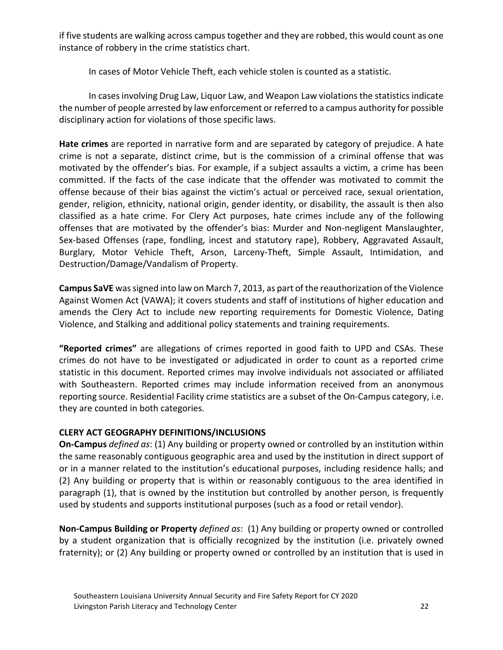if five students are walking across campus together and they are robbed, this would count as one instance of robbery in the crime statistics chart.

In cases of Motor Vehicle Theft, each vehicle stolen is counted as a statistic.

In cases involving Drug Law, Liquor Law, and Weapon Law violations the statistics indicate the number of people arrested by law enforcement or referred to a campus authority for possible disciplinary action for violations of those specific laws.

**Hate crimes** are reported in narrative form and are separated by category of prejudice. A hate crime is not a separate, distinct crime, but is the commission of a criminal offense that was motivated by the offender's bias. For example, if a subject assaults a victim, a crime has been committed. If the facts of the case indicate that the offender was motivated to commit the offense because of their bias against the victim's actual or perceived race, sexual orientation, gender, religion, ethnicity, national origin, gender identity, or disability, the assault is then also classified as a hate crime. For Clery Act purposes, hate crimes include any of the following offenses that are motivated by the offender's bias: Murder and Non-negligent Manslaughter, Sex-based Offenses (rape, fondling, incest and statutory rape), Robbery, Aggravated Assault, Burglary, Motor Vehicle Theft, Arson, Larceny-Theft, Simple Assault, Intimidation, and Destruction/Damage/Vandalism of Property.

**Campus SaVE** was signed into law on March 7, 2013, as part of the reauthorization of the Violence Against Women Act (VAWA); it covers students and staff of institutions of higher education and amends the Clery Act to include new reporting requirements for Domestic Violence, Dating Violence, and Stalking and additional policy statements and training requirements.

**"Reported crimes"** are allegations of crimes reported in good faith to UPD and CSAs. These crimes do not have to be investigated or adjudicated in order to count as a reported crime statistic in this document. Reported crimes may involve individuals not associated or affiliated with Southeastern. Reported crimes may include information received from an anonymous reporting source. Residential Facility crime statistics are a subset of the On-Campus category, i.e. they are counted in both categories.

# **CLERY ACT GEOGRAPHY DEFINITIONS/INCLUSIONS**

**On-Campus** *defined as*: (1) Any building or property owned or controlled by an institution within the same reasonably contiguous geographic area and used by the institution in direct support of or in a manner related to the institution's educational purposes, including residence halls; and (2) Any building or property that is within or reasonably contiguous to the area identified in paragraph (1), that is owned by the institution but controlled by another person, is frequently used by students and supports institutional purposes (such as a food or retail vendor).

**Non-Campus Building or Property** *defined as*: (1) Any building or property owned or controlled by a student organization that is officially recognized by the institution (i.e. privately owned fraternity); or (2) Any building or property owned or controlled by an institution that is used in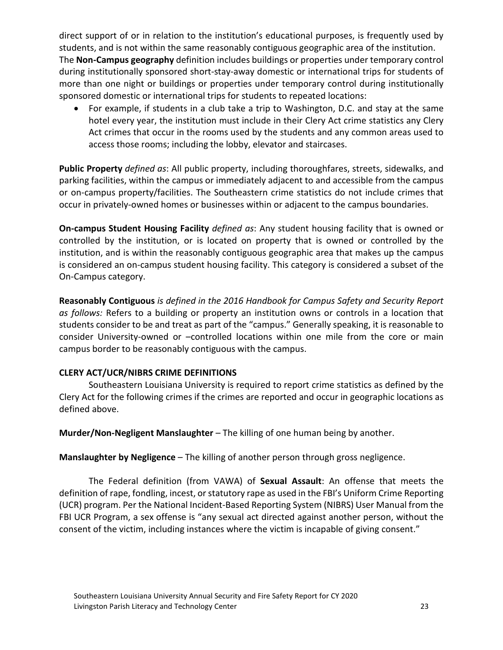direct support of or in relation to the institution's educational purposes, is frequently used by students, and is not within the same reasonably contiguous geographic area of the institution. The **Non-Campus geography** definition includes buildings or properties under temporary control during institutionally sponsored short-stay-away domestic or international trips for students of more than one night or buildings or properties under temporary control during institutionally sponsored domestic or international trips for students to repeated locations:

• For example, if students in a club take a trip to Washington, D.C. and stay at the same hotel every year, the institution must include in their Clery Act crime statistics any Clery Act crimes that occur in the rooms used by the students and any common areas used to access those rooms; including the lobby, elevator and staircases.

**Public Property** *defined as*: All public property, including thoroughfares, streets, sidewalks, and parking facilities, within the campus or immediately adjacent to and accessible from the campus or on-campus property/facilities. The Southeastern crime statistics do not include crimes that occur in privately-owned homes or businesses within or adjacent to the campus boundaries.

**On-campus Student Housing Facility** *defined as*: Any student housing facility that is owned or controlled by the institution, or is located on property that is owned or controlled by the institution, and is within the reasonably contiguous geographic area that makes up the campus is considered an on-campus student housing facility. This category is considered a subset of the On-Campus category.

**Reasonably Contiguous** *is defined in the 2016 Handbook for Campus Safety and Security Report as follows:* Refers to a building or property an institution owns or controls in a location that students consider to be and treat as part of the "campus." Generally speaking, it is reasonable to consider University-owned or –controlled locations within one mile from the core or main campus border to be reasonably contiguous with the campus.

# **CLERY ACT/UCR/NIBRS CRIME DEFINITIONS**

Southeastern Louisiana University is required to report crime statistics as defined by the Clery Act for the following crimes if the crimes are reported and occur in geographic locations as defined above.

**Murder/Non-Negligent Manslaughter** – The killing of one human being by another.

**Manslaughter by Negligence** – The killing of another person through gross negligence.

The Federal definition (from VAWA) of **Sexual Assault**: An offense that meets the definition of rape, fondling, incest, or statutory rape as used in the FBI's Uniform Crime Reporting (UCR) program. Per the National Incident-Based Reporting System (NIBRS) User Manual from the FBI UCR Program, a sex offense is "any sexual act directed against another person, without the consent of the victim, including instances where the victim is incapable of giving consent."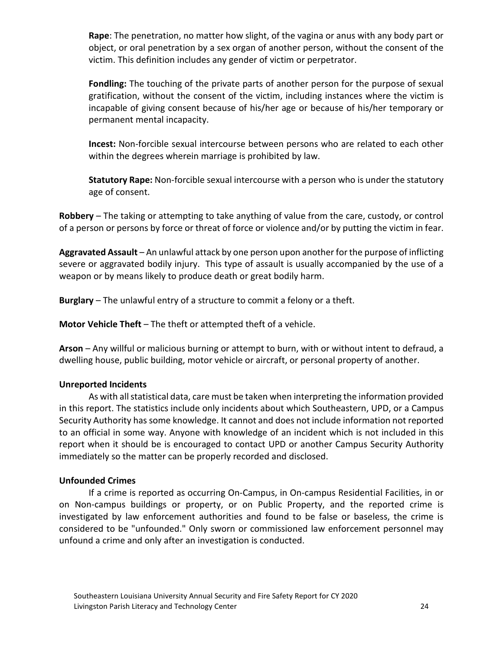**Rape**: The penetration, no matter how slight, of the vagina or anus with any body part or object, or oral penetration by a sex organ of another person, without the consent of the victim. This definition includes any gender of victim or perpetrator.

**Fondling:** The touching of the private parts of another person for the purpose of sexual gratification, without the consent of the victim, including instances where the victim is incapable of giving consent because of his/her age or because of his/her temporary or permanent mental incapacity.

**Incest:** Non-forcible sexual intercourse between persons who are related to each other within the degrees wherein marriage is prohibited by law.

**Statutory Rape:** Non-forcible sexual intercourse with a person who is under the statutory age of consent.

**Robbery** – The taking or attempting to take anything of value from the care, custody, or control of a person or persons by force or threat of force or violence and/or by putting the victim in fear.

**Aggravated Assault** – An unlawful attack by one person upon another for the purpose of inflicting severe or aggravated bodily injury. This type of assault is usually accompanied by the use of a weapon or by means likely to produce death or great bodily harm.

**Burglary** – The unlawful entry of a structure to commit a felony or a theft.

**Motor Vehicle Theft** – The theft or attempted theft of a vehicle.

**Arson** – Any willful or malicious burning or attempt to burn, with or without intent to defraud, a dwelling house, public building, motor vehicle or aircraft, or personal property of another.

## **Unreported Incidents**

As with all statistical data, care must be taken when interpreting the information provided in this report. The statistics include only incidents about which Southeastern, UPD, or a Campus Security Authority has some knowledge. It cannot and does not include information not reported to an official in some way. Anyone with knowledge of an incident which is not included in this report when it should be is encouraged to contact UPD or another Campus Security Authority immediately so the matter can be properly recorded and disclosed.

## **Unfounded Crimes**

If a crime is reported as occurring On-Campus, in On-campus Residential Facilities, in or on Non-campus buildings or property, or on Public Property, and the reported crime is investigated by law enforcement authorities and found to be false or baseless, the crime is considered to be "unfounded." Only sworn or commissioned law enforcement personnel may unfound a crime and only after an investigation is conducted.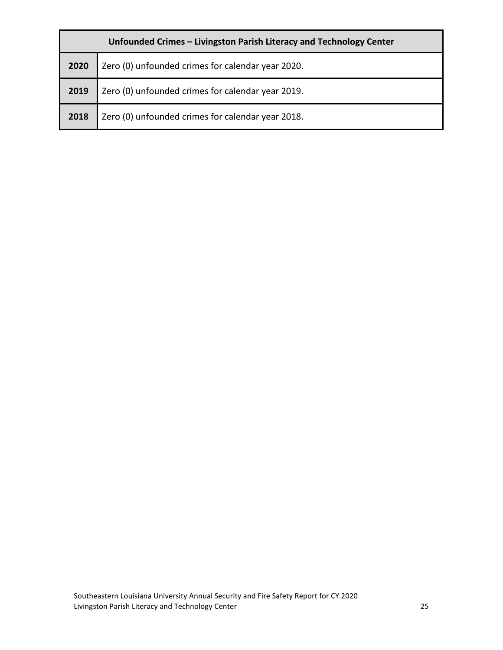|      | Unfounded Crimes – Livingston Parish Literacy and Technology Center |
|------|---------------------------------------------------------------------|
| 2020 | Zero (0) unfounded crimes for calendar year 2020.                   |
| 2019 | Zero (0) unfounded crimes for calendar year 2019.                   |
| 2018 | Zero (0) unfounded crimes for calendar year 2018.                   |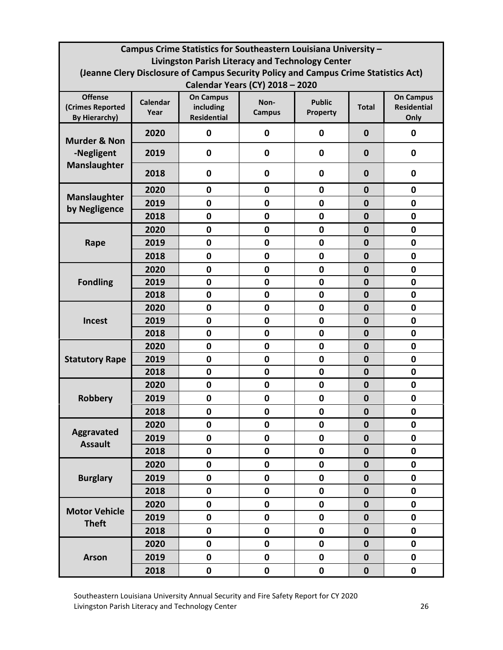| Campus Crime Statistics for Southeastern Louisiana University -<br><b>Livingston Parish Literacy and Technology Center</b> |                  |                                                                                     |                                        |                           |                  |                                                |
|----------------------------------------------------------------------------------------------------------------------------|------------------|-------------------------------------------------------------------------------------|----------------------------------------|---------------------------|------------------|------------------------------------------------|
|                                                                                                                            |                  | (Jeanne Clery Disclosure of Campus Security Policy and Campus Crime Statistics Act) |                                        |                           |                  |                                                |
|                                                                                                                            |                  |                                                                                     | <b>Calendar Years (CY) 2018 - 2020</b> |                           |                  |                                                |
| <b>Offense</b><br>(Crimes Reported<br><b>By Hierarchy)</b>                                                                 | Calendar<br>Year | <b>On Campus</b><br>including<br><b>Residential</b>                                 | Non-<br><b>Campus</b>                  | <b>Public</b><br>Property | <b>Total</b>     | <b>On Campus</b><br><b>Residential</b><br>Only |
| <b>Murder &amp; Non</b>                                                                                                    | 2020             | 0                                                                                   | 0                                      | $\mathbf 0$               | $\mathbf 0$      | $\mathbf 0$                                    |
| -Negligent                                                                                                                 | 2019             | $\mathbf 0$                                                                         | 0                                      | $\mathbf 0$               | 0                | $\mathbf 0$                                    |
| Manslaughter                                                                                                               | 2018             | 0                                                                                   | 0                                      | 0                         | $\mathbf 0$      | 0                                              |
|                                                                                                                            | 2020             | 0                                                                                   | 0                                      | $\mathbf 0$               | $\boldsymbol{0}$ | $\mathbf 0$                                    |
| Manslaughter                                                                                                               | 2019             | 0                                                                                   | $\mathbf 0$                            | $\mathbf{0}$              | $\mathbf 0$      | $\mathbf{0}$                                   |
| by Negligence                                                                                                              | 2018             | $\mathbf 0$                                                                         | $\mathbf 0$                            | $\mathbf 0$               | $\mathbf 0$      | $\mathbf{0}$                                   |
|                                                                                                                            | 2020             | 0                                                                                   | $\mathbf 0$                            | $\mathbf 0$               | $\mathbf 0$      | $\mathbf 0$                                    |
| Rape                                                                                                                       | 2019             | $\mathbf 0$                                                                         | $\mathbf 0$                            | $\mathbf 0$               | $\bf{0}$         | $\mathbf 0$                                    |
|                                                                                                                            | 2018             | 0                                                                                   | 0                                      | 0                         | $\bf{0}$         | $\mathbf 0$                                    |
|                                                                                                                            | 2020             | 0                                                                                   | $\mathbf 0$                            | 0                         | $\mathbf 0$      | $\mathbf{0}$                                   |
| <b>Fondling</b>                                                                                                            | 2019             | $\mathbf{0}$                                                                        | $\mathbf 0$                            | $\mathbf 0$               | $\mathbf 0$      | $\mathbf 0$                                    |
|                                                                                                                            | 2018             | $\mathbf 0$                                                                         | $\bf{0}$                               | $\mathbf 0$               | $\mathbf 0$      | $\mathbf 0$                                    |
|                                                                                                                            | 2020             | 0                                                                                   | $\bf{0}$                               | $\mathbf 0$               | $\bf{0}$         | $\mathbf 0$                                    |
| Incest                                                                                                                     | 2019             | $\mathbf 0$                                                                         | $\mathbf 0$                            | $\mathbf 0$               | $\mathbf 0$      | $\mathbf{0}$                                   |
|                                                                                                                            | 2018             | $\mathbf 0$                                                                         | $\mathbf 0$                            | 0                         | $\mathbf 0$      | $\mathbf 0$                                    |
|                                                                                                                            | 2020             | $\mathbf{0}$                                                                        | $\mathbf 0$                            | $\mathbf 0$               | $\bf{0}$         | $\mathbf 0$                                    |
| <b>Statutory Rape</b>                                                                                                      | 2019             | $\mathbf 0$                                                                         | $\mathbf 0$                            | $\mathbf 0$               | $\mathbf 0$      | $\mathbf{0}$                                   |
|                                                                                                                            | 2018             | 0                                                                                   | $\mathbf 0$                            | 0                         | 0                | $\mathbf 0$                                    |
|                                                                                                                            | 2020             | 0                                                                                   | $\mathbf 0$                            | $\mathbf 0$               | $\mathbf 0$      | $\mathbf{0}$                                   |
| <b>Robbery</b>                                                                                                             | 2019             | 0                                                                                   | $\bf{0}$                               | 0                         | $\bf{0}$         | $\mathbf 0$                                    |
|                                                                                                                            | 2018             | 0                                                                                   | 0                                      | 0                         | 0                | 0                                              |
|                                                                                                                            | 2020             | $\mathbf 0$                                                                         | $\mathbf 0$                            | 0                         | $\mathbf 0$      | $\mathbf 0$                                    |
| <b>Aggravated</b>                                                                                                          | 2019             | $\mathbf 0$                                                                         | $\mathbf 0$                            | $\mathbf 0$               | $\mathbf 0$      | $\mathbf 0$                                    |
| <b>Assault</b>                                                                                                             | 2018             | $\mathbf 0$                                                                         | $\mathbf 0$                            | $\mathbf 0$               | $\mathbf 0$      | $\mathbf 0$                                    |
|                                                                                                                            | 2020             | $\mathbf 0$                                                                         | $\mathbf 0$                            | $\mathbf 0$               | $\bf{0}$         | $\mathbf 0$                                    |
| <b>Burglary</b>                                                                                                            | 2019             | $\mathbf 0$                                                                         | $\mathbf 0$                            | $\mathbf 0$               | $\mathbf 0$      | $\mathbf 0$                                    |
|                                                                                                                            | 2018             | $\mathbf 0$                                                                         | $\mathbf 0$                            | $\mathbf 0$               | $\mathbf 0$      | $\mathbf 0$                                    |
|                                                                                                                            | 2020             | $\mathbf 0$                                                                         | $\bf{0}$                               | $\mathbf 0$               | $\bf{0}$         | $\mathbf 0$                                    |
| <b>Motor Vehicle</b>                                                                                                       | 2019             | 0                                                                                   | $\bf{0}$                               | $\mathbf 0$               | $\mathbf 0$      | $\mathbf 0$                                    |
| <b>Theft</b>                                                                                                               | 2018             | $\mathbf 0$                                                                         | $\mathbf 0$                            | $\mathbf 0$               | $\mathbf 0$      | $\mathbf 0$                                    |
|                                                                                                                            | 2020             | $\mathbf 0$                                                                         | $\pmb{0}$                              | $\mathbf 0$               | $\bf{0}$         | $\mathbf 0$                                    |
| <b>Arson</b>                                                                                                               | 2019             | $\mathbf 0$                                                                         | $\mathbf 0$                            | 0                         | $\mathbf 0$      | $\mathbf 0$                                    |
|                                                                                                                            | 2018             | $\mathbf 0$                                                                         | $\pmb{0}$                              | $\mathbf 0$               | $\mathbf 0$      | $\mathbf 0$                                    |

Southeastern Louisiana University Annual Security and Fire Safety Report for CY 2020 Livingston Parish Literacy and Technology Center 26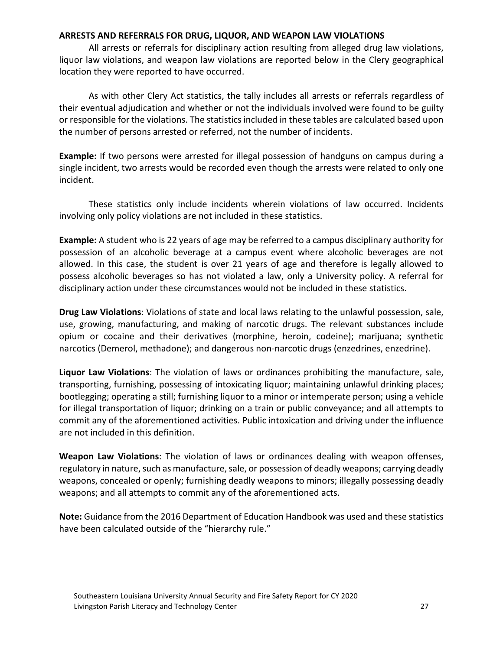## **ARRESTS AND REFERRALS FOR DRUG, LIQUOR, AND WEAPON LAW VIOLATIONS**

All arrests or referrals for disciplinary action resulting from alleged drug law violations, liquor law violations, and weapon law violations are reported below in the Clery geographical location they were reported to have occurred.

As with other Clery Act statistics, the tally includes all arrests or referrals regardless of their eventual adjudication and whether or not the individuals involved were found to be guilty or responsible for the violations. The statistics included in these tables are calculated based upon the number of persons arrested or referred, not the number of incidents.

**Example:** If two persons were arrested for illegal possession of handguns on campus during a single incident, two arrests would be recorded even though the arrests were related to only one incident.

These statistics only include incidents wherein violations of law occurred. Incidents involving only policy violations are not included in these statistics.

**Example:** A student who is 22 years of age may be referred to a campus disciplinary authority for possession of an alcoholic beverage at a campus event where alcoholic beverages are not allowed. In this case, the student is over 21 years of age and therefore is legally allowed to possess alcoholic beverages so has not violated a law, only a University policy. A referral for disciplinary action under these circumstances would not be included in these statistics.

**Drug Law Violations**: Violations of state and local laws relating to the unlawful possession, sale, use, growing, manufacturing, and making of narcotic drugs. The relevant substances include opium or cocaine and their derivatives (morphine, heroin, codeine); marijuana; synthetic narcotics (Demerol, methadone); and dangerous non-narcotic drugs (enzedrines, enzedrine).

**Liquor Law Violations**: The violation of laws or ordinances prohibiting the manufacture, sale, transporting, furnishing, possessing of intoxicating liquor; maintaining unlawful drinking places; bootlegging; operating a still; furnishing liquor to a minor or intemperate person; using a vehicle for illegal transportation of liquor; drinking on a train or public conveyance; and all attempts to commit any of the aforementioned activities. Public intoxication and driving under the influence are not included in this definition.

**Weapon Law Violations**: The violation of laws or ordinances dealing with weapon offenses, regulatory in nature, such as manufacture, sale, or possession of deadly weapons; carrying deadly weapons, concealed or openly; furnishing deadly weapons to minors; illegally possessing deadly weapons; and all attempts to commit any of the aforementioned acts.

**Note:** Guidance from the 2016 Department of Education Handbook was used and these statistics have been calculated outside of the "hierarchy rule."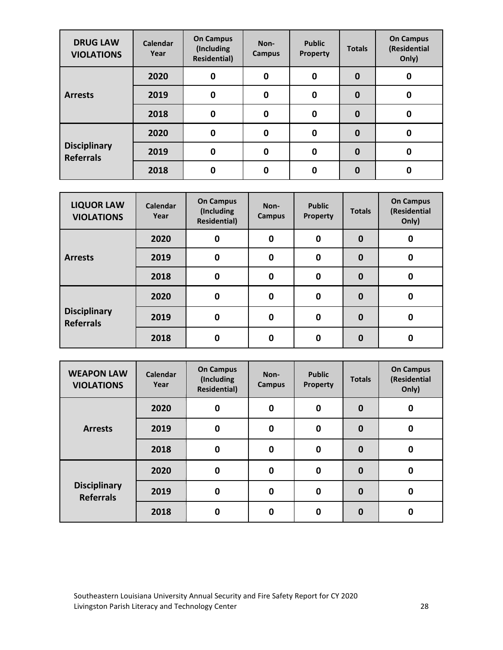| <b>DRUG LAW</b><br><b>VIOLATIONS</b>    | <b>Calendar</b><br>Year | <b>On Campus</b><br>(Including<br><b>Residential)</b> | Non-<br><b>Campus</b> | <b>Public</b><br>Property | <b>Totals</b> | <b>On Campus</b><br>(Residential<br>Only) |
|-----------------------------------------|-------------------------|-------------------------------------------------------|-----------------------|---------------------------|---------------|-------------------------------------------|
|                                         | 2020                    | 0                                                     | 0                     | $\mathbf 0$               | $\bf{0}$      | 0                                         |
| <b>Arrests</b>                          | 2019                    | 0                                                     | 0                     | $\mathbf 0$               | $\bf{0}$      | 0                                         |
|                                         | 2018                    | 0                                                     | $\mathbf 0$           | $\mathbf 0$               | $\bf{0}$      | 0                                         |
|                                         | 2020                    | 0                                                     | 0                     | $\mathbf 0$               | $\bf{0}$      | 0                                         |
| <b>Disciplinary</b><br><b>Referrals</b> | 2019                    | 0                                                     | 0                     | $\mathbf 0$               | $\bf{0}$      | 0                                         |
|                                         | 2018                    | Ω                                                     | 0                     | 0                         | 0             | 0                                         |

| <b>LIQUOR LAW</b><br><b>VIOLATIONS</b>  | <b>Calendar</b><br>Year | <b>On Campus</b><br>(Including<br><b>Residential)</b> | Non-<br><b>Campus</b> | <b>Public</b><br>Property | <b>Totals</b> | <b>On Campus</b><br>(Residential<br>Only) |
|-----------------------------------------|-------------------------|-------------------------------------------------------|-----------------------|---------------------------|---------------|-------------------------------------------|
|                                         | 2020                    | $\mathbf 0$                                           | 0                     | $\mathbf 0$               | $\bf{0}$      | 0                                         |
| <b>Arrests</b>                          | 2019                    | $\mathbf 0$                                           | 0                     | 0                         | $\mathbf 0$   | 0                                         |
|                                         | 2018                    | $\mathbf 0$                                           | 0                     | 0                         | $\bf{0}$      | 0                                         |
|                                         | 2020                    | $\mathbf 0$                                           | 0                     | $\bf{0}$                  | $\mathbf 0$   | 0                                         |
| <b>Disciplinary</b><br><b>Referrals</b> | 2019                    | $\mathbf 0$                                           | 0                     | $\bf{0}$                  | $\mathbf 0$   | 0                                         |
|                                         | 2018                    | 0                                                     | 0                     | 0                         | $\mathbf 0$   | 0                                         |

| <b>WEAPON LAW</b><br><b>VIOLATIONS</b>  | <b>Calendar</b><br>Year | <b>On Campus</b><br>(Including<br><b>Residential)</b> | Non-<br>Campus | <b>Public</b><br><b>Property</b> | <b>Totals</b> | <b>On Campus</b><br>(Residential<br>Only) |
|-----------------------------------------|-------------------------|-------------------------------------------------------|----------------|----------------------------------|---------------|-------------------------------------------|
|                                         | 2020                    | $\mathbf 0$                                           | $\mathbf 0$    | $\mathbf 0$                      | $\mathbf 0$   | $\bf{0}$                                  |
| <b>Arrests</b>                          | 2019                    | 0                                                     | 0              | $\mathbf 0$                      | $\bf{0}$      | 0                                         |
|                                         | 2018                    | $\mathbf 0$                                           | 0              | $\mathbf 0$                      | $\mathbf 0$   | 0                                         |
|                                         | 2020                    | $\mathbf 0$                                           | 0              | $\mathbf 0$                      | $\mathbf 0$   | 0                                         |
| <b>Disciplinary</b><br><b>Referrals</b> | 2019                    | $\mathbf 0$                                           | 0              | $\mathbf 0$                      | $\bf{0}$      | 0                                         |
|                                         | 2018                    | 0                                                     | 0              | 0                                | $\bf{0}$      | 0                                         |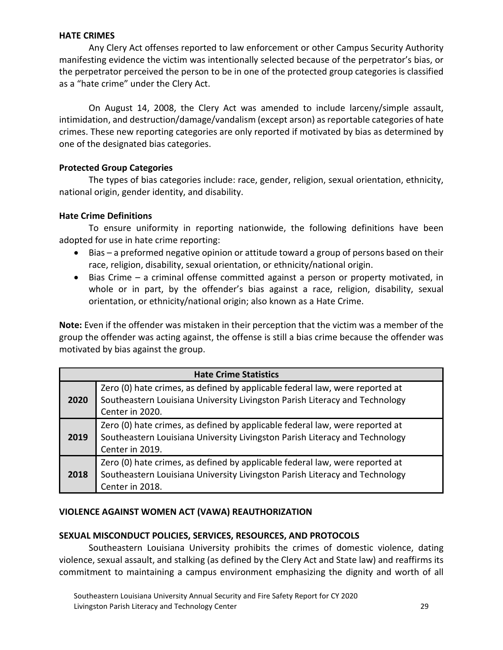## **HATE CRIMES**

Any Clery Act offenses reported to law enforcement or other Campus Security Authority manifesting evidence the victim was intentionally selected because of the perpetrator's bias, or the perpetrator perceived the person to be in one of the protected group categories is classified as a "hate crime" under the Clery Act.

On August 14, 2008, the Clery Act was amended to include larceny/simple assault, intimidation, and destruction/damage/vandalism (except arson) as reportable categories of hate crimes. These new reporting categories are only reported if motivated by bias as determined by one of the designated bias categories.

# **Protected Group Categories**

The types of bias categories include: race, gender, religion, sexual orientation, ethnicity, national origin, gender identity, and disability.

## **Hate Crime Definitions**

To ensure uniformity in reporting nationwide, the following definitions have been adopted for use in hate crime reporting:

- Bias a preformed negative opinion or attitude toward a group of persons based on their race, religion, disability, sexual orientation, or ethnicity/national origin.
- Bias Crime a criminal offense committed against a person or property motivated, in whole or in part, by the offender's bias against a race, religion, disability, sexual orientation, or ethnicity/national origin; also known as a Hate Crime.

**Note:** Even if the offender was mistaken in their perception that the victim was a member of the group the offender was acting against, the offense is still a bias crime because the offender was motivated by bias against the group.

|      | <b>Hate Crime Statistics</b>                                                                                                                                                   |
|------|--------------------------------------------------------------------------------------------------------------------------------------------------------------------------------|
| 2020 | Zero (0) hate crimes, as defined by applicable federal law, were reported at<br>Southeastern Louisiana University Livingston Parish Literacy and Technology<br>Center in 2020. |
| 2019 | Zero (0) hate crimes, as defined by applicable federal law, were reported at<br>Southeastern Louisiana University Livingston Parish Literacy and Technology<br>Center in 2019. |
| 2018 | Zero (0) hate crimes, as defined by applicable federal law, were reported at<br>Southeastern Louisiana University Livingston Parish Literacy and Technology<br>Center in 2018. |

# **VIOLENCE AGAINST WOMEN ACT (VAWA) REAUTHORIZATION**

## **SEXUAL MISCONDUCT POLICIES, SERVICES, RESOURCES, AND PROTOCOLS**

Southeastern Louisiana University prohibits the crimes of domestic violence, dating violence, sexual assault, and stalking (as defined by the Clery Act and State law) and reaffirms its commitment to maintaining a campus environment emphasizing the dignity and worth of all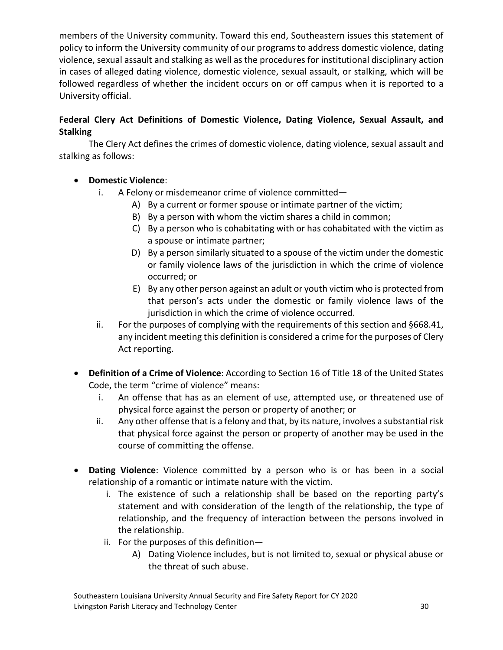members of the University community. Toward this end, Southeastern issues this statement of policy to inform the University community of our programs to address domestic violence, dating violence, sexual assault and stalking as well as the procedures for institutional disciplinary action in cases of alleged dating violence, domestic violence, sexual assault, or stalking, which will be followed regardless of whether the incident occurs on or off campus when it is reported to a University official.

# **Federal Clery Act Definitions of Domestic Violence, Dating Violence, Sexual Assault, and Stalking**

The Clery Act defines the crimes of domestic violence, dating violence, sexual assault and stalking as follows:

# • **Domestic Violence**:

- i. A Felony or misdemeanor crime of violence committed—
	- A) By a current or former spouse or intimate partner of the victim;
	- B) By a person with whom the victim shares a child in common;
	- C) By a person who is cohabitating with or has cohabitated with the victim as a spouse or intimate partner;
	- D) By a person similarly situated to a spouse of the victim under the domestic or family violence laws of the jurisdiction in which the crime of violence occurred; or
	- E) By any other person against an adult or youth victim who is protected from that person's acts under the domestic or family violence laws of the jurisdiction in which the crime of violence occurred.
- ii. For the purposes of complying with the requirements of this section and §668.41, any incident meeting this definition is considered a crime for the purposes of Clery Act reporting.
- **Definition of a Crime of Violence**: According to Section 16 of Title 18 of the United States Code, the term "crime of violence" means:
	- i. An offense that has as an element of use, attempted use, or threatened use of physical force against the person or property of another; or
	- ii. Any other offense that is a felony and that, by its nature, involves a substantial risk that physical force against the person or property of another may be used in the course of committing the offense.
- **Dating Violence**: Violence committed by a person who is or has been in a social relationship of a romantic or intimate nature with the victim.
	- i. The existence of such a relationship shall be based on the reporting party's statement and with consideration of the length of the relationship, the type of relationship, and the frequency of interaction between the persons involved in the relationship.
	- ii. For the purposes of this definition—
		- A) Dating Violence includes, but is not limited to, sexual or physical abuse or the threat of such abuse.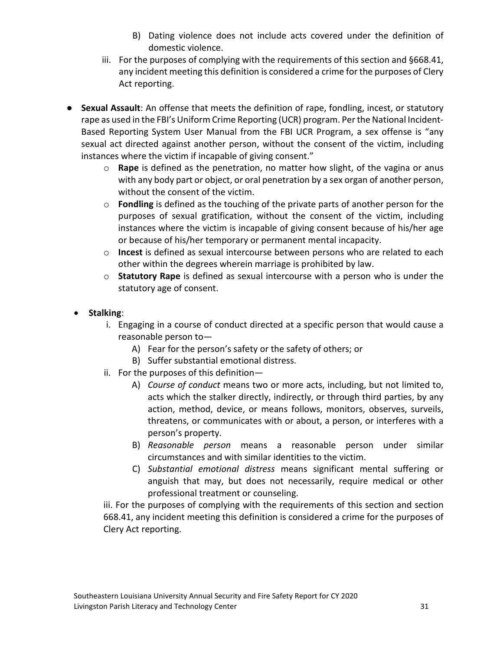- B) Dating violence does not include acts covered under the definition of domestic violence.
- iii. For the purposes of complying with the requirements of this section and §668.41, any incident meeting this definition is considered a crime for the purposes of Clery Act reporting.
- **Sexual Assault**: An offense that meets the definition of rape, fondling, incest, or statutory rape as used in the FBI's Uniform Crime Reporting (UCR) program. Per the National Incident-Based Reporting System User Manual from the FBI UCR Program, a sex offense is "any sexual act directed against another person, without the consent of the victim, including instances where the victim if incapable of giving consent."
	- o **Rape** is defined as the penetration, no matter how slight, of the vagina or anus with any body part or object, or oral penetration by a sex organ of another person, without the consent of the victim.
	- o **Fondling** is defined as the touching of the private parts of another person for the purposes of sexual gratification, without the consent of the victim, including instances where the victim is incapable of giving consent because of his/her age or because of his/her temporary or permanent mental incapacity.
	- o **Incest** is defined as sexual intercourse between persons who are related to each other within the degrees wherein marriage is prohibited by law.
	- o **Statutory Rape** is defined as sexual intercourse with a person who is under the statutory age of consent.
	- **Stalking**:
		- i. Engaging in a course of conduct directed at a specific person that would cause a reasonable person to—
			- A) Fear for the person's safety or the safety of others; or
			- B) Suffer substantial emotional distress.
		- ii. For the purposes of this definition—
			- A) *Course of conduct* means two or more acts, including, but not limited to, acts which the stalker directly, indirectly, or through third parties, by any action, method, device, or means follows, monitors, observes, surveils, threatens, or communicates with or about, a person, or interferes with a person's property.
			- B) *Reasonable person* means a reasonable person under similar circumstances and with similar identities to the victim.
			- C) *Substantial emotional distress* means significant mental suffering or anguish that may, but does not necessarily, require medical or other professional treatment or counseling.

iii. For the purposes of complying with the requirements of this section and section 668.41, any incident meeting this definition is considered a crime for the purposes of Clery Act reporting.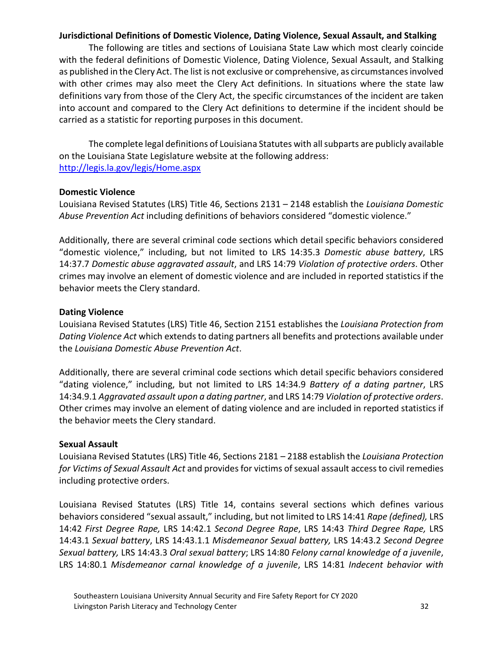# **Jurisdictional Definitions of Domestic Violence, Dating Violence, Sexual Assault, and Stalking**

The following are titles and sections of Louisiana State Law which most clearly coincide with the federal definitions of Domestic Violence, Dating Violence, Sexual Assault, and Stalking as published in the Clery Act. The list is not exclusive or comprehensive, as circumstances involved with other crimes may also meet the Clery Act definitions. In situations where the state law definitions vary from those of the Clery Act, the specific circumstances of the incident are taken into account and compared to the Clery Act definitions to determine if the incident should be carried as a statistic for reporting purposes in this document.

The complete legal definitions of Louisiana Statutes with all subparts are publicly available on the Louisiana State Legislature website at the following address: <http://legis.la.gov/legis/Home.aspx>

## **Domestic Violence**

Louisiana Revised Statutes (LRS) Title 46, Sections 2131 – 2148 establish the *Louisiana Domestic Abuse Prevention Act* including definitions of behaviors considered "domestic violence."

Additionally, there are several criminal code sections which detail specific behaviors considered "domestic violence," including, but not limited to LRS 14:35.3 *Domestic abuse battery*, LRS 14:37.7 *Domestic abuse aggravated assault*, and LRS 14:79 *Violation of protective orders*. Other crimes may involve an element of domestic violence and are included in reported statistics if the behavior meets the Clery standard.

## **Dating Violence**

Louisiana Revised Statutes (LRS) Title 46, Section 2151 establishes the *Louisiana Protection from Dating Violence Act* which extends to dating partners all benefits and protections available under the *Louisiana Domestic Abuse Prevention Act*.

Additionally, there are several criminal code sections which detail specific behaviors considered "dating violence," including, but not limited to LRS 14:34.9 *Battery of a dating partner*, LRS 14:34.9.1 *Aggravated assault upon a dating partner*, and LRS 14:79 *Violation of protective orders*. Other crimes may involve an element of dating violence and are included in reported statistics if the behavior meets the Clery standard.

# **Sexual Assault**

Louisiana Revised Statutes (LRS) Title 46, Sections 2181 – 2188 establish the *Louisiana Protection for Victims of Sexual Assault Act* and provides for victims of sexual assault access to civil remedies including protective orders.

Louisiana Revised Statutes (LRS) Title 14, contains several sections which defines various behaviors considered "sexual assault," including, but not limited to LRS 14:41 *Rape (defined),* LRS 14:42 *First Degree Rape,* LRS 14:42.1 *Second Degree Rape*, LRS 14:43 *Third Degree Rape,* LRS 14:43.1 *Sexual battery*, LRS 14:43.1.1 *Misdemeanor Sexual battery,* LRS 14:43.2 *Second Degree Sexual battery,* LRS 14:43.3 *Oral sexual battery*; LRS 14:80 *Felony carnal knowledge of a juvenile*, LRS 14:80.1 *Misdemeanor carnal knowledge of a juvenile*, LRS 14:81 *Indecent behavior with*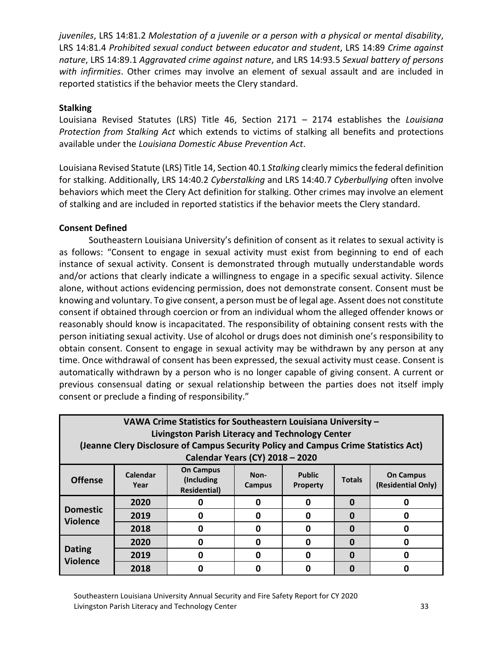*juveniles*, LRS 14:81.2 *Molestation of a juvenile or a person with a physical or mental disability*, LRS 14:81.4 *Prohibited sexual conduct between educator and student*, LRS 14:89 *Crime against nature*, LRS 14:89.1 *Aggravated crime against nature*, and LRS 14:93.5 *Sexual battery of persons with infirmities*. Other crimes may involve an element of sexual assault and are included in reported statistics if the behavior meets the Clery standard.

# **Stalking**

Louisiana Revised Statutes (LRS) Title 46, Section 2171 – 2174 establishes the *Louisiana Protection from Stalking Act* which extends to victims of stalking all benefits and protections available under the *Louisiana Domestic Abuse Prevention Act*.

Louisiana Revised Statute (LRS) Title 14, Section 40.1 *Stalking* clearly mimics the federal definition for stalking. Additionally, LRS 14:40.2 *Cyberstalking* and LRS 14:40.7 *Cyberbullying* often involve behaviors which meet the Clery Act definition for stalking. Other crimes may involve an element of stalking and are included in reported statistics if the behavior meets the Clery standard.

# **Consent Defined**

Southeastern Louisiana University's definition of consent as it relates to sexual activity is as follows: "Consent to engage in sexual activity must exist from beginning to end of each instance of sexual activity. Consent is demonstrated through mutually understandable words and/or actions that clearly indicate a willingness to engage in a specific sexual activity. Silence alone, without actions evidencing permission, does not demonstrate consent. Consent must be knowing and voluntary. To give consent, a person must be of legal age. Assent does not constitute consent if obtained through coercion or from an individual whom the alleged offender knows or reasonably should know is incapacitated. The responsibility of obtaining consent rests with the person initiating sexual activity. Use of alcohol or drugs does not diminish one's responsibility to obtain consent. Consent to engage in sexual activity may be withdrawn by any person at any time. Once withdrawal of consent has been expressed, the sexual activity must cease. Consent is automatically withdrawn by a person who is no longer capable of giving consent. A current or previous consensual dating or sexual relationship between the parties does not itself imply consent or preclude a finding of responsibility."

| VAWA Crime Statistics for Southeastern Louisiana University -<br><b>Livingston Parish Literacy and Technology Center</b>      |                  |                                                        |                |                                  |               |                                        |
|-------------------------------------------------------------------------------------------------------------------------------|------------------|--------------------------------------------------------|----------------|----------------------------------|---------------|----------------------------------------|
| (Jeanne Clery Disclosure of Campus Security Policy and Campus Crime Statistics Act)<br><b>Calendar Years (CY) 2018 - 2020</b> |                  |                                                        |                |                                  |               |                                        |
| <b>Offense</b>                                                                                                                | Calendar<br>Year | <b>On Campus</b><br>(Including<br><b>Residential</b> ) | Non-<br>Campus | <b>Public</b><br><b>Property</b> | <b>Totals</b> | <b>On Campus</b><br>(Residential Only) |
|                                                                                                                               | 2020             |                                                        | Ω              | 0                                | 0             |                                        |
| <b>Domestic</b><br><b>Violence</b>                                                                                            | 2019             |                                                        | 0              | 0                                | 0             |                                        |
|                                                                                                                               | 2018             |                                                        | 0              | 0                                | 0             |                                        |
| <b>Dating</b><br><b>Violence</b>                                                                                              | 2020             | Ω                                                      | 0              | 0                                | $\Omega$      | n                                      |
|                                                                                                                               | 2019             | ω                                                      | 0              | Ω                                | n             | n                                      |
|                                                                                                                               | 2018             |                                                        |                |                                  |               |                                        |

Southeastern Louisiana University Annual Security and Fire Safety Report for CY 2020 Livingston Parish Literacy and Technology Center 33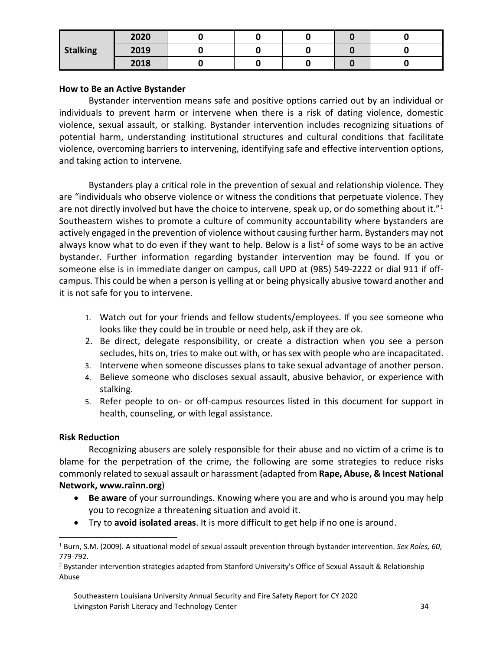|                 | 2020 |  |  |  |
|-----------------|------|--|--|--|
| <b>Stalking</b> | 2019 |  |  |  |
|                 | 2018 |  |  |  |

# **How to Be an Active Bystander**

Bystander intervention means safe and positive options carried out by an individual or individuals to prevent harm or intervene when there is a risk of dating violence, domestic violence, sexual assault, or stalking. Bystander intervention includes recognizing situations of potential harm, understanding institutional structures and cultural conditions that facilitate violence, overcoming barriers to intervening, identifying safe and effective intervention options, and taking action to intervene.

Bystanders play a critical role in the prevention of sexual and relationship violence. They are "individuals who observe violence or witness the conditions that perpetuate violence. They are not directly involved but have the choice to intervene, speak up, or do something about it."<sup>[1](#page-33-0)</sup> Southeastern wishes to promote a culture of community accountability where bystanders are actively engaged in the prevention of violence without causing further harm. Bystanders may not always know what to do even if they want to help. Below is a list<sup>[2](#page-33-1)</sup> of some ways to be an active bystander. Further information regarding bystander intervention may be found. If you or someone else is in immediate danger on campus, call UPD at (985) 549-2222 or dial 911 if offcampus. This could be when a person is yelling at or being physically abusive toward another and it is not safe for you to intervene.

- 1. Watch out for your friends and fellow students/employees. If you see someone who looks like they could be in trouble or need help, ask if they are ok.
- 2. Be direct, delegate responsibility, or create a distraction when you see a person secludes, hits on, tries to make out with, or has sex with people who are incapacitated.
- 3. Intervene when someone discusses plans to take sexual advantage of another person.
- 4. Believe someone who discloses sexual assault, abusive behavior, or experience with stalking.
- 5. Refer people to on- or off-campus resources listed in this document for support in health, counseling, or with legal assistance.

# **Risk Reduction**

Recognizing abusers are solely responsible for their abuse and no victim of a crime is to blame for the perpetration of the crime, the following are some strategies to reduce risks commonly related to sexual assault or harassment (adapted from **Rape, Abuse, & Incest National Network, www.rainn.org**)

- **Be aware** of your surroundings. Knowing where you are and who is around you may help you to recognize a threatening situation and avoid it.
- Try to **avoid isolated areas**. It is more difficult to get help if no one is around.

<span id="page-33-0"></span> <sup>1</sup> Burn, S.M. (2009). A situational model of sexual assault prevention through bystander intervention. *Sex Roles, 60*, 779-792.

<span id="page-33-1"></span><sup>&</sup>lt;sup>2</sup> Bystander intervention strategies adapted from Stanford University's Office of Sexual Assault & Relationship Abuse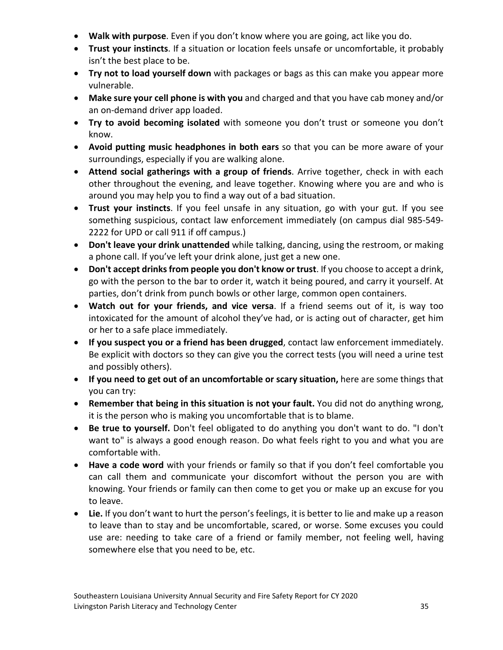- **Walk with purpose**. Even if you don't know where you are going, act like you do.
- **Trust your instincts**. If a situation or location feels unsafe or uncomfortable, it probably isn't the best place to be.
- **Try not to load yourself down** with packages or bags as this can make you appear more vulnerable.
- **Make sure your cell phone is with you** and charged and that you have cab money and/or an on-demand driver app loaded.
- **Try to avoid becoming isolated** with someone you don't trust or someone you don't know.
- **Avoid putting music headphones in both ears** so that you can be more aware of your surroundings, especially if you are walking alone.
- **Attend social gatherings with a group of friends**. Arrive together, check in with each other throughout the evening, and leave together. Knowing where you are and who is around you may help you to find a way out of a bad situation.
- **Trust your instincts**. If you feel unsafe in any situation, go with your gut. If you see something suspicious, contact law enforcement immediately (on campus dial 985-549- 2222 for UPD or call 911 if off campus.)
- **Don't leave your drink unattended** while talking, dancing, using the restroom, or making a phone call. If you've left your drink alone, just get a new one.
- **Don't accept drinks from people you don't know or trust**. If you choose to accept a drink, go with the person to the bar to order it, watch it being poured, and carry it yourself. At parties, don't drink from punch bowls or other large, common open containers.
- **Watch out for your friends, and vice versa**. If a friend seems out of it, is way too intoxicated for the amount of alcohol they've had, or is acting out of character, get him or her to a safe place immediately.
- **If you suspect you or a friend has been drugged**, contact law enforcement immediately. Be explicit with doctors so they can give you the correct tests (you will need a urine test and possibly others).
- **If you need to get out of an uncomfortable or scary situation,** here are some things that you can try:
- **Remember that being in this situation is not your fault.** You did not do anything wrong, it is the person who is making you uncomfortable that is to blame.
- **Be true to yourself.** Don't feel obligated to do anything you don't want to do. "I don't want to" is always a good enough reason. Do what feels right to you and what you are comfortable with.
- **Have a code word** with your friends or family so that if you don't feel comfortable you can call them and communicate your discomfort without the person you are with knowing. Your friends or family can then come to get you or make up an excuse for you to leave.
- **Lie.** If you don't want to hurt the person's feelings, it is better to lie and make up a reason to leave than to stay and be uncomfortable, scared, or worse. Some excuses you could use are: needing to take care of a friend or family member, not feeling well, having somewhere else that you need to be, etc.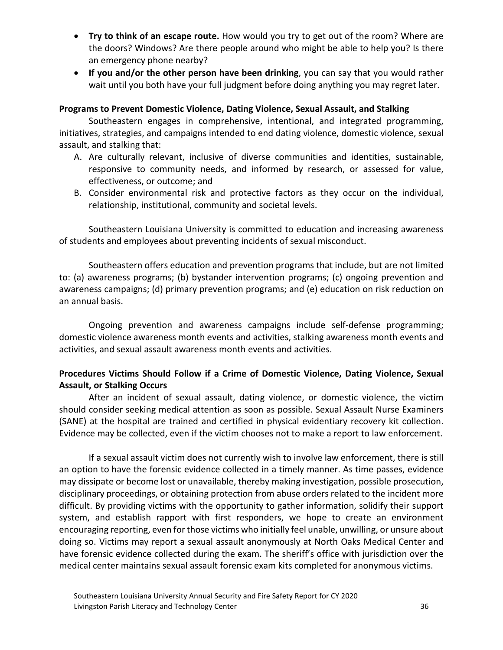- **Try to think of an escape route.** How would you try to get out of the room? Where are the doors? Windows? Are there people around who might be able to help you? Is there an emergency phone nearby?
- **If you and/or the other person have been drinking**, you can say that you would rather wait until you both have your full judgment before doing anything you may regret later.

## **Programs to Prevent Domestic Violence, Dating Violence, Sexual Assault, and Stalking**

Southeastern engages in comprehensive, intentional, and integrated programming, initiatives, strategies, and campaigns intended to end dating violence, domestic violence, sexual assault, and stalking that:

- A. Are culturally relevant, inclusive of diverse communities and identities, sustainable, responsive to community needs, and informed by research, or assessed for value, effectiveness, or outcome; and
- B. Consider environmental risk and protective factors as they occur on the individual, relationship, institutional, community and societal levels.

Southeastern Louisiana University is committed to education and increasing awareness of students and employees about preventing incidents of sexual misconduct.

Southeastern offers education and prevention programs that include, but are not limited to: (a) awareness programs; (b) bystander intervention programs; (c) ongoing prevention and awareness campaigns; (d) primary prevention programs; and (e) education on risk reduction on an annual basis.

Ongoing prevention and awareness campaigns include self-defense programming; domestic violence awareness month events and activities, stalking awareness month events and activities, and sexual assault awareness month events and activities.

# **Procedures Victims Should Follow if a Crime of Domestic Violence, Dating Violence, Sexual Assault, or Stalking Occurs**

After an incident of sexual assault, dating violence, or domestic violence, the victim should consider seeking medical attention as soon as possible. Sexual Assault Nurse Examiners (SANE) at the hospital are trained and certified in physical evidentiary recovery kit collection. Evidence may be collected, even if the victim chooses not to make a report to law enforcement.

If a sexual assault victim does not currently wish to involve law enforcement, there is still an option to have the forensic evidence collected in a timely manner. As time passes, evidence may dissipate or become lost or unavailable, thereby making investigation, possible prosecution, disciplinary proceedings, or obtaining protection from abuse orders related to the incident more difficult. By providing victims with the opportunity to gather information, solidify their support system, and establish rapport with first responders, we hope to create an environment encouraging reporting, even for those victims who initially feel unable, unwilling, or unsure about doing so. Victims may report a sexual assault anonymously at North Oaks Medical Center and have forensic evidence collected during the exam. The sheriff's office with jurisdiction over the medical center maintains sexual assault forensic exam kits completed for anonymous victims.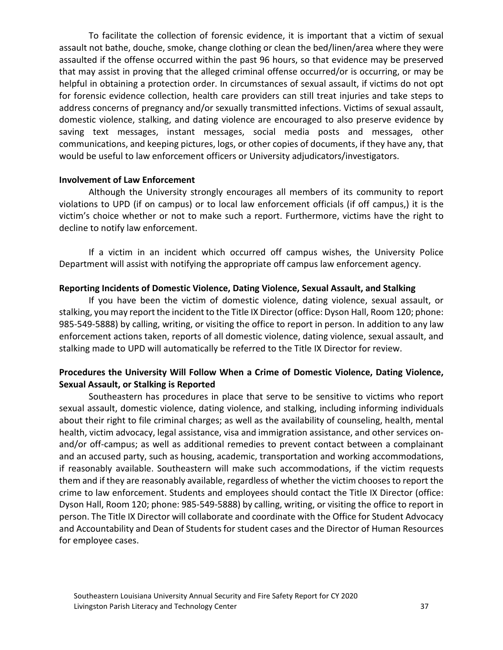To facilitate the collection of forensic evidence, it is important that a victim of sexual assault not bathe, douche, smoke, change clothing or clean the bed/linen/area where they were assaulted if the offense occurred within the past 96 hours, so that evidence may be preserved that may assist in proving that the alleged criminal offense occurred/or is occurring, or may be helpful in obtaining a protection order. In circumstances of sexual assault, if victims do not opt for forensic evidence collection, health care providers can still treat injuries and take steps to address concerns of pregnancy and/or sexually transmitted infections. Victims of sexual assault, domestic violence, stalking, and dating violence are encouraged to also preserve evidence by saving text messages, instant messages, social media posts and messages, other communications, and keeping pictures, logs, or other copies of documents, if they have any, that would be useful to law enforcement officers or University adjudicators/investigators.

#### **Involvement of Law Enforcement**

Although the University strongly encourages all members of its community to report violations to UPD (if on campus) or to local law enforcement officials (if off campus,) it is the victim's choice whether or not to make such a report. Furthermore, victims have the right to decline to notify law enforcement.

If a victim in an incident which occurred off campus wishes, the University Police Department will assist with notifying the appropriate off campus law enforcement agency.

## **Reporting Incidents of Domestic Violence, Dating Violence, Sexual Assault, and Stalking**

If you have been the victim of domestic violence, dating violence, sexual assault, or stalking, you may report the incident to the Title IX Director (office: Dyson Hall, Room 120; phone: 985-549-5888) by calling, writing, or visiting the office to report in person. In addition to any law enforcement actions taken, reports of all domestic violence, dating violence, sexual assault, and stalking made to UPD will automatically be referred to the Title IX Director for review.

# **Procedures the University Will Follow When a Crime of Domestic Violence, Dating Violence, Sexual Assault, or Stalking is Reported**

Southeastern has procedures in place that serve to be sensitive to victims who report sexual assault, domestic violence, dating violence, and stalking, including informing individuals about their right to file criminal charges; as well as the availability of counseling, health, mental health, victim advocacy, legal assistance, visa and immigration assistance, and other services onand/or off-campus; as well as additional remedies to prevent contact between a complainant and an accused party, such as housing, academic, transportation and working accommodations, if reasonably available. Southeastern will make such accommodations, if the victim requests them and if they are reasonably available, regardless of whether the victim chooses to report the crime to law enforcement. Students and employees should contact the Title IX Director (office: Dyson Hall, Room 120; phone: 985-549-5888) by calling, writing, or visiting the office to report in person. The Title IX Director will collaborate and coordinate with the Office for Student Advocacy and Accountability and Dean of Students for student cases and the Director of Human Resources for employee cases.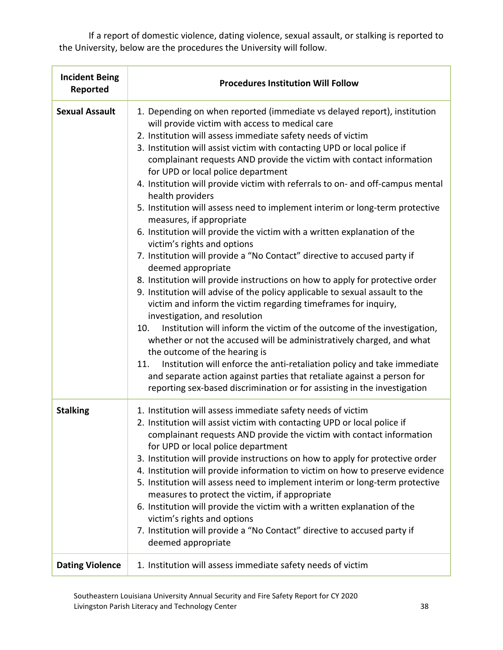If a report of domestic violence, dating violence, sexual assault, or stalking is reported to the University, below are the procedures the University will follow.

| <b>Incident Being</b><br>Reported | <b>Procedures Institution Will Follow</b>                                                                                                                                                                                                                                                                                                                                                                                                                                                                                                                                                                                                                                                                                                                                                                                                                                                                                                                                                                                                                                                                                                                                                                                                                                                                                                                                                                                                                                                                                    |
|-----------------------------------|------------------------------------------------------------------------------------------------------------------------------------------------------------------------------------------------------------------------------------------------------------------------------------------------------------------------------------------------------------------------------------------------------------------------------------------------------------------------------------------------------------------------------------------------------------------------------------------------------------------------------------------------------------------------------------------------------------------------------------------------------------------------------------------------------------------------------------------------------------------------------------------------------------------------------------------------------------------------------------------------------------------------------------------------------------------------------------------------------------------------------------------------------------------------------------------------------------------------------------------------------------------------------------------------------------------------------------------------------------------------------------------------------------------------------------------------------------------------------------------------------------------------------|
| <b>Sexual Assault</b>             | 1. Depending on when reported (immediate vs delayed report), institution<br>will provide victim with access to medical care<br>2. Institution will assess immediate safety needs of victim<br>3. Institution will assist victim with contacting UPD or local police if<br>complainant requests AND provide the victim with contact information<br>for UPD or local police department<br>4. Institution will provide victim with referrals to on- and off-campus mental<br>health providers<br>5. Institution will assess need to implement interim or long-term protective<br>measures, if appropriate<br>6. Institution will provide the victim with a written explanation of the<br>victim's rights and options<br>7. Institution will provide a "No Contact" directive to accused party if<br>deemed appropriate<br>8. Institution will provide instructions on how to apply for protective order<br>9. Institution will advise of the policy applicable to sexual assault to the<br>victim and inform the victim regarding timeframes for inquiry,<br>investigation, and resolution<br>Institution will inform the victim of the outcome of the investigation,<br>10.<br>whether or not the accused will be administratively charged, and what<br>the outcome of the hearing is<br>Institution will enforce the anti-retaliation policy and take immediate<br>11.<br>and separate action against parties that retaliate against a person for<br>reporting sex-based discrimination or for assisting in the investigation |
| <b>Stalking</b>                   | 1. Institution will assess immediate safety needs of victim<br>2. Institution will assist victim with contacting UPD or local police if<br>complainant requests AND provide the victim with contact information<br>for UPD or local police department<br>3. Institution will provide instructions on how to apply for protective order<br>4. Institution will provide information to victim on how to preserve evidence<br>5. Institution will assess need to implement interim or long-term protective<br>measures to protect the victim, if appropriate<br>6. Institution will provide the victim with a written explanation of the<br>victim's rights and options<br>7. Institution will provide a "No Contact" directive to accused party if<br>deemed appropriate                                                                                                                                                                                                                                                                                                                                                                                                                                                                                                                                                                                                                                                                                                                                                       |
| <b>Dating Violence</b>            | 1. Institution will assess immediate safety needs of victim                                                                                                                                                                                                                                                                                                                                                                                                                                                                                                                                                                                                                                                                                                                                                                                                                                                                                                                                                                                                                                                                                                                                                                                                                                                                                                                                                                                                                                                                  |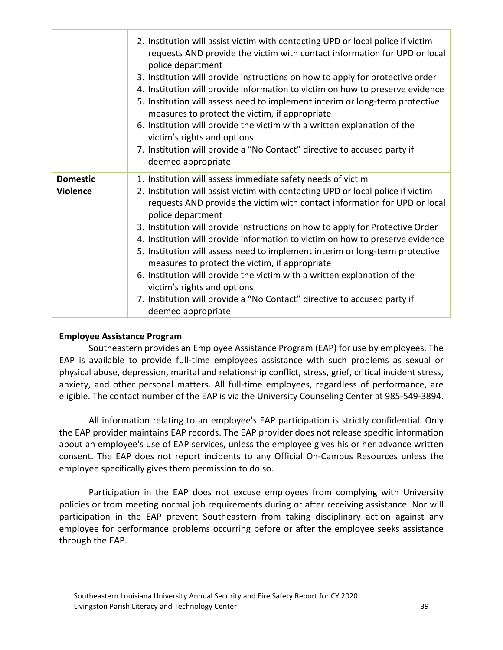|                                    | 2. Institution will assist victim with contacting UPD or local police if victim<br>requests AND provide the victim with contact information for UPD or local<br>police department<br>3. Institution will provide instructions on how to apply for protective order<br>4. Institution will provide information to victim on how to preserve evidence<br>5. Institution will assess need to implement interim or long-term protective<br>measures to protect the victim, if appropriate<br>6. Institution will provide the victim with a written explanation of the<br>victim's rights and options<br>7. Institution will provide a "No Contact" directive to accused party if<br>deemed appropriate |
|------------------------------------|----------------------------------------------------------------------------------------------------------------------------------------------------------------------------------------------------------------------------------------------------------------------------------------------------------------------------------------------------------------------------------------------------------------------------------------------------------------------------------------------------------------------------------------------------------------------------------------------------------------------------------------------------------------------------------------------------|
| <b>Domestic</b><br><b>Violence</b> | 1. Institution will assess immediate safety needs of victim<br>2. Institution will assist victim with contacting UPD or local police if victim                                                                                                                                                                                                                                                                                                                                                                                                                                                                                                                                                     |
|                                    | requests AND provide the victim with contact information for UPD or local<br>police department                                                                                                                                                                                                                                                                                                                                                                                                                                                                                                                                                                                                     |
|                                    | 3. Institution will provide instructions on how to apply for Protective Order                                                                                                                                                                                                                                                                                                                                                                                                                                                                                                                                                                                                                      |
|                                    | 4. Institution will provide information to victim on how to preserve evidence                                                                                                                                                                                                                                                                                                                                                                                                                                                                                                                                                                                                                      |
|                                    | 5. Institution will assess need to implement interim or long-term protective<br>measures to protect the victim, if appropriate                                                                                                                                                                                                                                                                                                                                                                                                                                                                                                                                                                     |
|                                    | 6. Institution will provide the victim with a written explanation of the<br>victim's rights and options                                                                                                                                                                                                                                                                                                                                                                                                                                                                                                                                                                                            |
|                                    | 7. Institution will provide a "No Contact" directive to accused party if<br>deemed appropriate                                                                                                                                                                                                                                                                                                                                                                                                                                                                                                                                                                                                     |

# **Employee Assistance Program**

Southeastern provides an Employee Assistance Program (EAP) for use by employees. The EAP is available to provide full-time employees assistance with such problems as sexual or physical abuse, depression, marital and relationship conflict, stress, grief, critical incident stress, anxiety, and other personal matters. All full-time employees, regardless of performance, are eligible. The contact number of the EAP is via the University Counseling Center at 985-549-3894.

All information relating to an employee's EAP participation is strictly confidential. Only the EAP provider maintains EAP records. The EAP provider does not release specific information about an employee's use of EAP services, unless the employee gives his or her advance written consent. The EAP does not report incidents to any Official On-Campus Resources unless the employee specifically gives them permission to do so.

Participation in the EAP does not excuse employees from complying with University policies or from meeting normal job requirements during or after receiving assistance. Nor will participation in the EAP prevent Southeastern from taking disciplinary action against any employee for performance problems occurring before or after the employee seeks assistance through the EAP.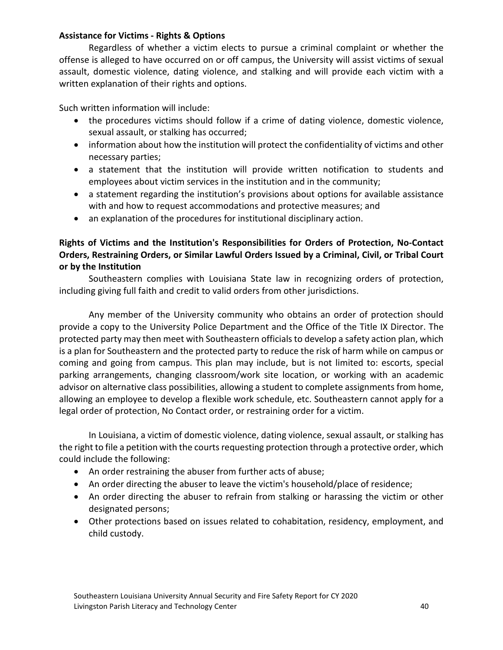## **Assistance for Victims - Rights & Options**

Regardless of whether a victim elects to pursue a criminal complaint or whether the offense is alleged to have occurred on or off campus, the University will assist victims of sexual assault, domestic violence, dating violence, and stalking and will provide each victim with a written explanation of their rights and options.

Such written information will include:

- the procedures victims should follow if a crime of dating violence, domestic violence, sexual assault, or stalking has occurred;
- information about how the institution will protect the confidentiality of victims and other necessary parties;
- a statement that the institution will provide written notification to students and employees about victim services in the institution and in the community;
- a statement regarding the institution's provisions about options for available assistance with and how to request accommodations and protective measures; and
- an explanation of the procedures for institutional disciplinary action.

# **Rights of Victims and the Institution's Responsibilities for Orders of Protection, No-Contact Orders, Restraining Orders, or Similar Lawful Orders Issued by a Criminal, Civil, or Tribal Court or by the Institution**

Southeastern complies with Louisiana State law in recognizing orders of protection, including giving full faith and credit to valid orders from other jurisdictions.

Any member of the University community who obtains an order of protection should provide a copy to the University Police Department and the Office of the Title IX Director. The protected party may then meet with Southeastern officials to develop a safety action plan, which is a plan for Southeastern and the protected party to reduce the risk of harm while on campus or coming and going from campus. This plan may include, but is not limited to: escorts, special parking arrangements, changing classroom/work site location, or working with an academic advisor on alternative class possibilities, allowing a student to complete assignments from home, allowing an employee to develop a flexible work schedule, etc. Southeastern cannot apply for a legal order of protection, No Contact order, or restraining order for a victim.

In Louisiana, a victim of domestic violence, dating violence, sexual assault, or stalking has the right to file a petition with the courts requesting protection through a protective order, which could include the following:

- An order restraining the abuser from further acts of abuse;
- An order directing the abuser to leave the victim's household/place of residence;
- An order directing the abuser to refrain from stalking or harassing the victim or other designated persons;
- Other protections based on issues related to cohabitation, residency, employment, and child custody.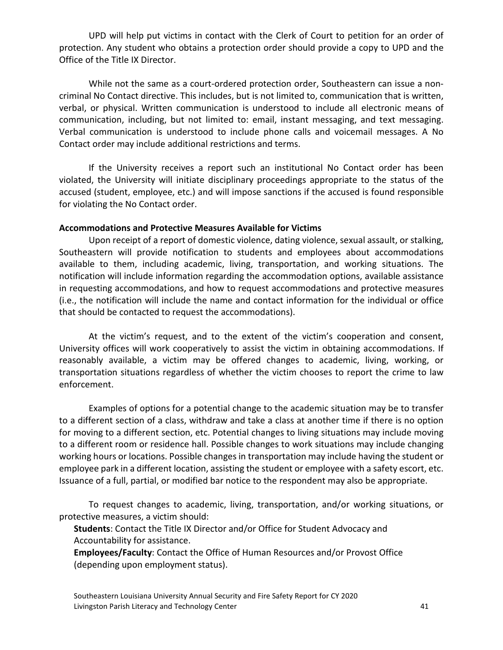UPD will help put victims in contact with the Clerk of Court to petition for an order of protection. Any student who obtains a protection order should provide a copy to UPD and the Office of the Title IX Director.

While not the same as a court-ordered protection order, Southeastern can issue a noncriminal No Contact directive. This includes, but is not limited to, communication that is written, verbal, or physical. Written communication is understood to include all electronic means of communication, including, but not limited to: email, instant messaging, and text messaging. Verbal communication is understood to include phone calls and voicemail messages. A No Contact order may include additional restrictions and terms.

If the University receives a report such an institutional No Contact order has been violated, the University will initiate disciplinary proceedings appropriate to the status of the accused (student, employee, etc.) and will impose sanctions if the accused is found responsible for violating the No Contact order.

## **Accommodations and Protective Measures Available for Victims**

Upon receipt of a report of domestic violence, dating violence, sexual assault, or stalking, Southeastern will provide notification to students and employees about accommodations available to them, including academic, living, transportation, and working situations. The notification will include information regarding the accommodation options, available assistance in requesting accommodations, and how to request accommodations and protective measures (i.e., the notification will include the name and contact information for the individual or office that should be contacted to request the accommodations).

At the victim's request, and to the extent of the victim's cooperation and consent, University offices will work cooperatively to assist the victim in obtaining accommodations. If reasonably available, a victim may be offered changes to academic, living, working, or transportation situations regardless of whether the victim chooses to report the crime to law enforcement.

Examples of options for a potential change to the academic situation may be to transfer to a different section of a class, withdraw and take a class at another time if there is no option for moving to a different section, etc. Potential changes to living situations may include moving to a different room or residence hall. Possible changes to work situations may include changing working hours or locations. Possible changes in transportation may include having the student or employee park in a different location, assisting the student or employee with a safety escort, etc. Issuance of a full, partial, or modified bar notice to the respondent may also be appropriate.

To request changes to academic, living, transportation, and/or working situations, or protective measures, a victim should:

**Students**: Contact the Title IX Director and/or Office for Student Advocacy and Accountability for assistance.

**Employees/Faculty**: Contact the Office of Human Resources and/or Provost Office (depending upon employment status).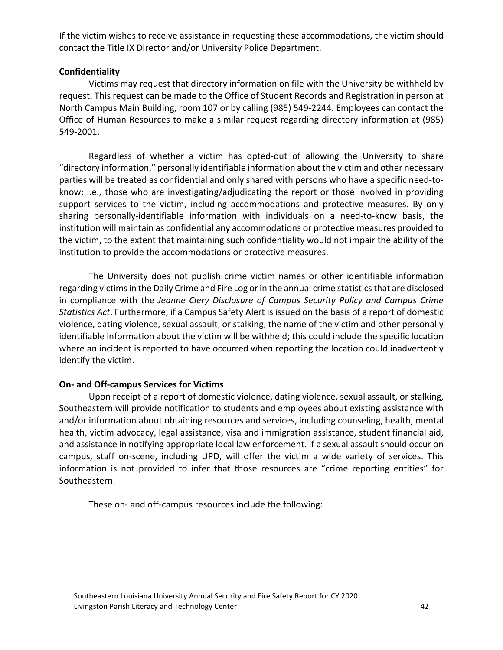If the victim wishes to receive assistance in requesting these accommodations, the victim should contact the Title IX Director and/or University Police Department.

# **Confidentiality**

Victims may request that directory information on file with the University be withheld by request. This request can be made to the Office of Student Records and Registration in person at North Campus Main Building, room 107 or by calling (985) 549-2244. Employees can contact the Office of Human Resources to make a similar request regarding directory information at (985) 549-2001.

Regardless of whether a victim has opted-out of allowing the University to share "directory information," personally identifiable information about the victim and other necessary parties will be treated as confidential and only shared with persons who have a specific need-toknow; i.e., those who are investigating/adjudicating the report or those involved in providing support services to the victim, including accommodations and protective measures. By only sharing personally-identifiable information with individuals on a need-to-know basis, the institution will maintain as confidential any accommodations or protective measures provided to the victim, to the extent that maintaining such confidentiality would not impair the ability of the institution to provide the accommodations or protective measures.

The University does not publish crime victim names or other identifiable information regarding victims in the Daily Crime and Fire Log or in the annual crime statistics that are disclosed in compliance with the *Jeanne Clery Disclosure of Campus Security Policy and Campus Crime Statistics Act*. Furthermore, if a Campus Safety Alert is issued on the basis of a report of domestic violence, dating violence, sexual assault, or stalking, the name of the victim and other personally identifiable information about the victim will be withheld; this could include the specific location where an incident is reported to have occurred when reporting the location could inadvertently identify the victim.

## **On- and Off-campus Services for Victims**

Upon receipt of a report of domestic violence, dating violence, sexual assault, or stalking, Southeastern will provide notification to students and employees about existing assistance with and/or information about obtaining resources and services, including counseling, health, mental health, victim advocacy, legal assistance, visa and immigration assistance, student financial aid, and assistance in notifying appropriate local law enforcement. If a sexual assault should occur on campus, staff on-scene, including UPD, will offer the victim a wide variety of services. This information is not provided to infer that those resources are "crime reporting entities" for Southeastern.

These on- and off-campus resources include the following: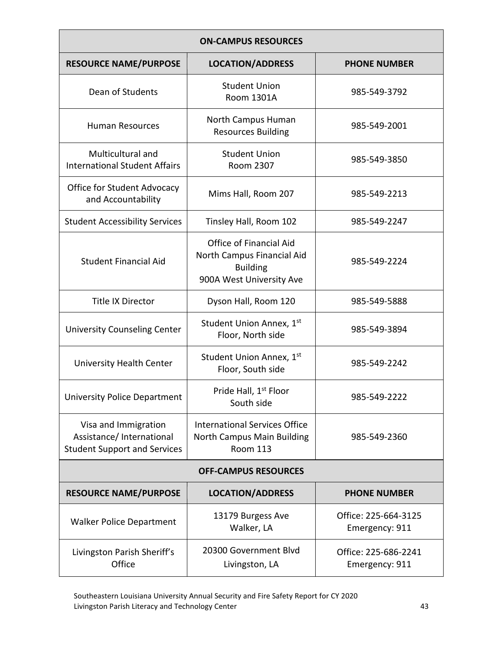| <b>ON-CAMPUS RESOURCES</b>                                                              |                                                                                                      |                                        |  |
|-----------------------------------------------------------------------------------------|------------------------------------------------------------------------------------------------------|----------------------------------------|--|
| <b>RESOURCE NAME/PURPOSE</b>                                                            | <b>LOCATION/ADDRESS</b>                                                                              | <b>PHONE NUMBER</b>                    |  |
| Dean of Students                                                                        | <b>Student Union</b><br>Room 1301A                                                                   | 985-549-3792                           |  |
| <b>Human Resources</b>                                                                  | North Campus Human<br><b>Resources Building</b>                                                      | 985-549-2001                           |  |
| Multicultural and<br><b>International Student Affairs</b>                               | <b>Student Union</b><br>Room 2307                                                                    | 985-549-3850                           |  |
| Office for Student Advocacy<br>and Accountability                                       | Mims Hall, Room 207                                                                                  | 985-549-2213                           |  |
| <b>Student Accessibility Services</b>                                                   | Tinsley Hall, Room 102                                                                               | 985-549-2247                           |  |
| <b>Student Financial Aid</b>                                                            | Office of Financial Aid<br>North Campus Financial Aid<br><b>Building</b><br>900A West University Ave | 985-549-2224                           |  |
| <b>Title IX Director</b>                                                                | Dyson Hall, Room 120                                                                                 | 985-549-5888                           |  |
| <b>University Counseling Center</b>                                                     | Student Union Annex, 1st<br>Floor, North side                                                        | 985-549-3894                           |  |
| <b>University Health Center</b>                                                         | Student Union Annex, 1st<br>Floor, South side                                                        | 985-549-2242                           |  |
| <b>University Police Department</b>                                                     | Pride Hall, 1 <sup>st</sup> Floor<br>South side                                                      | 985-549-2222                           |  |
| Visa and Immigration<br>Assistance/International<br><b>Student Support and Services</b> | <b>International Services Office</b><br>North Campus Main Building<br><b>Room 113</b>                | 985-549-2360                           |  |
| <b>OFF-CAMPUS RESOURCES</b>                                                             |                                                                                                      |                                        |  |
| <b>RESOURCE NAME/PURPOSE</b>                                                            | <b>LOCATION/ADDRESS</b>                                                                              | <b>PHONE NUMBER</b>                    |  |
| <b>Walker Police Department</b>                                                         | 13179 Burgess Ave<br>Walker, LA                                                                      | Office: 225-664-3125<br>Emergency: 911 |  |
| Livingston Parish Sheriff's<br>Office                                                   | 20300 Government Blvd<br>Livingston, LA                                                              | Office: 225-686-2241<br>Emergency: 911 |  |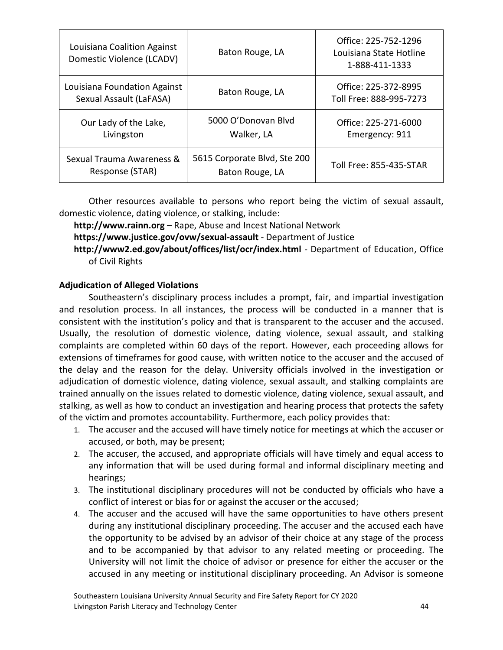| Louisiana Coalition Against<br>Domestic Violence (LCADV) | Baton Rouge, LA                                 | Office: 225-752-1296<br>Louisiana State Hotline<br>1-888-411-1333 |
|----------------------------------------------------------|-------------------------------------------------|-------------------------------------------------------------------|
| Louisiana Foundation Against<br>Sexual Assault (LaFASA)  | Baton Rouge, LA                                 | Office: 225-372-8995<br>Toll Free: 888-995-7273                   |
| Our Lady of the Lake,<br>Livingston                      | 5000 O'Donovan Blvd<br>Walker, LA               | Office: 225-271-6000<br>Emergency: 911                            |
| Sexual Trauma Awareness &<br>Response (STAR)             | 5615 Corporate Blvd, Ste 200<br>Baton Rouge, LA | <b>Toll Free: 855-435-STAR</b>                                    |

Other resources available to persons who report being the victim of sexual assault, domestic violence, dating violence, or stalking, include:

**http://www.rainn.org** – Rape, Abuse and Incest National Network

**https://www.justice.gov/ovw/sexual-assault** - Department of Justice

**<http://www2.ed.gov/about/offices/list/ocr/index.html>** - Department of Education, Office of Civil Rights

# **Adjudication of Alleged Violations**

Southeastern's disciplinary process includes a prompt, fair, and impartial investigation and resolution process. In all instances, the process will be conducted in a manner that is consistent with the institution's policy and that is transparent to the accuser and the accused. Usually, the resolution of domestic violence, dating violence, sexual assault, and stalking complaints are completed within 60 days of the report. However, each proceeding allows for extensions of timeframes for good cause, with written notice to the accuser and the accused of the delay and the reason for the delay. University officials involved in the investigation or adjudication of domestic violence, dating violence, sexual assault, and stalking complaints are trained annually on the issues related to domestic violence, dating violence, sexual assault, and stalking, as well as how to conduct an investigation and hearing process that protects the safety of the victim and promotes accountability. Furthermore, each policy provides that:

- 1. The accuser and the accused will have timely notice for meetings at which the accuser or accused, or both, may be present;
- 2. The accuser, the accused, and appropriate officials will have timely and equal access to any information that will be used during formal and informal disciplinary meeting and hearings;
- 3. The institutional disciplinary procedures will not be conducted by officials who have a conflict of interest or bias for or against the accuser or the accused;
- 4. The accuser and the accused will have the same opportunities to have others present during any institutional disciplinary proceeding. The accuser and the accused each have the opportunity to be advised by an advisor of their choice at any stage of the process and to be accompanied by that advisor to any related meeting or proceeding. The University will not limit the choice of advisor or presence for either the accuser or the accused in any meeting or institutional disciplinary proceeding. An Advisor is someone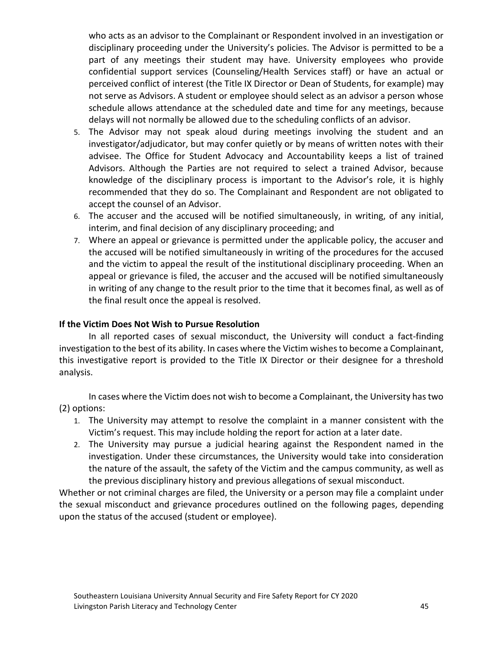who acts as an advisor to the Complainant or Respondent involved in an investigation or disciplinary proceeding under the University's policies. The Advisor is permitted to be a part of any meetings their student may have. University employees who provide confidential support services (Counseling/Health Services staff) or have an actual or perceived conflict of interest (the Title IX Director or Dean of Students, for example) may not serve as Advisors. A student or employee should select as an advisor a person whose schedule allows attendance at the scheduled date and time for any meetings, because delays will not normally be allowed due to the scheduling conflicts of an advisor.

- 5. The Advisor may not speak aloud during meetings involving the student and an investigator/adjudicator, but may confer quietly or by means of written notes with their advisee. The Office for Student Advocacy and Accountability keeps a list of trained Advisors. Although the Parties are not required to select a trained Advisor, because knowledge of the disciplinary process is important to the Advisor's role, it is highly recommended that they do so. The Complainant and Respondent are not obligated to accept the counsel of an Advisor.
- 6. The accuser and the accused will be notified simultaneously, in writing, of any initial, interim, and final decision of any disciplinary proceeding; and
- 7. Where an appeal or grievance is permitted under the applicable policy, the accuser and the accused will be notified simultaneously in writing of the procedures for the accused and the victim to appeal the result of the institutional disciplinary proceeding. When an appeal or grievance is filed, the accuser and the accused will be notified simultaneously in writing of any change to the result prior to the time that it becomes final, as well as of the final result once the appeal is resolved.

## **If the Victim Does Not Wish to Pursue Resolution**

In all reported cases of sexual misconduct, the University will conduct a fact-finding investigation to the best of its ability. In cases where the Victim wishes to become a Complainant, this investigative report is provided to the Title IX Director or their designee for a threshold analysis.

In cases where the Victim does not wish to become a Complainant, the University has two (2) options:

- 1. The University may attempt to resolve the complaint in a manner consistent with the Victim's request. This may include holding the report for action at a later date.
- 2. The University may pursue a judicial hearing against the Respondent named in the investigation. Under these circumstances, the University would take into consideration the nature of the assault, the safety of the Victim and the campus community, as well as the previous disciplinary history and previous allegations of sexual misconduct.

Whether or not criminal charges are filed, the University or a person may file a complaint under the sexual misconduct and grievance procedures outlined on the following pages, depending upon the status of the accused (student or employee).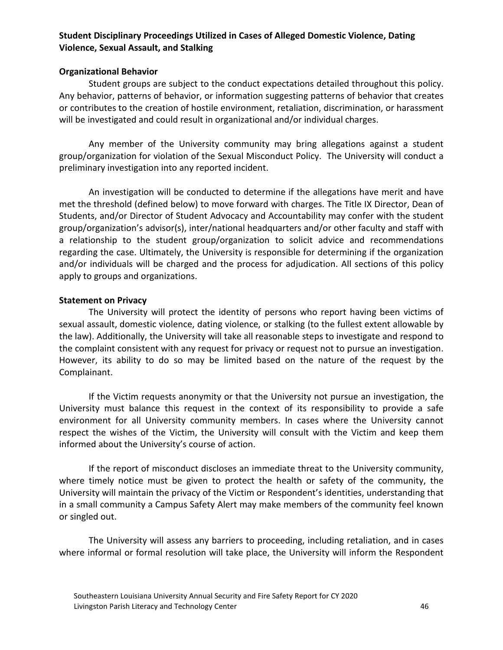# **Student Disciplinary Proceedings Utilized in Cases of Alleged Domestic Violence, Dating Violence, Sexual Assault, and Stalking**

## **Organizational Behavior**

Student groups are subject to the conduct expectations detailed throughout this policy. Any behavior, patterns of behavior, or information suggesting patterns of behavior that creates or contributes to the creation of hostile environment, retaliation, discrimination, or harassment will be investigated and could result in organizational and/or individual charges.

Any member of the University community may bring allegations against a student group/organization for violation of the Sexual Misconduct Policy. The University will conduct a preliminary investigation into any reported incident.

An investigation will be conducted to determine if the allegations have merit and have met the threshold (defined below) to move forward with charges. The Title IX Director, Dean of Students, and/or Director of Student Advocacy and Accountability may confer with the student group/organization's advisor(s), inter/national headquarters and/or other faculty and staff with a relationship to the student group/organization to solicit advice and recommendations regarding the case. Ultimately, the University is responsible for determining if the organization and/or individuals will be charged and the process for adjudication. All sections of this policy apply to groups and organizations.

## **Statement on Privacy**

The University will protect the identity of persons who report having been victims of sexual assault, domestic violence, dating violence, or stalking (to the fullest extent allowable by the law). Additionally, the University will take all reasonable steps to investigate and respond to the complaint consistent with any request for privacy or request not to pursue an investigation. However, its ability to do so may be limited based on the nature of the request by the Complainant.

If the Victim requests anonymity or that the University not pursue an investigation, the University must balance this request in the context of its responsibility to provide a safe environment for all University community members. In cases where the University cannot respect the wishes of the Victim, the University will consult with the Victim and keep them informed about the University's course of action.

If the report of misconduct discloses an immediate threat to the University community, where timely notice must be given to protect the health or safety of the community, the University will maintain the privacy of the Victim or Respondent's identities, understanding that in a small community a Campus Safety Alert may make members of the community feel known or singled out.

The University will assess any barriers to proceeding, including retaliation, and in cases where informal or formal resolution will take place, the University will inform the Respondent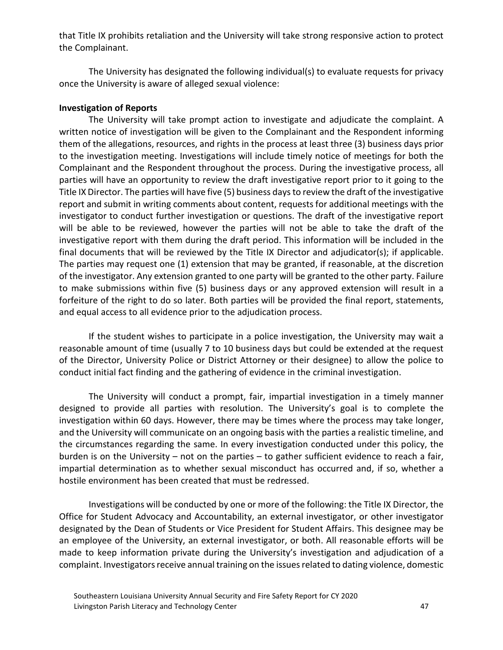that Title IX prohibits retaliation and the University will take strong responsive action to protect the Complainant.

The University has designated the following individual(s) to evaluate requests for privacy once the University is aware of alleged sexual violence:

## **Investigation of Reports**

The University will take prompt action to investigate and adjudicate the complaint. A written notice of investigation will be given to the Complainant and the Respondent informing them of the allegations, resources, and rights in the process at least three (3) business days prior to the investigation meeting. Investigations will include timely notice of meetings for both the Complainant and the Respondent throughout the process. During the investigative process, all parties will have an opportunity to review the draft investigative report prior to it going to the Title IX Director. The parties will have five (5) business days to review the draft of the investigative report and submit in writing comments about content, requests for additional meetings with the investigator to conduct further investigation or questions. The draft of the investigative report will be able to be reviewed, however the parties will not be able to take the draft of the investigative report with them during the draft period. This information will be included in the final documents that will be reviewed by the Title IX Director and adjudicator(s); if applicable. The parties may request one (1) extension that may be granted, if reasonable, at the discretion of the investigator. Any extension granted to one party will be granted to the other party. Failure to make submissions within five (5) business days or any approved extension will result in a forfeiture of the right to do so later. Both parties will be provided the final report, statements, and equal access to all evidence prior to the adjudication process.

If the student wishes to participate in a police investigation, the University may wait a reasonable amount of time (usually 7 to 10 business days but could be extended at the request of the Director, University Police or District Attorney or their designee) to allow the police to conduct initial fact finding and the gathering of evidence in the criminal investigation.

The University will conduct a prompt, fair, impartial investigation in a timely manner designed to provide all parties with resolution. The University's goal is to complete the investigation within 60 days. However, there may be times where the process may take longer, and the University will communicate on an ongoing basis with the parties a realistic timeline, and the circumstances regarding the same. In every investigation conducted under this policy, the burden is on the University – not on the parties – to gather sufficient evidence to reach a fair, impartial determination as to whether sexual misconduct has occurred and, if so, whether a hostile environment has been created that must be redressed.

Investigations will be conducted by one or more of the following: the Title IX Director, the Office for Student Advocacy and Accountability, an external investigator, or other investigator designated by the Dean of Students or Vice President for Student Affairs. This designee may be an employee of the University, an external investigator, or both. All reasonable efforts will be made to keep information private during the University's investigation and adjudication of a complaint. Investigators receive annual training on the issues related to dating violence, domestic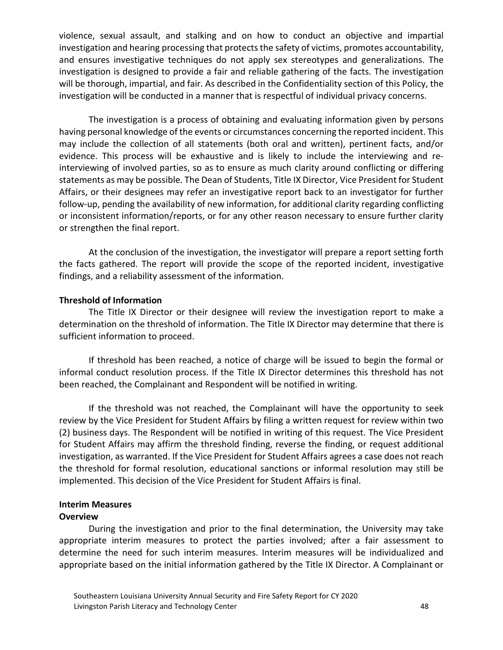violence, sexual assault, and stalking and on how to conduct an objective and impartial investigation and hearing processing that protects the safety of victims, promotes accountability, and ensures investigative techniques do not apply sex stereotypes and generalizations. The investigation is designed to provide a fair and reliable gathering of the facts. The investigation will be thorough, impartial, and fair. As described in the Confidentiality section of this Policy, the investigation will be conducted in a manner that is respectful of individual privacy concerns.

The investigation is a process of obtaining and evaluating information given by persons having personal knowledge of the events or circumstances concerning the reported incident. This may include the collection of all statements (both oral and written), pertinent facts, and/or evidence. This process will be exhaustive and is likely to include the interviewing and reinterviewing of involved parties, so as to ensure as much clarity around conflicting or differing statements as may be possible. The Dean of Students, Title IX Director, Vice President for Student Affairs, or their designees may refer an investigative report back to an investigator for further follow-up, pending the availability of new information, for additional clarity regarding conflicting or inconsistent information/reports, or for any other reason necessary to ensure further clarity or strengthen the final report.

At the conclusion of the investigation, the investigator will prepare a report setting forth the facts gathered. The report will provide the scope of the reported incident, investigative findings, and a reliability assessment of the information.

## **Threshold of Information**

The Title IX Director or their designee will review the investigation report to make a determination on the threshold of information. The Title IX Director may determine that there is sufficient information to proceed.

If threshold has been reached, a notice of charge will be issued to begin the formal or informal conduct resolution process. If the Title IX Director determines this threshold has not been reached, the Complainant and Respondent will be notified in writing.

If the threshold was not reached, the Complainant will have the opportunity to seek review by the Vice President for Student Affairs by filing a written request for review within two (2) business days. The Respondent will be notified in writing of this request. The Vice President for Student Affairs may affirm the threshold finding, reverse the finding, or request additional investigation, as warranted. If the Vice President for Student Affairs agrees a case does not reach the threshold for formal resolution, educational sanctions or informal resolution may still be implemented. This decision of the Vice President for Student Affairs is final.

## **Interim Measures**

## **Overview**

During the investigation and prior to the final determination, the University may take appropriate interim measures to protect the parties involved; after a fair assessment to determine the need for such interim measures. Interim measures will be individualized and appropriate based on the initial information gathered by the Title IX Director. A Complainant or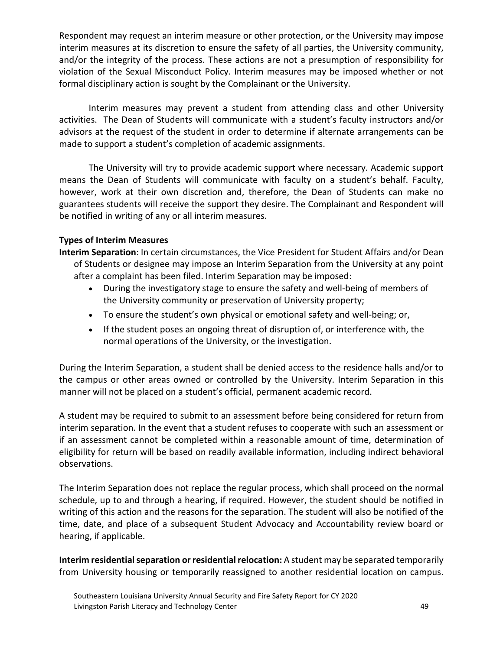Respondent may request an interim measure or other protection, or the University may impose interim measures at its discretion to ensure the safety of all parties, the University community, and/or the integrity of the process. These actions are not a presumption of responsibility for violation of the Sexual Misconduct Policy. Interim measures may be imposed whether or not formal disciplinary action is sought by the Complainant or the University.

Interim measures may prevent a student from attending class and other University activities. The Dean of Students will communicate with a student's faculty instructors and/or advisors at the request of the student in order to determine if alternate arrangements can be made to support a student's completion of academic assignments.

The University will try to provide academic support where necessary. Academic support means the Dean of Students will communicate with faculty on a student's behalf. Faculty, however, work at their own discretion and, therefore, the Dean of Students can make no guarantees students will receive the support they desire. The Complainant and Respondent will be notified in writing of any or all interim measures.

# **Types of Interim Measures**

- **Interim Separation**: In certain circumstances, the Vice President for Student Affairs and/or Dean of Students or designee may impose an Interim Separation from the University at any point after a complaint has been filed. Interim Separation may be imposed:
	- During the investigatory stage to ensure the safety and well-being of members of the University community or preservation of University property;
	- To ensure the student's own physical or emotional safety and well-being; or,
	- If the student poses an ongoing threat of disruption of, or interference with, the normal operations of the University, or the investigation.

During the Interim Separation, a student shall be denied access to the residence halls and/or to the campus or other areas owned or controlled by the University. Interim Separation in this manner will not be placed on a student's official, permanent academic record.

A student may be required to submit to an assessment before being considered for return from interim separation. In the event that a student refuses to cooperate with such an assessment or if an assessment cannot be completed within a reasonable amount of time, determination of eligibility for return will be based on readily available information, including indirect behavioral observations.

The Interim Separation does not replace the regular process, which shall proceed on the normal schedule, up to and through a hearing, if required. However, the student should be notified in writing of this action and the reasons for the separation. The student will also be notified of the time, date, and place of a subsequent Student Advocacy and Accountability review board or hearing, if applicable.

**Interim residential separation or residential relocation:** A student may be separated temporarily from University housing or temporarily reassigned to another residential location on campus.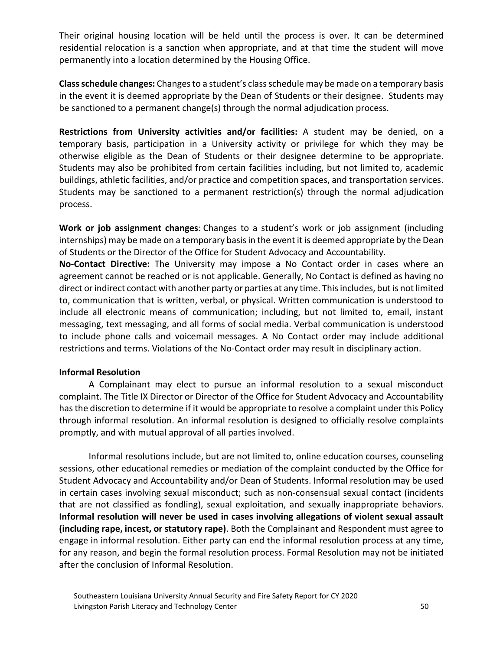Their original housing location will be held until the process is over. It can be determined residential relocation is a sanction when appropriate, and at that time the student will move permanently into a location determined by the Housing Office.

**Class schedule changes:** Changes to a student's class schedule may be made on a temporary basis in the event it is deemed appropriate by the Dean of Students or their designee. Students may be sanctioned to a permanent change(s) through the normal adjudication process.

**Restrictions from University activities and/or facilities:** A student may be denied, on a temporary basis, participation in a University activity or privilege for which they may be otherwise eligible as the Dean of Students or their designee determine to be appropriate. Students may also be prohibited from certain facilities including, but not limited to, academic buildings, athletic facilities, and/or practice and competition spaces, and transportation services. Students may be sanctioned to a permanent restriction(s) through the normal adjudication process.

**Work or job assignment changes**: Changes to a student's work or job assignment (including internships) may be made on a temporary basis in the event it is deemed appropriate by the Dean of Students or the Director of the Office for Student Advocacy and Accountability.

**No-Contact Directive:** The University may impose a No Contact order in cases where an agreement cannot be reached or is not applicable. Generally, No Contact is defined as having no direct or indirect contact with another party or parties at any time. This includes, but is not limited to, communication that is written, verbal, or physical. Written communication is understood to include all electronic means of communication; including, but not limited to, email, instant messaging, text messaging, and all forms of social media. Verbal communication is understood to include phone calls and voicemail messages. A No Contact order may include additional restrictions and terms. Violations of the No-Contact order may result in disciplinary action.

# **Informal Resolution**

A Complainant may elect to pursue an informal resolution to a sexual misconduct complaint. The Title IX Director or Director of the Office for Student Advocacy and Accountability has the discretion to determine if it would be appropriate to resolve a complaint under this Policy through informal resolution. An informal resolution is designed to officially resolve complaints promptly, and with mutual approval of all parties involved.

Informal resolutions include, but are not limited to, online education courses, counseling sessions, other educational remedies or mediation of the complaint conducted by the Office for Student Advocacy and Accountability and/or Dean of Students. Informal resolution may be used in certain cases involving sexual misconduct; such as non-consensual sexual contact (incidents that are not classified as fondling), sexual exploitation, and sexually inappropriate behaviors. **Informal resolution will never be used in cases involving allegations of violent sexual assault (including rape, incest, or statutory rape)**. Both the Complainant and Respondent must agree to engage in informal resolution. Either party can end the informal resolution process at any time, for any reason, and begin the formal resolution process. Formal Resolution may not be initiated after the conclusion of Informal Resolution.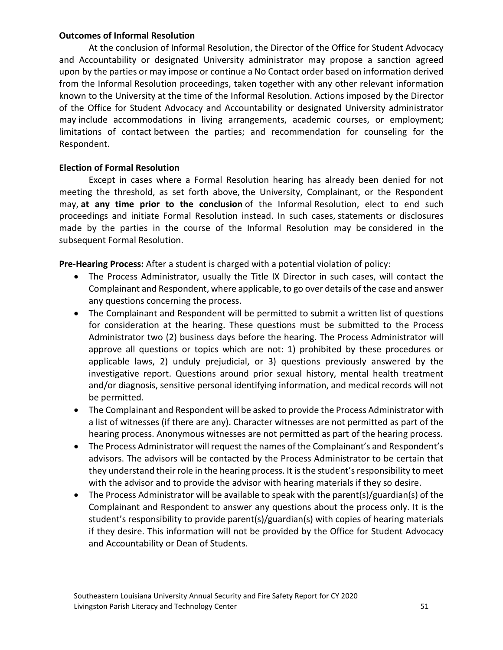## **Outcomes of Informal Resolution**

At the conclusion of Informal Resolution, the Director of the Office for Student Advocacy and Accountability or designated University administrator may propose a sanction agreed upon by the parties or may impose or continue a No Contact order based on information derived from the Informal Resolution proceedings, taken together with any other relevant information known to the University at the time of the Informal Resolution. Actions imposed by the Director of the Office for Student Advocacy and Accountability or designated University administrator may include accommodations in living arrangements, academic courses, or employment; limitations of contact between the parties; and recommendation for counseling for the Respondent.

#### **Election of Formal Resolution**

Except in cases where a Formal Resolution hearing has already been denied for not meeting the threshold, as set forth above, the University, Complainant, or the Respondent may, **at any time prior to the conclusion** of the Informal Resolution, elect to end such proceedings and initiate Formal Resolution instead. In such cases, statements or disclosures made by the parties in the course of the Informal Resolution may be considered in the subsequent Formal Resolution.

**Pre-Hearing Process:** After a student is charged with a potential violation of policy:

- The Process Administrator, usually the Title IX Director in such cases, will contact the Complainant and Respondent, where applicable, to go over details of the case and answer any questions concerning the process.
- The Complainant and Respondent will be permitted to submit a written list of questions for consideration at the hearing. These questions must be submitted to the Process Administrator two (2) business days before the hearing. The Process Administrator will approve all questions or topics which are not: 1) prohibited by these procedures or applicable laws, 2) unduly prejudicial, or 3) questions previously answered by the investigative report. Questions around prior sexual history, mental health treatment and/or diagnosis, sensitive personal identifying information, and medical records will not be permitted.
- The Complainant and Respondent will be asked to provide the Process Administrator with a list of witnesses (if there are any). Character witnesses are not permitted as part of the hearing process. Anonymous witnesses are not permitted as part of the hearing process.
- The Process Administrator will request the names of the Complainant's and Respondent's advisors. The advisors will be contacted by the Process Administrator to be certain that they understand their role in the hearing process. It is the student's responsibility to meet with the advisor and to provide the advisor with hearing materials if they so desire.
- The Process Administrator will be available to speak with the parent(s)/guardian(s) of the Complainant and Respondent to answer any questions about the process only. It is the student's responsibility to provide parent(s)/guardian(s) with copies of hearing materials if they desire. This information will not be provided by the Office for Student Advocacy and Accountability or Dean of Students.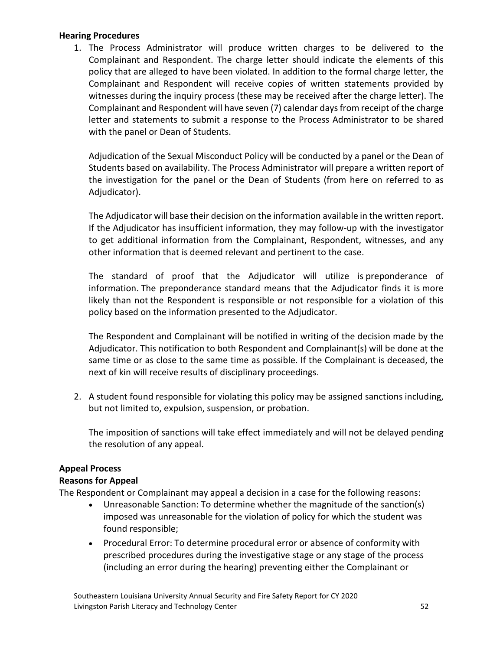## **Hearing Procedures**

1. The Process Administrator will produce written charges to be delivered to the Complainant and Respondent. The charge letter should indicate the elements of this policy that are alleged to have been violated. In addition to the formal charge letter, the Complainant and Respondent will receive copies of written statements provided by witnesses during the inquiry process (these may be received after the charge letter). The Complainant and Respondent will have seven (7) calendar days from receipt of the charge letter and statements to submit a response to the Process Administrator to be shared with the panel or Dean of Students.

Adjudication of the Sexual Misconduct Policy will be conducted by a panel or the Dean of Students based on availability. The Process Administrator will prepare a written report of the investigation for the panel or the Dean of Students (from here on referred to as Adjudicator).

The Adjudicator will base their decision on the information available in the written report. If the Adjudicator has insufficient information, they may follow-up with the investigator to get additional information from the Complainant, Respondent, witnesses, and any other information that is deemed relevant and pertinent to the case.

The standard of proof that the Adjudicator will utilize is preponderance of information. The preponderance standard means that the Adjudicator finds it is more likely than not the Respondent is responsible or not responsible for a violation of this policy based on the information presented to the Adjudicator.

The Respondent and Complainant will be notified in writing of the decision made by the Adjudicator. This notification to both Respondent and Complainant(s) will be done at the same time or as close to the same time as possible. If the Complainant is deceased, the next of kin will receive results of disciplinary proceedings.

2. A student found responsible for violating this policy may be assigned sanctions including, but not limited to, expulsion, suspension, or probation.

The imposition of sanctions will take effect immediately and will not be delayed pending the resolution of any appeal.

## **Appeal Process**

## **Reasons for Appeal**

The Respondent or Complainant may appeal a decision in a case for the following reasons:

- Unreasonable Sanction: To determine whether the magnitude of the sanction(s) imposed was unreasonable for the violation of policy for which the student was found responsible;
- Procedural Error: To determine procedural error or absence of conformity with prescribed procedures during the investigative stage or any stage of the process (including an error during the hearing) preventing either the Complainant or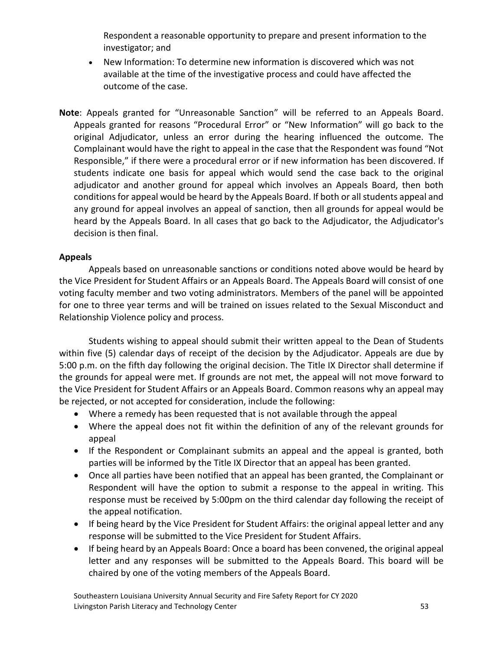Respondent a reasonable opportunity to prepare and present information to the investigator; and

- New Information: To determine new information is discovered which was not available at the time of the investigative process and could have affected the outcome of the case.
- **Note**: Appeals granted for "Unreasonable Sanction" will be referred to an Appeals Board. Appeals granted for reasons "Procedural Error" or "New Information" will go back to the original Adjudicator, unless an error during the hearing influenced the outcome. The Complainant would have the right to appeal in the case that the Respondent was found "Not Responsible," if there were a procedural error or if new information has been discovered. If students indicate one basis for appeal which would send the case back to the original adjudicator and another ground for appeal which involves an Appeals Board, then both conditions for appeal would be heard by the Appeals Board. If both or all students appeal and any ground for appeal involves an appeal of sanction, then all grounds for appeal would be heard by the Appeals Board. In all cases that go back to the Adjudicator, the Adjudicator's decision is then final.

## **Appeals**

Appeals based on unreasonable sanctions or conditions noted above would be heard by the Vice President for Student Affairs or an Appeals Board. The Appeals Board will consist of one voting faculty member and two voting administrators. Members of the panel will be appointed for one to three year terms and will be trained on issues related to the Sexual Misconduct and Relationship Violence policy and process.

Students wishing to appeal should submit their written appeal to the Dean of Students within five (5) calendar days of receipt of the decision by the Adjudicator. Appeals are due by 5:00 p.m. on the fifth day following the original decision. The Title IX Director shall determine if the grounds for appeal were met. If grounds are not met, the appeal will not move forward to the Vice President for Student Affairs or an Appeals Board. Common reasons why an appeal may be rejected, or not accepted for consideration, include the following:

- Where a remedy has been requested that is not available through the appeal
- Where the appeal does not fit within the definition of any of the relevant grounds for appeal
- If the Respondent or Complainant submits an appeal and the appeal is granted, both parties will be informed by the Title IX Director that an appeal has been granted.
- Once all parties have been notified that an appeal has been granted, the Complainant or Respondent will have the option to submit a response to the appeal in writing. This response must be received by 5:00pm on the third calendar day following the receipt of the appeal notification.
- If being heard by the Vice President for Student Affairs: the original appeal letter and any response will be submitted to the Vice President for Student Affairs.
- If being heard by an Appeals Board: Once a board has been convened, the original appeal letter and any responses will be submitted to the Appeals Board. This board will be chaired by one of the voting members of the Appeals Board.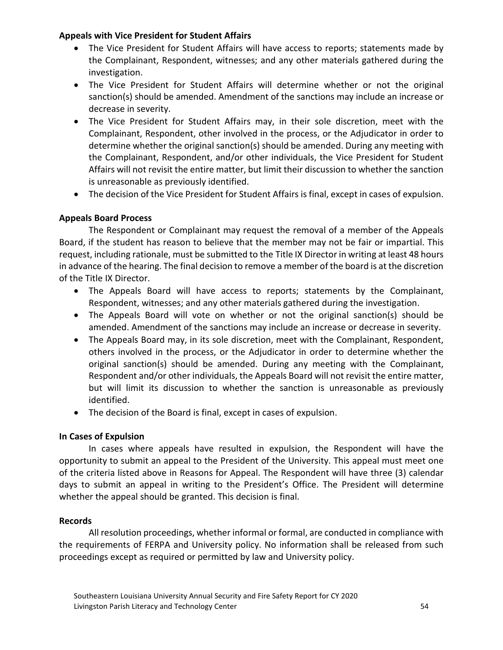## **Appeals with Vice President for Student Affairs**

- The Vice President for Student Affairs will have access to reports; statements made by the Complainant, Respondent, witnesses; and any other materials gathered during the investigation.
- The Vice President for Student Affairs will determine whether or not the original sanction(s) should be amended. Amendment of the sanctions may include an increase or decrease in severity.
- The Vice President for Student Affairs may, in their sole discretion, meet with the Complainant, Respondent, other involved in the process, or the Adjudicator in order to determine whether the original sanction(s) should be amended. During any meeting with the Complainant, Respondent, and/or other individuals, the Vice President for Student Affairs will not revisit the entire matter, but limit their discussion to whether the sanction is unreasonable as previously identified.
- The decision of the Vice President for Student Affairs is final, except in cases of expulsion.

# **Appeals Board Process**

The Respondent or Complainant may request the removal of a member of the Appeals Board, if the student has reason to believe that the member may not be fair or impartial. This request, including rationale, must be submitted to the Title IX Director in writing at least 48 hours in advance of the hearing. The final decision to remove a member of the board is at the discretion of the Title IX Director.

- The Appeals Board will have access to reports; statements by the Complainant, Respondent, witnesses; and any other materials gathered during the investigation.
- The Appeals Board will vote on whether or not the original sanction(s) should be amended. Amendment of the sanctions may include an increase or decrease in severity.
- The Appeals Board may, in its sole discretion, meet with the Complainant, Respondent, others involved in the process, or the Adjudicator in order to determine whether the original sanction(s) should be amended. During any meeting with the Complainant, Respondent and/or other individuals, the Appeals Board will not revisit the entire matter, but will limit its discussion to whether the sanction is unreasonable as previously identified.
- The decision of the Board is final, except in cases of expulsion.

# **In Cases of Expulsion**

In cases where appeals have resulted in expulsion, the Respondent will have the opportunity to submit an appeal to the President of the University. This appeal must meet one of the criteria listed above in Reasons for Appeal. The Respondent will have three (3) calendar days to submit an appeal in writing to the President's Office. The President will determine whether the appeal should be granted. This decision is final.

# **Records**

All resolution proceedings, whether informal or formal, are conducted in compliance with the requirements of FERPA and University policy. No information shall be released from such proceedings except as required or permitted by law and University policy.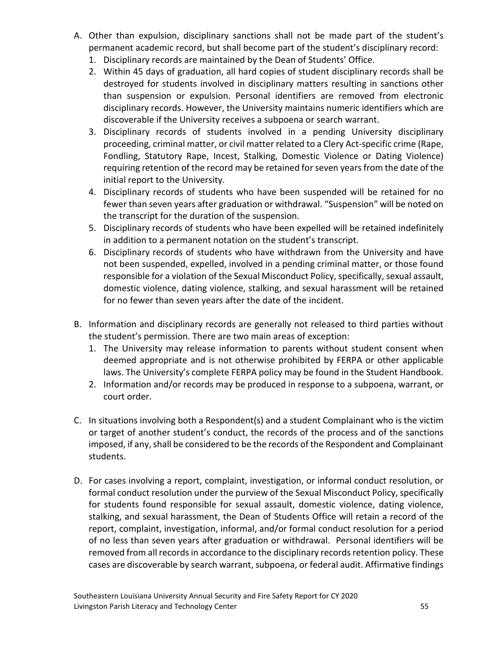- A. Other than expulsion, disciplinary sanctions shall not be made part of the student's permanent academic record, but shall become part of the student's disciplinary record:
	- 1. Disciplinary records are maintained by the Dean of Students' Office.
	- 2. Within 45 days of graduation, all hard copies of student disciplinary records shall be destroyed for students involved in disciplinary matters resulting in sanctions other than suspension or expulsion. Personal identifiers are removed from electronic disciplinary records. However, the University maintains numeric identifiers which are discoverable if the University receives a subpoena or search warrant.
	- 3. Disciplinary records of students involved in a pending University disciplinary proceeding, criminal matter, or civil matter related to a Clery Act-specific crime (Rape, Fondling, Statutory Rape, Incest, Stalking, Domestic Violence or Dating Violence) requiring retention of the record may be retained for seven years from the date of the initial report to the University.
	- 4. Disciplinary records of students who have been suspended will be retained for no fewer than seven years after graduation or withdrawal. "Suspension" will be noted on the transcript for the duration of the suspension.
	- 5. Disciplinary records of students who have been expelled will be retained indefinitely in addition to a permanent notation on the student's transcript.
	- 6. Disciplinary records of students who have withdrawn from the University and have not been suspended, expelled, involved in a pending criminal matter, or those found responsible for a violation of the Sexual Misconduct Policy, specifically, sexual assault, domestic violence, dating violence, stalking, and sexual harassment will be retained for no fewer than seven years after the date of the incident.
- B. Information and disciplinary records are generally not released to third parties without the student's permission. There are two main areas of exception:
	- 1. The University may release information to parents without student consent when deemed appropriate and is not otherwise prohibited by FERPA or other applicable laws. The University's complete FERPA policy may be found in the Student Handbook.
	- 2. Information and/or records may be produced in response to a subpoena, warrant, or court order.
- C. In situations involving both a Respondent(s) and a student Complainant who is the victim or target of another student's conduct, the records of the process and of the sanctions imposed, if any, shall be considered to be the records of the Respondent and Complainant students.
- D. For cases involving a report, complaint, investigation, or informal conduct resolution, or formal conduct resolution under the purview of the Sexual Misconduct Policy, specifically for students found responsible for sexual assault, domestic violence, dating violence, stalking, and sexual harassment, the Dean of Students Office will retain a record of the report, complaint, investigation, informal, and/or formal conduct resolution for a period of no less than seven years after graduation or withdrawal. Personal identifiers will be removed from all records in accordance to the disciplinary records retention policy. These cases are discoverable by search warrant, subpoena, or federal audit. Affirmative findings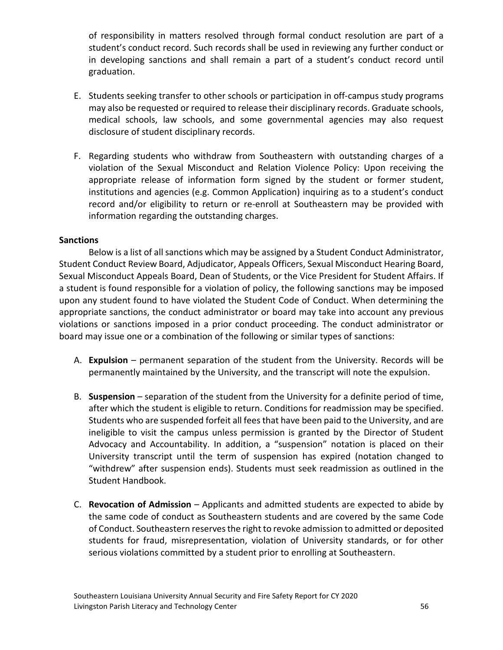of responsibility in matters resolved through formal conduct resolution are part of a student's conduct record. Such records shall be used in reviewing any further conduct or in developing sanctions and shall remain a part of a student's conduct record until graduation.

- E. Students seeking transfer to other schools or participation in off-campus study programs may also be requested or required to release their disciplinary records. Graduate schools, medical schools, law schools, and some governmental agencies may also request disclosure of student disciplinary records.
- F. Regarding students who withdraw from Southeastern with outstanding charges of a violation of the Sexual Misconduct and Relation Violence Policy: Upon receiving the appropriate release of information form signed by the student or former student, institutions and agencies (e.g. Common Application) inquiring as to a student's conduct record and/or eligibility to return or re-enroll at Southeastern may be provided with information regarding the outstanding charges.

## **Sanctions**

Below is a list of all sanctions which may be assigned by a Student Conduct Administrator, Student Conduct Review Board, Adjudicator, Appeals Officers, Sexual Misconduct Hearing Board, Sexual Misconduct Appeals Board, Dean of Students, or the Vice President for Student Affairs. If a student is found responsible for a violation of policy, the following sanctions may be imposed upon any student found to have violated the Student Code of Conduct. When determining the appropriate sanctions, the conduct administrator or board may take into account any previous violations or sanctions imposed in a prior conduct proceeding. The conduct administrator or board may issue one or a combination of the following or similar types of sanctions:

- A. **Expulsion** permanent separation of the student from the University. Records will be permanently maintained by the University, and the transcript will note the expulsion.
- B. **Suspension** separation of the student from the University for a definite period of time, after which the student is eligible to return. Conditions for readmission may be specified. Students who are suspended forfeit all fees that have been paid to the University, and are ineligible to visit the campus unless permission is granted by the Director of Student Advocacy and Accountability. In addition, a "suspension" notation is placed on their University transcript until the term of suspension has expired (notation changed to "withdrew" after suspension ends). Students must seek readmission as outlined in the Student Handbook.
- C. **Revocation of Admission** Applicants and admitted students are expected to abide by the same code of conduct as Southeastern students and are covered by the same Code of Conduct. Southeastern reserves the right to revoke admission to admitted or deposited students for fraud, misrepresentation, violation of University standards, or for other serious violations committed by a student prior to enrolling at Southeastern.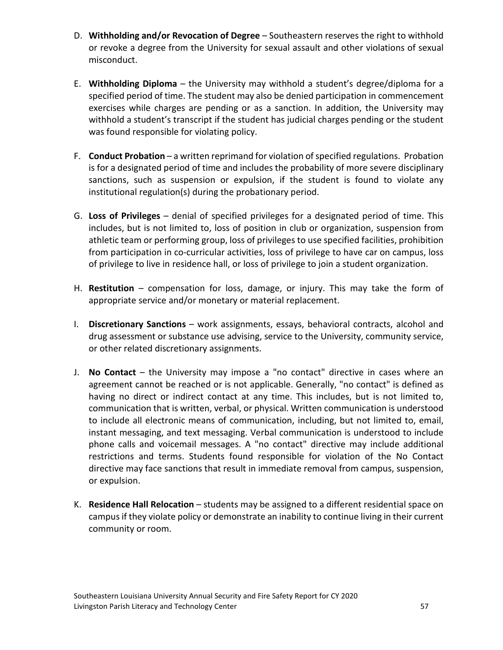- D. **Withholding and/or Revocation of Degree** Southeastern reserves the right to withhold or revoke a degree from the University for sexual assault and other violations of sexual misconduct.
- E. **Withholding Diploma** the University may withhold a student's degree/diploma for a specified period of time. The student may also be denied participation in commencement exercises while charges are pending or as a sanction. In addition, the University may withhold a student's transcript if the student has judicial charges pending or the student was found responsible for violating policy.
- F. **Conduct Probation** a written reprimand for violation of specified regulations. Probation is for a designated period of time and includes the probability of more severe disciplinary sanctions, such as suspension or expulsion, if the student is found to violate any institutional regulation(s) during the probationary period.
- G. **Loss of Privileges** denial of specified privileges for a designated period of time. This includes, but is not limited to, loss of position in club or organization, suspension from athletic team or performing group, loss of privileges to use specified facilities, prohibition from participation in co-curricular activities, loss of privilege to have car on campus, loss of privilege to live in residence hall, or loss of privilege to join a student organization.
- H. **Restitution** compensation for loss, damage, or injury. This may take the form of appropriate service and/or monetary or material replacement.
- I. **Discretionary Sanctions** work assignments, essays, behavioral contracts, alcohol and drug assessment or substance use advising, service to the University, community service, or other related discretionary assignments.
- J. **No Contact**  the University may impose a "no contact" directive in cases where an agreement cannot be reached or is not applicable. Generally, "no contact" is defined as having no direct or indirect contact at any time. This includes, but is not limited to, communication that is written, verbal, or physical. Written communication is understood to include all electronic means of communication, including, but not limited to, email, instant messaging, and text messaging. Verbal communication is understood to include phone calls and voicemail messages. A "no contact" directive may include additional restrictions and terms. Students found responsible for violation of the No Contact directive may face sanctions that result in immediate removal from campus, suspension, or expulsion.
- K. **Residence Hall Relocation** students may be assigned to a different residential space on campus if they violate policy or demonstrate an inability to continue living in their current community or room.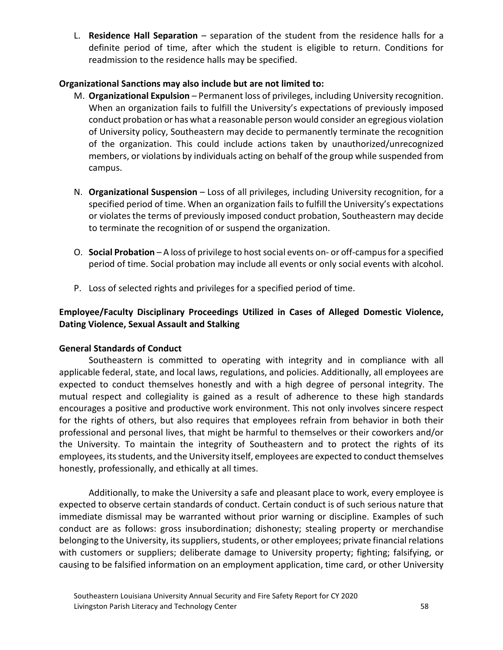L. **Residence Hall Separation** – separation of the student from the residence halls for a definite period of time, after which the student is eligible to return. Conditions for readmission to the residence halls may be specified.

# **Organizational Sanctions may also include but are not limited to:**

- M. **Organizational Expulsion** Permanent loss of privileges, including University recognition. When an organization fails to fulfill the University's expectations of previously imposed conduct probation or has what a reasonable person would consider an egregious violation of University policy, Southeastern may decide to permanently terminate the recognition of the organization. This could include actions taken by unauthorized/unrecognized members, or violations by individuals acting on behalf of the group while suspended from campus.
- N. **Organizational Suspension** Loss of all privileges, including University recognition, for a specified period of time. When an organization fails to fulfill the University's expectations or violates the terms of previously imposed conduct probation, Southeastern may decide to terminate the recognition of or suspend the organization.
- O. **Social Probation** A loss of privilege to host social events on- or off-campus for a specified period of time. Social probation may include all events or only social events with alcohol.
- P. Loss of selected rights and privileges for a specified period of time.

# **Employee/Faculty Disciplinary Proceedings Utilized in Cases of Alleged Domestic Violence, Dating Violence, Sexual Assault and Stalking**

## **General Standards of Conduct**

Southeastern is committed to operating with integrity and in compliance with all applicable federal, state, and local laws, regulations, and policies. Additionally, all employees are expected to conduct themselves honestly and with a high degree of personal integrity. The mutual respect and collegiality is gained as a result of adherence to these high standards encourages a positive and productive work environment. This not only involves sincere respect for the rights of others, but also requires that employees refrain from behavior in both their professional and personal lives, that might be harmful to themselves or their coworkers and/or the University. To maintain the integrity of Southeastern and to protect the rights of its employees, its students, and the University itself, employees are expected to conduct themselves honestly, professionally, and ethically at all times.

Additionally, to make the University a safe and pleasant place to work, every employee is expected to observe certain standards of conduct. Certain conduct is of such serious nature that immediate dismissal may be warranted without prior warning or discipline. Examples of such conduct are as follows: gross insubordination; dishonesty; stealing property or merchandise belonging to the University, its suppliers, students, or other employees; private financial relations with customers or suppliers; deliberate damage to University property; fighting; falsifying, or causing to be falsified information on an employment application, time card, or other University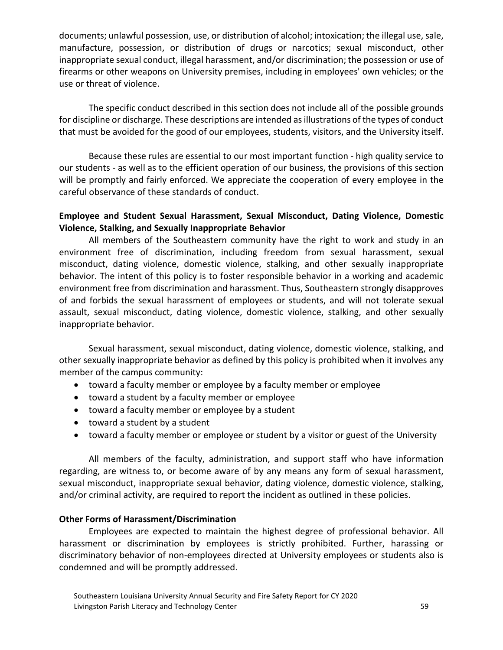documents; unlawful possession, use, or distribution of alcohol; intoxication; the illegal use, sale, manufacture, possession, or distribution of drugs or narcotics; sexual misconduct, other inappropriate sexual conduct, illegal harassment, and/or discrimination; the possession or use of firearms or other weapons on University premises, including in employees' own vehicles; or the use or threat of violence.

The specific conduct described in this section does not include all of the possible grounds for discipline or discharge. These descriptions are intended as illustrations of the types of conduct that must be avoided for the good of our employees, students, visitors, and the University itself.

Because these rules are essential to our most important function - high quality service to our students - as well as to the efficient operation of our business, the provisions of this section will be promptly and fairly enforced. We appreciate the cooperation of every employee in the careful observance of these standards of conduct.

# **Employee and Student Sexual Harassment, Sexual Misconduct, Dating Violence, Domestic Violence, Stalking, and Sexually Inappropriate Behavior**

All members of the Southeastern community have the right to work and study in an environment free of discrimination, including freedom from sexual harassment, sexual misconduct, dating violence, domestic violence, stalking, and other sexually inappropriate behavior. The intent of this policy is to foster responsible behavior in a working and academic environment free from discrimination and harassment. Thus, Southeastern strongly disapproves of and forbids the sexual harassment of employees or students, and will not tolerate sexual assault, sexual misconduct, dating violence, domestic violence, stalking, and other sexually inappropriate behavior.

Sexual harassment, sexual misconduct, dating violence, domestic violence, stalking, and other sexually inappropriate behavior as defined by this policy is prohibited when it involves any member of the campus community:

- toward a faculty member or employee by a faculty member or employee
- toward a student by a faculty member or employee
- toward a faculty member or employee by a student
- toward a student by a student
- toward a faculty member or employee or student by a visitor or guest of the University

All members of the faculty, administration, and support staff who have information regarding, are witness to, or become aware of by any means any form of sexual harassment, sexual misconduct, inappropriate sexual behavior, dating violence, domestic violence, stalking, and/or criminal activity, are required to report the incident as outlined in these policies.

## **Other Forms of Harassment/Discrimination**

Employees are expected to maintain the highest degree of professional behavior. All harassment or discrimination by employees is strictly prohibited. Further, harassing or discriminatory behavior of non-employees directed at University employees or students also is condemned and will be promptly addressed.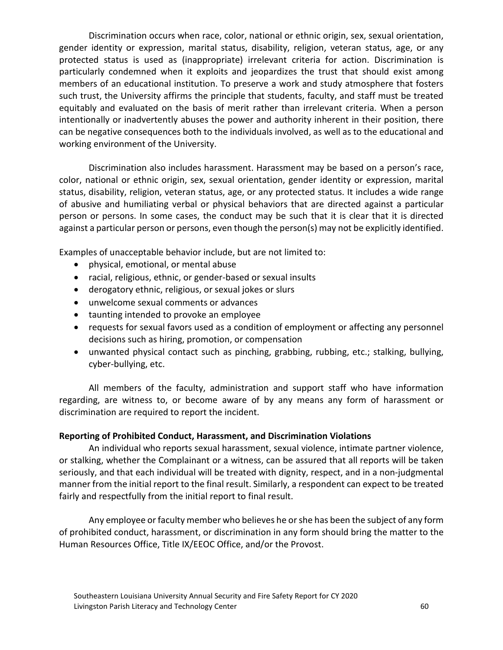Discrimination occurs when race, color, national or ethnic origin, sex, sexual orientation, gender identity or expression, marital status, disability, religion, veteran status, age, or any protected status is used as (inappropriate) irrelevant criteria for action. Discrimination is particularly condemned when it exploits and jeopardizes the trust that should exist among members of an educational institution. To preserve a work and study atmosphere that fosters such trust, the University affirms the principle that students, faculty, and staff must be treated equitably and evaluated on the basis of merit rather than irrelevant criteria. When a person intentionally or inadvertently abuses the power and authority inherent in their position, there can be negative consequences both to the individuals involved, as well as to the educational and working environment of the University.

Discrimination also includes harassment. Harassment may be based on a person's race, color, national or ethnic origin, sex, sexual orientation, gender identity or expression, marital status, disability, religion, veteran status, age, or any protected status. It includes a wide range of abusive and humiliating verbal or physical behaviors that are directed against a particular person or persons. In some cases, the conduct may be such that it is clear that it is directed against a particular person or persons, even though the person(s) may not be explicitly identified.

Examples of unacceptable behavior include, but are not limited to:

- physical, emotional, or mental abuse
- racial, religious, ethnic, or gender-based or sexual insults
- derogatory ethnic, religious, or sexual jokes or slurs
- unwelcome sexual comments or advances
- taunting intended to provoke an employee
- requests for sexual favors used as a condition of employment or affecting any personnel decisions such as hiring, promotion, or compensation
- unwanted physical contact such as pinching, grabbing, rubbing, etc.; stalking, bullying, cyber-bullying, etc.

All members of the faculty, administration and support staff who have information regarding, are witness to, or become aware of by any means any form of harassment or discrimination are required to report the incident.

## **Reporting of Prohibited Conduct, Harassment, and Discrimination Violations**

An individual who reports sexual harassment, sexual violence, intimate partner violence, or stalking, whether the Complainant or a witness, can be assured that all reports will be taken seriously, and that each individual will be treated with dignity, respect, and in a non-judgmental manner from the initial report to the final result. Similarly, a respondent can expect to be treated fairly and respectfully from the initial report to final result.

Any employee or faculty member who believes he or she has been the subject of any form of prohibited conduct, harassment, or discrimination in any form should bring the matter to the Human Resources Office, Title IX/EEOC Office, and/or the Provost.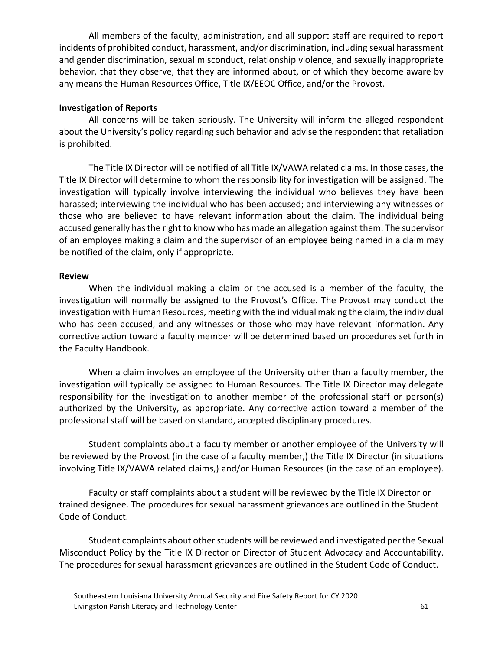All members of the faculty, administration, and all support staff are required to report incidents of prohibited conduct, harassment, and/or discrimination, including sexual harassment and gender discrimination, sexual misconduct, relationship violence, and sexually inappropriate behavior, that they observe, that they are informed about, or of which they become aware by any means the Human Resources Office, Title IX/EEOC Office, and/or the Provost.

## **Investigation of Reports**

All concerns will be taken seriously. The University will inform the alleged respondent about the University's policy regarding such behavior and advise the respondent that retaliation is prohibited.

The Title IX Director will be notified of all Title IX/VAWA related claims. In those cases, the Title IX Director will determine to whom the responsibility for investigation will be assigned. The investigation will typically involve interviewing the individual who believes they have been harassed; interviewing the individual who has been accused; and interviewing any witnesses or those who are believed to have relevant information about the claim. The individual being accused generally has the right to know who has made an allegation against them. The supervisor of an employee making a claim and the supervisor of an employee being named in a claim may be notified of the claim, only if appropriate.

## **Review**

When the individual making a claim or the accused is a member of the faculty, the investigation will normally be assigned to the Provost's Office. The Provost may conduct the investigation with Human Resources, meeting with the individual making the claim, the individual who has been accused, and any witnesses or those who may have relevant information. Any corrective action toward a faculty member will be determined based on procedures set forth in the Faculty Handbook.

When a claim involves an employee of the University other than a faculty member, the investigation will typically be assigned to Human Resources. The Title IX Director may delegate responsibility for the investigation to another member of the professional staff or person(s) authorized by the University, as appropriate. Any corrective action toward a member of the professional staff will be based on standard, accepted disciplinary procedures.

Student complaints about a faculty member or another employee of the University will be reviewed by the Provost (in the case of a faculty member,) the Title IX Director (in situations involving Title IX/VAWA related claims,) and/or Human Resources (in the case of an employee).

Faculty or staff complaints about a student will be reviewed by the Title IX Director or trained designee. The procedures for sexual harassment grievances are outlined in the Student Code of Conduct.

Student complaints about other students will be reviewed and investigated per the Sexual Misconduct Policy by the Title IX Director or Director of Student Advocacy and Accountability. The procedures for sexual harassment grievances are outlined in the Student Code of Conduct.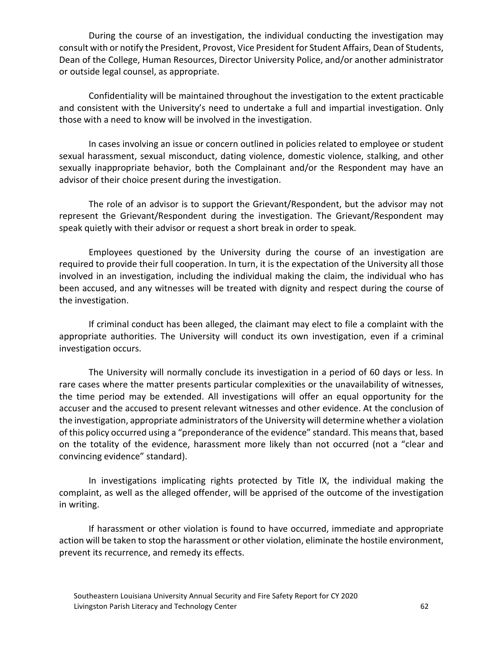During the course of an investigation, the individual conducting the investigation may consult with or notify the President, Provost, Vice President for Student Affairs, Dean of Students, Dean of the College, Human Resources, Director University Police, and/or another administrator or outside legal counsel, as appropriate.

Confidentiality will be maintained throughout the investigation to the extent practicable and consistent with the University's need to undertake a full and impartial investigation. Only those with a need to know will be involved in the investigation.

In cases involving an issue or concern outlined in policies related to employee or student sexual harassment, sexual misconduct, dating violence, domestic violence, stalking, and other sexually inappropriate behavior, both the Complainant and/or the Respondent may have an advisor of their choice present during the investigation.

The role of an advisor is to support the Grievant/Respondent, but the advisor may not represent the Grievant/Respondent during the investigation. The Grievant/Respondent may speak quietly with their advisor or request a short break in order to speak.

Employees questioned by the University during the course of an investigation are required to provide their full cooperation. In turn, it is the expectation of the University all those involved in an investigation, including the individual making the claim, the individual who has been accused, and any witnesses will be treated with dignity and respect during the course of the investigation.

If criminal conduct has been alleged, the claimant may elect to file a complaint with the appropriate authorities. The University will conduct its own investigation, even if a criminal investigation occurs.

The University will normally conclude its investigation in a period of 60 days or less. In rare cases where the matter presents particular complexities or the unavailability of witnesses, the time period may be extended. All investigations will offer an equal opportunity for the accuser and the accused to present relevant witnesses and other evidence. At the conclusion of the investigation, appropriate administrators of the University will determine whether a violation of this policy occurred using a "preponderance of the evidence" standard. This means that, based on the totality of the evidence, harassment more likely than not occurred (not a "clear and convincing evidence" standard).

In investigations implicating rights protected by Title IX, the individual making the complaint, as well as the alleged offender, will be apprised of the outcome of the investigation in writing.

If harassment or other violation is found to have occurred, immediate and appropriate action will be taken to stop the harassment or other violation, eliminate the hostile environment, prevent its recurrence, and remedy its effects.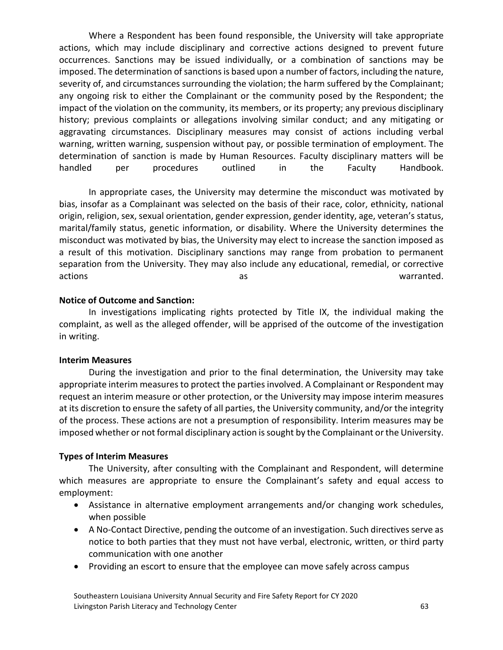Where a Respondent has been found responsible, the University will take appropriate actions, which may include disciplinary and corrective actions designed to prevent future occurrences. Sanctions may be issued individually, or a combination of sanctions may be imposed. The determination of sanctions is based upon a number of factors, including the nature, severity of, and circumstances surrounding the violation; the harm suffered by the Complainant; any ongoing risk to either the Complainant or the community posed by the Respondent; the impact of the violation on the community, its members, or its property; any previous disciplinary history; previous complaints or allegations involving similar conduct; and any mitigating or aggravating circumstances. Disciplinary measures may consist of actions including verbal warning, written warning, suspension without pay, or possible termination of employment. The determination of sanction is made by Human Resources. Faculty disciplinary matters will be handled per procedures outlined in the Faculty Handbook.

In appropriate cases, the University may determine the misconduct was motivated by bias, insofar as a Complainant was selected on the basis of their race, color, ethnicity, national origin, religion, sex, sexual orientation, gender expression, gender identity, age, veteran's status, marital/family status, genetic information, or disability. Where the University determines the misconduct was motivated by bias, the University may elect to increase the sanction imposed as a result of this motivation. Disciplinary sanctions may range from probation to permanent separation from the University. They may also include any educational, remedial, or corrective actions and a structure as a structure and a structure and a structure and a structure warranted.

#### **Notice of Outcome and Sanction:**

In investigations implicating rights protected by Title IX, the individual making the complaint, as well as the alleged offender, will be apprised of the outcome of the investigation in writing.

#### **Interim Measures**

During the investigation and prior to the final determination, the University may take appropriate interim measures to protect the parties involved. A Complainant or Respondent may request an interim measure or other protection, or the University may impose interim measures at its discretion to ensure the safety of all parties, the University community, and/or the integrity of the process. These actions are not a presumption of responsibility. Interim measures may be imposed whether or not formal disciplinary action is sought by the Complainant or the University.

## **Types of Interim Measures**

The University, after consulting with the Complainant and Respondent, will determine which measures are appropriate to ensure the Complainant's safety and equal access to employment:

- Assistance in alternative employment arrangements and/or changing work schedules, when possible
- A No-Contact Directive, pending the outcome of an investigation. Such directives serve as notice to both parties that they must not have verbal, electronic, written, or third party communication with one another
- Providing an escort to ensure that the employee can move safely across campus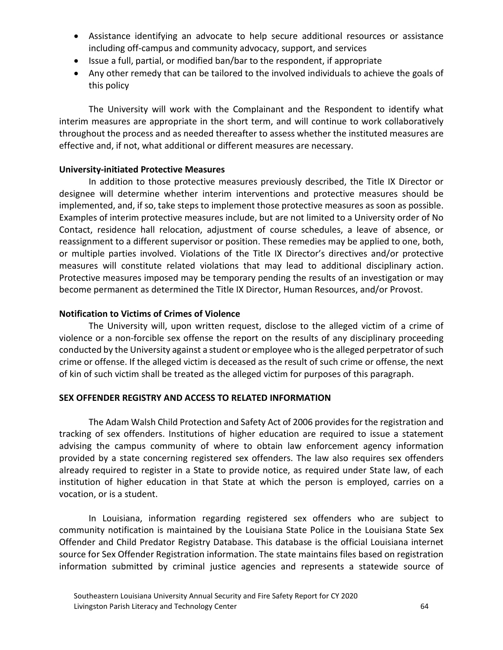- Assistance identifying an advocate to help secure additional resources or assistance including off-campus and community advocacy, support, and services
- Issue a full, partial, or modified ban/bar to the respondent, if appropriate
- Any other remedy that can be tailored to the involved individuals to achieve the goals of this policy

The University will work with the Complainant and the Respondent to identify what interim measures are appropriate in the short term, and will continue to work collaboratively throughout the process and as needed thereafter to assess whether the instituted measures are effective and, if not, what additional or different measures are necessary.

# **University-initiated Protective Measures**

In addition to those protective measures previously described, the Title IX Director or designee will determine whether interim interventions and protective measures should be implemented, and, if so, take steps to implement those protective measures as soon as possible. Examples of interim protective measures include, but are not limited to a University order of No Contact, residence hall relocation, adjustment of course schedules, a leave of absence, or reassignment to a different supervisor or position. These remedies may be applied to one, both, or multiple parties involved. Violations of the Title IX Director's directives and/or protective measures will constitute related violations that may lead to additional disciplinary action. Protective measures imposed may be temporary pending the results of an investigation or may become permanent as determined the Title IX Director, Human Resources, and/or Provost.

# **Notification to Victims of Crimes of Violence**

The University will, upon written request, disclose to the alleged victim of a crime of violence or a non-forcible sex offense the report on the results of any disciplinary proceeding conducted by the University against a student or employee who is the alleged perpetrator of such crime or offense. If the alleged victim is deceased as the result of such crime or offense, the next of kin of such victim shall be treated as the alleged victim for purposes of this paragraph.

# **SEX OFFENDER REGISTRY AND ACCESS TO RELATED INFORMATION**

The Adam Walsh Child Protection and Safety Act of 2006 provides for the registration and tracking of sex offenders. Institutions of higher education are required to issue a statement advising the campus community of where to obtain law enforcement agency information provided by a state concerning registered sex offenders. The law also requires sex offenders already required to register in a State to provide notice, as required under State law, of each institution of higher education in that State at which the person is employed, carries on a vocation, or is a student.

In Louisiana, information regarding registered sex offenders who are subject to community notification is maintained by the Louisiana State Police in the Louisiana State Sex Offender and Child Predator Registry Database. This database is the official Louisiana internet source for Sex Offender Registration information. The state maintains files based on registration information submitted by criminal justice agencies and represents a statewide source of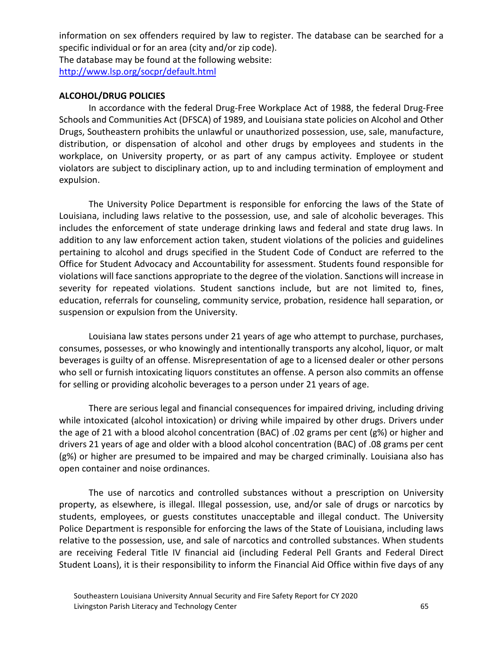information on sex offenders required by law to register. The database can be searched for a specific individual or for an area (city and/or zip code). The database may be found at the following website: <http://www.lsp.org/socpr/default.html>

## **ALCOHOL/DRUG POLICIES**

In accordance with the federal Drug-Free Workplace Act of 1988, the federal Drug-Free Schools and Communities Act (DFSCA) of 1989, and Louisiana state policies on Alcohol and Other Drugs, Southeastern prohibits the unlawful or unauthorized possession, use, sale, manufacture, distribution, or dispensation of alcohol and other drugs by employees and students in the workplace, on University property, or as part of any campus activity. Employee or student violators are subject to disciplinary action, up to and including termination of employment and expulsion.

The University Police Department is responsible for enforcing the laws of the State of Louisiana, including laws relative to the possession, use, and sale of alcoholic beverages. This includes the enforcement of state underage drinking laws and federal and state drug laws. In addition to any law enforcement action taken, student violations of the policies and guidelines pertaining to alcohol and drugs specified in the Student Code of Conduct are referred to the Office for Student Advocacy and Accountability for assessment. Students found responsible for violations will face sanctions appropriate to the degree of the violation. Sanctions will increase in severity for repeated violations. Student sanctions include, but are not limited to, fines, education, referrals for counseling, community service, probation, residence hall separation, or suspension or expulsion from the University.

Louisiana law states persons under 21 years of age who attempt to purchase, purchases, consumes, possesses, or who knowingly and intentionally transports any alcohol, liquor, or malt beverages is guilty of an offense. Misrepresentation of age to a licensed dealer or other persons who sell or furnish intoxicating liquors constitutes an offense. A person also commits an offense for selling or providing alcoholic beverages to a person under 21 years of age.

There are serious legal and financial consequences for impaired driving, including driving while intoxicated (alcohol intoxication) or driving while impaired by other drugs. Drivers under the age of 21 with a blood alcohol concentration (BAC) of .02 grams per cent (g%) or higher and drivers 21 years of age and older with a blood alcohol concentration (BAC) of .08 grams per cent (g%) or higher are presumed to be impaired and may be charged criminally. Louisiana also has open container and noise ordinances.

The use of narcotics and controlled substances without a prescription on University property, as elsewhere, is illegal. Illegal possession, use, and/or sale of drugs or narcotics by students, employees, or guests constitutes unacceptable and illegal conduct. The University Police Department is responsible for enforcing the laws of the State of Louisiana, including laws relative to the possession, use, and sale of narcotics and controlled substances. When students are receiving Federal Title IV financial aid (including Federal Pell Grants and Federal Direct Student Loans), it is their responsibility to inform the Financial Aid Office within five days of any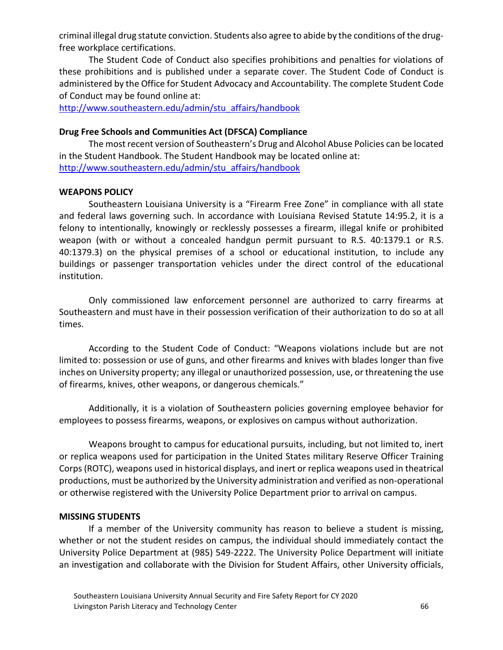criminal illegal drug statute conviction. Students also agree to abide by the conditions of the drugfree workplace certifications.

The Student Code of Conduct also specifies prohibitions and penalties for violations of these prohibitions and is published under a separate cover. The Student Code of Conduct is administered by the Office for Student Advocacy and Accountability. The complete Student Code of Conduct may be found online at:

http://www.southeastern.edu/admin/stu\_affairs/handbook

## **Drug Free Schools and Communities Act (DFSCA) Compliance**

The most recent version of Southeastern's Drug and Alcohol Abuse Policies can be located in the Student Handbook. The Student Handbook may be located online at: [http://www.southeastern.edu/admin/stu\\_affairs/handbook](http://www.southeastern.edu/admin/stu_affairs/handbook) 

#### **WEAPONS POLICY**

Southeastern Louisiana University is a "Firearm Free Zone" in compliance with all state and federal laws governing such. In accordance with Louisiana Revised Statute 14:95.2, it is a felony to intentionally, knowingly or recklessly possesses a firearm, illegal knife or prohibited weapon (with or without a concealed handgun permit pursuant to R.S. 40:1379.1 or R.S. 40:1379.3) on the physical premises of a school or educational institution, to include any buildings or passenger transportation vehicles under the direct control of the educational institution.

Only commissioned law enforcement personnel are authorized to carry firearms at Southeastern and must have in their possession verification of their authorization to do so at all times.

According to the Student Code of Conduct: "Weapons violations include but are not limited to: possession or use of guns, and other firearms and knives with blades longer than five inches on University property; any illegal or unauthorized possession, use, or threatening the use of firearms, knives, other weapons, or dangerous chemicals."

Additionally, it is a violation of Southeastern policies governing employee behavior for employees to possess firearms, weapons, or explosives on campus without authorization.

Weapons brought to campus for educational pursuits, including, but not limited to, inert or replica weapons used for participation in the United States military Reserve Officer Training Corps (ROTC), weapons used in historical displays, and inert or replica weapons used in theatrical productions, must be authorized by the University administration and verified as non-operational or otherwise registered with the University Police Department prior to arrival on campus.

## **MISSING STUDENTS**

If a member of the University community has reason to believe a student is missing, whether or not the student resides on campus, the individual should immediately contact the University Police Department at (985) 549-2222. The University Police Department will initiate an investigation and collaborate with the Division for Student Affairs, other University officials,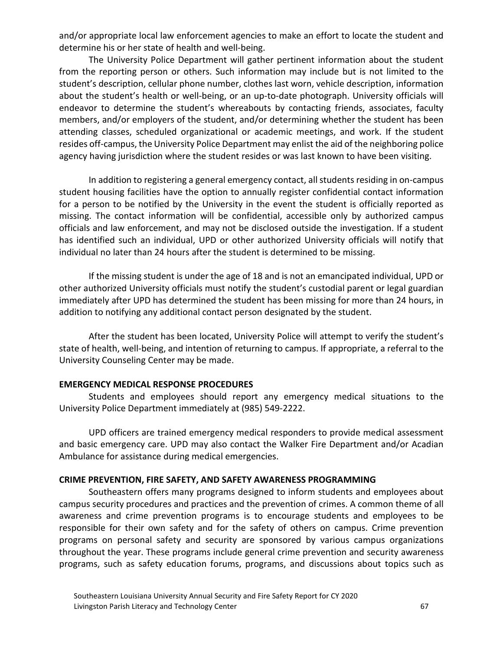and/or appropriate local law enforcement agencies to make an effort to locate the student and determine his or her state of health and well-being.

The University Police Department will gather pertinent information about the student from the reporting person or others. Such information may include but is not limited to the student's description, cellular phone number, clothes last worn, vehicle description, information about the student's health or well-being, or an up-to-date photograph. University officials will endeavor to determine the student's whereabouts by contacting friends, associates, faculty members, and/or employers of the student, and/or determining whether the student has been attending classes, scheduled organizational or academic meetings, and work. If the student resides off-campus, the University Police Department may enlist the aid of the neighboring police agency having jurisdiction where the student resides or was last known to have been visiting.

In addition to registering a general emergency contact, all students residing in on-campus student housing facilities have the option to annually register confidential contact information for a person to be notified by the University in the event the student is officially reported as missing. The contact information will be confidential, accessible only by authorized campus officials and law enforcement, and may not be disclosed outside the investigation. If a student has identified such an individual, UPD or other authorized University officials will notify that individual no later than 24 hours after the student is determined to be missing.

If the missing student is under the age of 18 and is not an emancipated individual, UPD or other authorized University officials must notify the student's custodial parent or legal guardian immediately after UPD has determined the student has been missing for more than 24 hours, in addition to notifying any additional contact person designated by the student.

After the student has been located, University Police will attempt to verify the student's state of health, well-being, and intention of returning to campus. If appropriate, a referral to the University Counseling Center may be made.

## **EMERGENCY MEDICAL RESPONSE PROCEDURES**

Students and employees should report any emergency medical situations to the University Police Department immediately at (985) 549-2222.

UPD officers are trained emergency medical responders to provide medical assessment and basic emergency care. UPD may also contact the Walker Fire Department and/or Acadian Ambulance for assistance during medical emergencies.

## **CRIME PREVENTION, FIRE SAFETY, AND SAFETY AWARENESS PROGRAMMING**

Southeastern offers many programs designed to inform students and employees about campus security procedures and practices and the prevention of crimes. A common theme of all awareness and crime prevention programs is to encourage students and employees to be responsible for their own safety and for the safety of others on campus. Crime prevention programs on personal safety and security are sponsored by various campus organizations throughout the year. These programs include general crime prevention and security awareness programs, such as safety education forums, programs, and discussions about topics such as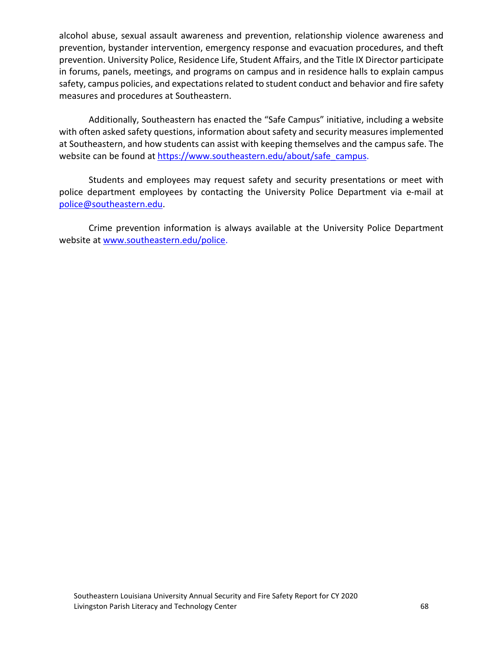alcohol abuse, sexual assault awareness and prevention, relationship violence awareness and prevention, bystander intervention, emergency response and evacuation procedures, and theft prevention. University Police, Residence Life, Student Affairs, and the Title IX Director participate in forums, panels, meetings, and programs on campus and in residence halls to explain campus safety, campus policies, and expectations related to student conduct and behavior and fire safety measures and procedures at Southeastern.

Additionally, Southeastern has enacted the "Safe Campus" initiative, including a website with often asked safety questions, information about safety and security measures implemented at Southeastern, and how students can assist with keeping themselves and the campus safe. The website can be found at https://www.southeastern.edu/about/safe\_campus.

Students and employees may request safety and security presentations or meet with police department employees by contacting the University Police Department via e-mail at [police@southeastern.edu.](mailto:police@southeastern.edu)

Crime prevention information is always available at the University Police Department website at [www.southeastern.edu/police.](http://www.southeastern.edu/police)